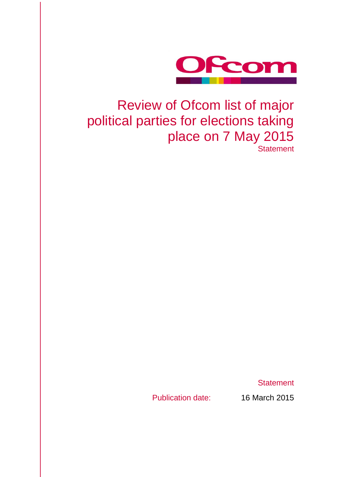

## Review of Ofcom list of major political parties for elections taking place on 7 May 2015 **Statement**

**Statement** 

Publication date: 16 March 2015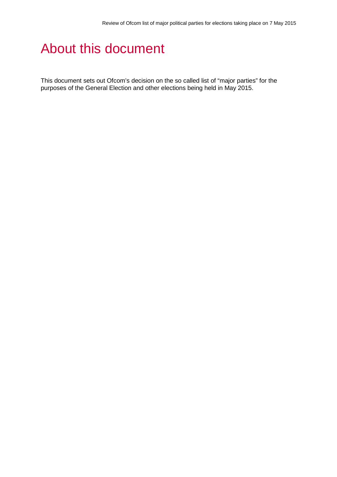# About this document

This document sets out Ofcom's decision on the so called list of "major parties" for the purposes of the General Election and other elections being held in May 2015.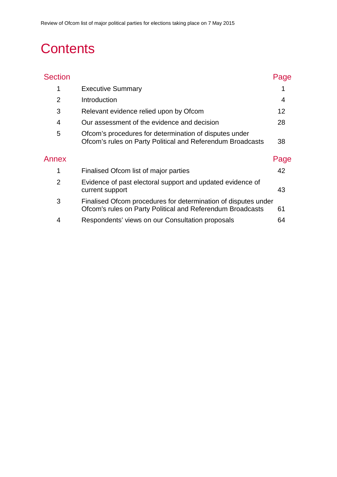# **Contents**

| <b>Section</b> |                                                                                                                              | Page |
|----------------|------------------------------------------------------------------------------------------------------------------------------|------|
| 1              | <b>Executive Summary</b>                                                                                                     |      |
| $\overline{2}$ | Introduction                                                                                                                 | 4    |
| 3              | Relevant evidence relied upon by Ofcom                                                                                       | 12   |
| 4              | Our assessment of the evidence and decision                                                                                  | 28   |
| 5              | Ofcom's procedures for determination of disputes under<br>Ofcom's rules on Party Political and Referendum Broadcasts         | 38   |
| Annex          |                                                                                                                              | Page |
| 1              | Finalised Ofcom list of major parties                                                                                        | 42   |
| $\overline{2}$ | Evidence of past electoral support and updated evidence of<br>current support                                                | 43   |
| 3              | Finalised Ofcom procedures for determination of disputes under<br>Ofcom's rules on Party Political and Referendum Broadcasts | 61   |
| 4              | Respondents' views on our Consultation proposals                                                                             | 64   |
|                |                                                                                                                              |      |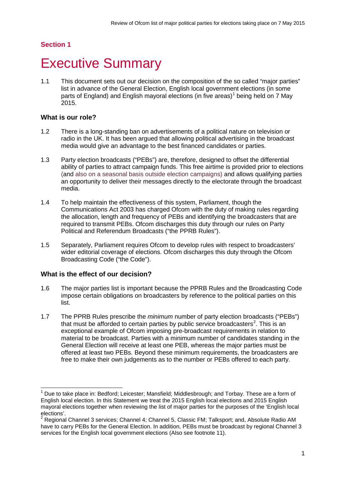## **Section 1**

## <span id="page-3-0"></span>**Executive Summary**

1.1 This document sets out our decision on the composition of the so called "major parties" list in advance of the General Election, English local government elections (in some parts of England) and English mayoral elections (in five areas)<sup>[1](#page-3-1)</sup> being held on 7 May 2015.

## **What is our role?**

- 1.2 There is a long-standing ban on advertisements of a political nature on television or radio in the UK. It has been argued that allowing political advertising in the broadcast media would give an advantage to the best financed candidates or parties.
- 1.3 Party election broadcasts ("PEBs") are, therefore, designed to offset the differential ability of parties to attract campaign funds. This free airtime is provided prior to elections (and also on a seasonal basis outside election campaigns) and allows qualifying parties an opportunity to deliver their messages directly to the electorate through the broadcast media.
- 1.4 To help maintain the effectiveness of this system, Parliament, though the Communications Act 2003 has charged Ofcom with the duty of making rules regarding the allocation, length and frequency of PEBs and identifying the broadcasters that are required to transmit PEBs. Ofcom discharges this duty through our rules on Party Political and Referendum Broadcasts ("the PPRB Rules").
- 1.5 Separately, Parliament requires Ofcom to develop rules with respect to broadcasters' wider editorial coverage of elections. Ofcom discharges this duty through the Ofcom Broadcasting Code ("the Code").

## **What is the effect of our decision?**

- 1.6 The major parties list is important because the PPRB Rules and the Broadcasting Code impose certain obligations on broadcasters by reference to the political parties on this list.
- 1.7 The PPRB Rules prescribe the *minimum* number of party election broadcasts ("PEBs") that must be afforded to certain parties by public service broadcasters<sup>[2](#page-3-2)</sup>. This is an exceptional example of Ofcom imposing pre-broadcast requirements in relation to material to be broadcast. Parties with a minimum number of candidates standing in the General Election will receive at least one PEB, whereas the major parties must be offered at least two PEBs. Beyond these minimum requirements, the broadcasters are free to make their own judgements as to the number or PEBs offered to each party.

<span id="page-3-1"></span>Due to take place in: Bedford; Leicester; Mansfield; Middlesbrough; and Torbay. These are a form of English local election. In this Statement we treat the 2015 English local elections and 2015 English mayoral elections together when reviewing the list of major parties for the purposes of the 'English local elections'.<br>
<sup>2</sup> Bogianal Channel 2 services: Channel 4 Channel 2 services: Channel 4 Channel 4 Channel 2 services:  $\overline{a}$ 

<span id="page-3-2"></span>Regional Channel 3 services: Channel 4; Channel 5, Classic FM; Talksport; and, Absolute Radio AM have to carry PEBs for the General Election. In addition, PEBs must be broadcast by regional Channel 3 services for the English local government elections (Also see footnote 11).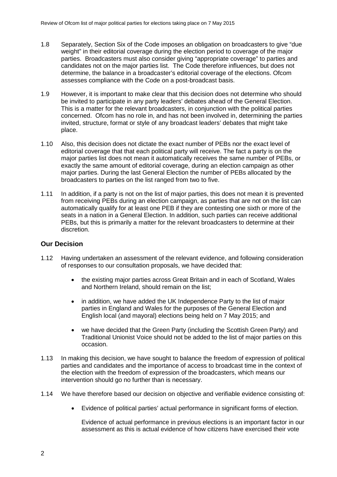- 1.8 Separately, Section Six of the Code imposes an obligation on broadcasters to give "due weight" in their editorial coverage during the election period to coverage of the major parties. Broadcasters must also consider giving "appropriate coverage" to parties and candidates not on the major parties list. The Code therefore influences, but does not determine, the balance in a broadcaster's editorial coverage of the elections. Ofcom assesses compliance with the Code on a post-broadcast basis.
- 1.9 However, it is important to make clear that this decision does not determine who should be invited to participate in any party leaders' debates ahead of the General Election. This is a matter for the relevant broadcasters, in conjunction with the political parties concerned. Ofcom has no role in, and has not been involved in, determining the parties invited, structure, format or style of any broadcast leaders' debates that might take place.
- 1.10 Also, this decision does not dictate the exact number of PEBs nor the exact level of editorial coverage that that each political party will receive. The fact a party is on the major parties list does not mean it automatically receives the same number of PEBs, or exactly the same amount of editorial coverage, during an election campaign as other major parties. During the last General Election the number of PEBs allocated by the broadcasters to parties on the list ranged from two to five.
- 1.11 In addition, if a party is not on the list of major parties, this does not mean it is prevented from receiving PEBs during an election campaign, as parties that are not on the list can automatically qualify for at least one PEB if they are contesting one sixth or more of the seats in a nation in a General Election. In addition, such parties can receive additional PEBs, but this is primarily a matter for the relevant broadcasters to determine at their discretion.

## **Our Decision**

- 1.12 Having undertaken an assessment of the relevant evidence, and following consideration of responses to our consultation proposals, we have decided that:
	- the existing major parties across Great Britain and in each of Scotland, Wales and Northern Ireland, should remain on the list;
	- in addition, we have added the UK Independence Party to the list of major parties in England and Wales for the purposes of the General Election and English local (and mayoral) elections being held on 7 May 2015; and
	- we have decided that the Green Party (including the Scottish Green Party) and Traditional Unionist Voice should not be added to the list of major parties on this occasion.
- 1.13 In making this decision, we have sought to balance the freedom of expression of political parties and candidates and the importance of access to broadcast time in the context of the election with the freedom of expression of the broadcasters, which means our intervention should go no further than is necessary.
- 1.14 We have therefore based our decision on objective and verifiable evidence consisting of:
	- Evidence of political parties' actual performance in significant forms of election.

Evidence of actual performance in previous elections is an important factor in our assessment as this is actual evidence of how citizens have exercised their vote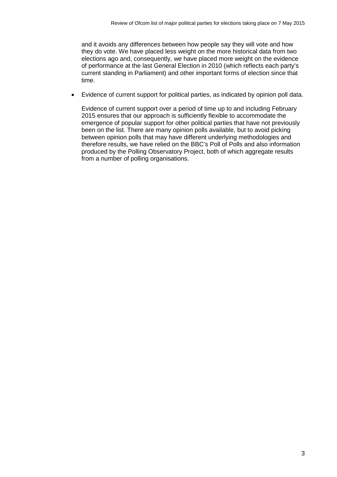and it avoids any differences between how people say they will vote and how they do vote. We have placed less weight on the more historical data from two elections ago and, consequently, we have placed more weight on the evidence of performance at the last General Election in 2010 (which reflects each party's current standing in Parliament) and other important forms of election since that time.

• Evidence of current support for political parties, as indicated by opinion poll data.

Evidence of current support over a period of time up to and including February 2015 ensures that our approach is sufficiently flexible to accommodate the emergence of popular support for other political parties that have not previously been on the list. There are many opinion polls available, but to avoid picking between opinion polls that may have different underlying methodologies and therefore results, we have relied on the BBC's Poll of Polls and also information produced by the Polling Observatory Project, both of which aggregate results from a number of polling organisations.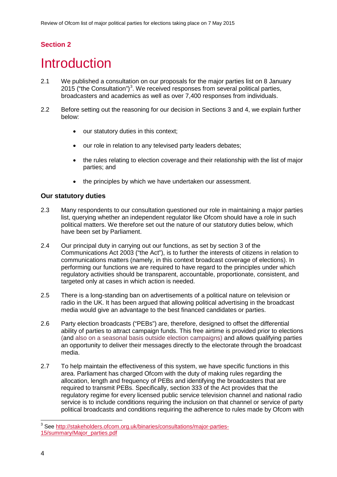## **Section 2**

# <span id="page-6-0"></span>**Introduction**

- 2.1 We published a consultation on our proposals for the major parties list on 8 January 2015 ("the Consultation")<sup>[3](#page-6-1)</sup>. We received responses from several political parties, broadcasters and academics as well as over 7,400 responses from individuals.
- 2.2 Before setting out the reasoning for our decision in Sections 3 and 4, we explain further below:
	- our statutory duties in this context;
	- our role in relation to any televised party leaders debates;
	- the rules relating to election coverage and their relationship with the list of major parties; and
	- the principles by which we have undertaken our assessment.

#### **Our statutory duties**

- 2.3 Many respondents to our consultation questioned our role in maintaining a major parties list, querying whether an independent regulator like Ofcom should have a role in such political matters. We therefore set out the nature of our statutory duties below, which have been set by Parliament.
- 2.4 Our principal duty in carrying out our functions, as set by section 3 of the Communications Act 2003 ("the Act"), is to further the interests of citizens in relation to communications matters (namely, in this context broadcast coverage of elections). In performing our functions we are required to have regard to the principles under which regulatory activities should be transparent, accountable, proportionate, consistent, and targeted only at cases in which action is needed.
- 2.5 There is a long-standing ban on advertisements of a political nature on television or radio in the UK. It has been argued that allowing political advertising in the broadcast media would give an advantage to the best financed candidates or parties.
- 2.6 Party election broadcasts ("PEBs") are, therefore, designed to offset the differential ability of parties to attract campaign funds. This free airtime is provided prior to elections (and also on a seasonal basis outside election campaigns) and allows qualifying parties an opportunity to deliver their messages directly to the electorate through the broadcast media.
- 2.7 To help maintain the effectiveness of this system, we have specific functions in this area. Parliament has charged Ofcom with the duty of making rules regarding the allocation, length and frequency of PEBs and identifying the broadcasters that are required to transmit PEBs. Specifically, section 333 of the Act provides that the regulatory regime for every licensed public service television channel and national radio service is to include conditions requiring the inclusion on that channel or service of party political broadcasts and conditions requiring the adherence to rules made by Ofcom with

<span id="page-6-1"></span><sup>&</sup>lt;sup>3</sup> See [http://stakeholders.ofcom.org.uk/binaries/consultations/major-parties-](http://stakeholders.ofcom.org.uk/binaries/consultations/major-parties-15/summary/Major_parties.pdf)[15/summary/Major\\_parties.pdf](http://stakeholders.ofcom.org.uk/binaries/consultations/major-parties-15/summary/Major_parties.pdf)  $\overline{a}$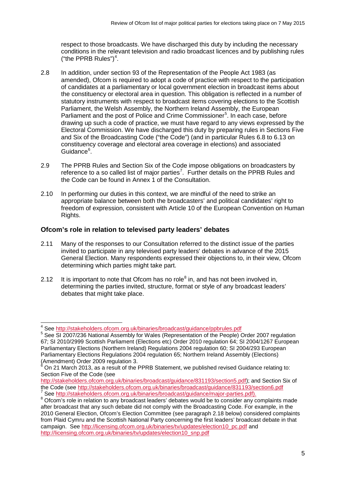respect to those broadcasts. We have discharged this duty by including the necessary conditions in the relevant television and radio broadcast licences and by publishing rules ("the PPRB Rules") $4$ .

- 2.8 In addition, under section 93 of the Representation of the People Act 1983 (as amended), Ofcom is required to adopt a code of practice with respect to the participation of candidates at a parliamentary or local government election in broadcast items about the constituency or electoral area in question. This obligation is reflected in a number of statutory instruments with respect to broadcast items covering elections to the Scottish Parliament, the Welsh Assembly, the Northern Ireland Assembly, the European Parliament and the post of Police and Crime Commissioner<sup>[5](#page-7-1)</sup>. In each case, before drawing up such a code of practice, we must have regard to any views expressed by the Electoral Commission. We have discharged this duty by preparing rules in Sections Five and Six of the Broadcasting Code ("the Code") (and in particular Rules 6.8 to 6.13 on constituency coverage and electoral area coverage in elections) and associated Guidance<sup>[6](#page-7-2)</sup>.
- 2.9 The PPRB Rules and Section Six of the Code impose obligations on broadcasters by reference to a so called list of major parties<sup>[7](#page-7-3)</sup>. Further details on the PPRB Rules and the Code can be found in Annex 1 of the Consultation.
- 2.10 In performing our duties in this context, we are mindful of the need to strike an appropriate balance between both the broadcasters' and political candidates' right to freedom of expression, consistent with Article 10 of the European Convention on Human Rights.

## **Ofcom's role in relation to televised party leaders' debates**

- 2.11 Many of the responses to our Consultation referred to the distinct issue of the parties invited to participate in any televised party leaders' debates in advance of the 2015 General Election. Many respondents expressed their objections to, in their view, Ofcom determining which parties might take part.
- 2.12 It is important to note that Ofcom has no role<sup>[8](#page-7-4)</sup> in, and has not been involved in, determining the parties invited, structure, format or style of any broadcast leaders' debates that might take place.

<sup>&</sup>lt;sup>4</sup> See http://stakeholders.ofcom.org.uk/binaries/broadcast/guidance/ppbrules.pdf

<span id="page-7-1"></span><span id="page-7-0"></span><sup>&</sup>lt;sup>5</sup> See SI 2007/236 National Assembly for Wales (Representation of the People) Order 2007 regulation 67; SI 2010/2999 Scottish Parliament (Elections etc) Order 2010 regulation 64; SI 2004/1267 European Parliamentary Elections (Northern Ireland) Regulations 2004 regulation 60; SI 2004/293 European Parliamentary Elections Regulations 2004 regulation 65; Northern Ireland Assembly (Elections) (Amendment) Order 2009 regulation 3.

<span id="page-7-2"></span><sup>6</sup> On 21 March 2013, as a result of the PPRB Statement, we published revised Guidance relating to: Section Five of the Code (see

[http://stakeholders.ofcom.org.uk/binaries/broadcast/guidance/831193/section5.pdf\)](http://stakeholders.ofcom.org.uk/binaries/broadcast/guidance/831193/section5.pdf); and Section Six of the Code (see http://stakeholders.ofcom.org.uk/binaries/broadcast/guidance/831193/section6.pdf

<span id="page-7-4"></span><span id="page-7-3"></span><sup>&</sup>lt;sup>7</sup> See [http://stakeholders.ofcom.org.uk/binaries/broadcast/guidance/major-parties.pdf\)](http://stakeholders.ofcom.org.uk/binaries/broadcast/guidance/major-parties.pdf).<br><sup>8</sup> Ofcom's role in relation to any broadcast leaders' debates would be to consider any complaints made after broadcast that any such debate did not comply with the Broadcasting Code. For example, in the 2010 General Election, Ofcom's Election Committee (see paragraph 2.18 below) considered complaints from Plaid Cymru and the Scottish National Party concerning the first leaders' broadcast debate in that campaign. See [http://licensing.ofcom.org.uk/binaries/tv/updates/election10\\_pc.pdf](http://licensing.ofcom.org.uk/binaries/tv/updates/election10_pc.pdf) and [http://licensing.ofcom.org.uk/binaries/tv/updates/election10\\_snp.pdf](http://licensing.ofcom.org.uk/binaries/tv/updates/election10_snp.pdf)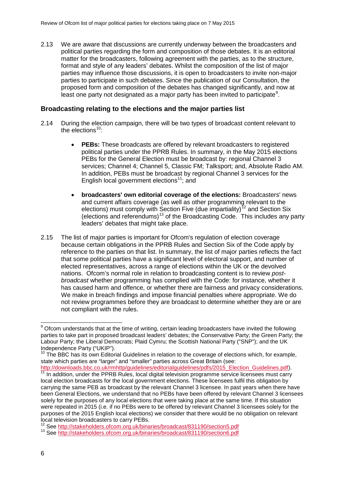2.13 We are aware that discussions are currently underway between the broadcasters and political parties regarding the form and composition of those debates. It is an editorial matter for the broadcasters, following agreement with the parties, as to the structure, format and style of any leaders' debates. Whilst the composition of the list of major parties may influence those discussions, it is open to broadcasters to invite non-major parties to participate in such debates. Since the publication of our Consultation, the proposed form and composition of the debates has changed significantly, and now at least one party not designated as a major party has been invited to participate $^9$  $^9$ .

#### **Broadcasting relating to the elections and the major parties list**

- 2.14 During the election campaign, there will be two types of broadcast content relevant to the elections $10$ :
	- **PEBs:** These broadcasts are offered by relevant broadcasters to registered political parties under the PPRB Rules. In summary, in the May 2015 elections PEBs for the General Election must be broadcast by: regional Channel 3 services; Channel 4; Channel 5, Classic FM; Talksport; and, Absolute Radio AM. In addition, PEBs must be broadcast by regional Channel 3 services for the English local government elections<sup>11</sup>; and
	- **broadcasters' own editorial coverage of the elections:** Broadcasters' news and current affairs coverage (as well as other programming relevant to the elections) must comply with Section Five (due impartiality)<sup>[12](#page-8-3)</sup> and Section Six (elections and referendums)[13](#page-8-4) of the Broadcasting Code. This includes any party leaders' debates that might take place.
- 2.15 The list of major parties is important for Ofcom's regulation of election coverage because certain obligations in the PPRB Rules and Section Six of the Code apply by reference to the parties on that list. In summary, the list of major parties reflects the fact that some political parties have a significant level of electoral support, and number of elected representatives, across a range of elections within the UK or the devolved nations. Ofcom's normal role in relation to broadcasting content is to review *postbroadcast* whether programming has complied with the Code: for instance, whether it has caused harm and offence, or whether there are fairness and privacy considerations. We make in breach findings and impose financial penalties where appropriate. We do not review programmes before they are broadcast to determine whether they are or are not compliant with the rules.

<span id="page-8-2"></span>[http://downloads.bbc.co.uk/rmhttp/guidelines/editorialguidelines/pdfs/2015\\_Election\\_Guidelines.pdf\)](http://downloads.bbc.co.uk/rmhttp/guidelines/editorialguidelines/pdfs/2015_Election_Guidelines.pdf). [11](http://downloads.bbc.co.uk/rmhttp/guidelines/editorialguidelines/pdfs/2015_Election_Guidelines.pdf) In addition, under the PPRB Rules, local digital television programme service licensees must carry local election broadcasts for the local government elections. These licensees fulfil this obligation by carrying the same PEB as broadcast by the relevant Channel 3 licensee. In past years when there have been General Elections, we understand that no PEBs have been offered by relevant Channel 3 licensees solely for the purposes of any local elections that were taking place at the same time. If this situation were repeated in 2015 (i.e. if no PEBs were to be offered by relevant Channel 3 licensees solely for the purposes of the 2015 English local elections) we consider that there would be no obligation on relevant

 $\overline{a}$ 

<span id="page-8-0"></span> $9$  Ofcom understands that at the time of writing, certain leading broadcasters have invited the following parties to take part in proposed broadcast leaders' debates; the Conservative Party; the Green Party; the Labour Party; the Liberal Democrats; Plaid Cymru; the Scottish National Party ("SNP"); and the UK Independence Party ("UKIP").

<span id="page-8-1"></span> $10$  The BBC has its own Editorial Guidelines in relation to the coverage of elections which, for example, state which parties are "larger" and "smaller" parties across Great Britain (see:

local television broadcasters to carry PEBs.<br><sup>12</sup> See http://stakeholders.ofcom.org.uk/binaries/broadcast/831190/section5.pdf

<span id="page-8-4"></span><span id="page-8-3"></span><sup>12</sup> See<http://stakeholders.ofcom.org.uk/binaries/broadcast/831190/section5.pdf> <sup>13</sup> See<http://stakeholders.ofcom.org.uk/binaries/broadcast/831190/section6.pdf>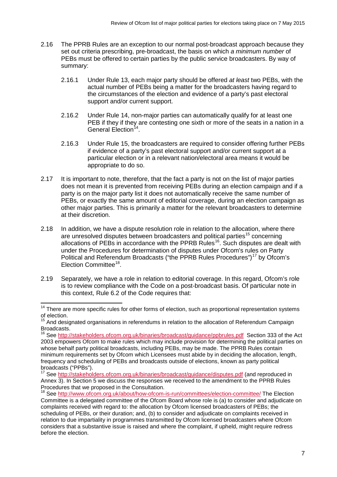- 2.16 The PPRB Rules are an exception to our normal post-broadcast approach because they set out criteria prescribing, pre-broadcast, the basis on which *a minimum number* of PEBs must be offered to certain parties by the public service broadcasters. By way of summary:
	- 2.16.1 Under Rule 13, each major party should be offered *at least* two PEBs, with the actual number of PEBs being a matter for the broadcasters having regard to the circumstances of the election and evidence of a party's past electoral support and/or current support.
	- 2.16.2 Under Rule 14, non-major parties can automatically qualify for at least one PEB if they if they are contesting one sixth or more of the seats in a nation in a General Election<sup>[14](#page-9-0)</sup>.
	- 2.16.3 Under Rule 15, the broadcasters are required to consider offering further PEBs if evidence of a party's past electoral support and/or current support at a particular election or in a relevant nation/electoral area means it would be appropriate to do so.
- 2.17 It is important to note, therefore, that the fact a party is not on the list of major parties does not mean it is prevented from receiving PEBs during an election campaign and if a party is on the major party list it does not automatically receive the same number of PEBs, or exactly the same amount of editorial coverage, during an election campaign as other major parties. This is primarily a matter for the relevant broadcasters to determine at their discretion.
- 2.18 In addition, we have a dispute resolution role in relation to the allocation, where there are unresolved disputes between broadcasters and political parties<sup>[15](#page-9-1)</sup> concerning allocations of PEBs in accordance with the PPRB Rules<sup>16</sup>. Such disputes are dealt with under the Procedures for determination of disputes under Ofcom's rules on Party Political and Referendum Broadcasts ("the PPRB Rules Procedures")<sup>[17](#page-9-3)</sup> by Ofcom's Election Committee[18.](#page-9-4)
- 2.19 Separately, we have a role in relation to editorial coverage. In this regard, Ofcom's role is to review compliance with the Code on a post-broadcast basis. Of particular note in this context, Rule 6.2 of the Code requires that:

<span id="page-9-0"></span><sup>&</sup>lt;sup>14</sup> There are more specific rules for other forms of election, such as proportional representation systems of election.  $\overline{a}$ 

<sup>&</sup>lt;sup>15</sup> And designated organisations in referendums in relation to the allocation of Referendum Campaign

<span id="page-9-2"></span><span id="page-9-1"></span>Broadcasts.<br><sup>16</sup> See <u>http://stakeholders.ofcom.org.uk/binaries/broadcast/guidance/ppbrules.pdf</u> Section 333 of the Act 2003 empowers Ofcom to make rules which may include provision for determining the political parties on whose behalf party political broadcasts, including PEBs, may be made. The PPRB Rules contain minimum requirements set by Ofcom which Licensees must abide by in deciding the allocation, length, frequency and scheduling of PEBs and broadcasts outside of elections, known as party political broadcasts ("PPBs").

<span id="page-9-3"></span><sup>&</sup>lt;sup>17</sup> See<http://stakeholders.ofcom.org.uk/binaries/broadcast/guidance/disputes.pdf> (and reproduced in Annex 3). In Section 5 we discuss the responses we received to the amendment to the PPRB Rules Procedures that we proposed in the Consultation.

<span id="page-9-4"></span><sup>&</sup>lt;sup>18</sup> See<http://www.ofcom.org.uk/about/how-ofcom-is-run/committees/election-committee/> The Election Committee is a delegated committee of the Ofcom Board whose role is (a) to consider and adjudicate on complaints received with regard to: the allocation by Ofcom licensed broadcasters of PEBs; the scheduling of PEBs, or their duration; and, (b) to consider and adjudicate on complaints received in relation to due impartiality in programmes transmitted by Ofcom licensed broadcasters where Ofcom considers that a substantive issue is raised and where the complaint, if upheld, might require redress before the election.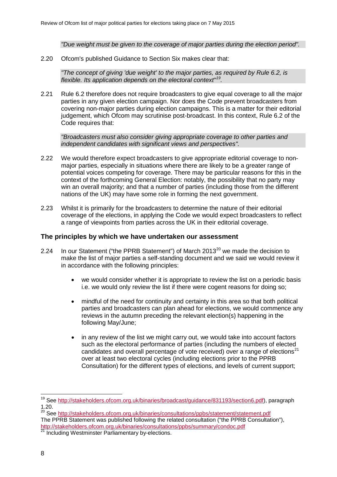*"Due weight must be given to the coverage of major parties during the election period".* 

2.20 Ofcom's published Guidance to Section Six makes clear that:

*"The concept of giving 'due weight' to the major parties, as required by Rule 6.2, is flexible. Its application depends on the electoral context"[19.](#page-10-0)* 

2.21 Rule 6.2 therefore does not require broadcasters to give equal coverage to all the major parties in any given election campaign. Nor does the Code prevent broadcasters from covering non-major parties during election campaigns. This is a matter for their editorial judgement, which Ofcom may scrutinise post-broadcast. In this context, Rule 6.2 of the Code requires that:

*"Broadcasters must also consider giving appropriate coverage to other parties and independent candidates with significant views and perspectives".*

- 2.22 We would therefore expect broadcasters to give appropriate editorial coverage to nonmajor parties, especially in situations where there are likely to be a greater range of potential voices competing for coverage. There may be particular reasons for this in the context of the forthcoming General Election: notably, the possibility that no party may win an overall majority; and that a number of parties (including those from the different nations of the UK) may have some role in forming the next government.
- 2.23 Whilst it is primarily for the broadcasters to determine the nature of their editorial coverage of the elections, in applying the Code we would expect broadcasters to reflect a range of viewpoints from parties across the UK in their editorial coverage.

#### **The principles by which we have undertaken our assessment**

- 2.24 In our Statement ("the PPRB Statement") of March [20](#page-10-1)13 $^{20}$  we made the decision to make the list of major parties a self-standing document and we said we would review it in accordance with the following principles:
	- we would consider whether it is appropriate to review the list on a periodic basis i.e. we would only review the list if there were cogent reasons for doing so;
	- mindful of the need for continuity and certainty in this area so that both political parties and broadcasters can plan ahead for elections, we would commence any reviews in the autumn preceding the relevant election(s) happening in the following May/June;
	- in any review of the list we might carry out, we would take into account factors such as the electoral performance of parties (including the numbers of elected candidates and overall percentage of vote received) over a range of elections $^{21}$  $^{21}$  $^{21}$ over at least two electoral cycles (including elections prior to the PPRB Consultation) for the different types of elections, and levels of current support;

<span id="page-10-0"></span><sup>&</sup>lt;sup>19</sup> See <u>http://stakeholders.ofcom.org.uk/binaries/broadcast/guidance/831193/section6.pdf), paragraph</u> 1.20.  $\overline{a}$ 

<span id="page-10-2"></span><span id="page-10-1"></span><sup>&</sup>lt;sup>20</sup> See<http://stakeholders.ofcom.org.uk/binaries/consultations/ppbs/statement/statement.pdf> The PPRB Statement was published following the related consultation ("the PPRB Consultation"), <http://stakeholders.ofcom.org.uk/binaries/consultations/ppbs/summary/condoc.pdf> <sup>21</sup> Including Westminster Parliamentary by-elections.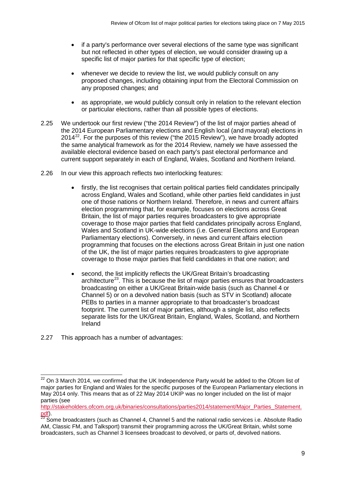- if a party's performance over several elections of the same type was significant but not reflected in other types of election, we would consider drawing up a specific list of major parties for that specific type of election;
- whenever we decide to review the list, we would publicly consult on any proposed changes, including obtaining input from the Electoral Commission on any proposed changes; and
- as appropriate, we would publicly consult only in relation to the relevant election or particular elections, rather than all possible types of elections.
- 2.25 We undertook our first review ("the 2014 Review") of the list of major parties ahead of the 2014 European Parliamentary elections and English local (and mayoral) elections in 2014 $^{22}$ . For the purposes of this review ("the 2015 Review"), we have broadly adopted the same analytical framework as for the 2014 Review, namely we have assessed the available electoral evidence based on each party's past electoral performance and current support separately in each of England, Wales, Scotland and Northern Ireland.
- 2.26 In our view this approach reflects two interlocking features:
	- firstly, the list recognises that certain political parties field candidates principally across England, Wales and Scotland, while other parties field candidates in just one of those nations or Northern Ireland. Therefore, in news and current affairs election programming that, for example, focuses on elections across Great Britain, the list of major parties requires broadcasters to give appropriate coverage to those major parties that field candidates principally across England, Wales and Scotland in UK-wide elections (i.e. General Elections and European Parliamentary elections). Conversely, in news and current affairs election programming that focuses on the elections across Great Britain in just one nation of the UK, the list of major parties requires broadcasters to give appropriate coverage to those major parties that field candidates in that one nation; and
	- second, the list implicitly reflects the UK/Great Britain's broadcasting architecture<sup>23</sup>. This is because the list of major parties ensures that broadcasters broadcasting on either a UK/Great Britain-wide basis (such as Channel 4 or Channel 5) or on a devolved nation basis (such as STV in Scotland) allocate PEBs to parties in a manner appropriate to that broadcaster's broadcast footprint. The current list of major parties, although a single list, also reflects separate lists for the UK/Great Britain, England, Wales, Scotland, and Northern Ireland
- 2.27 This approach has a number of advantages:

 $\overline{a}$ 

<span id="page-11-0"></span> $22$  On 3 March 2014, we confirmed that the UK Independence Party would be added to the Ofcom list of major parties for England and Wales for the specific purposes of the European Parliamentary elections in May 2014 only. This means that as of 22 May 2014 UKIP was no longer included on the list of major parties (see

[http://stakeholders.ofcom.org.uk/binaries/consultations/parties2014/statement/Major\\_Parties\\_Statement.](http://stakeholders.ofcom.org.uk/binaries/consultations/parties2014/statement/Major_Parties_Statement.pdf) [pdf\)](http://stakeholders.ofcom.org.uk/binaries/consultations/parties2014/statement/Major_Parties_Statement.pdf).<br><sup>23</sup> Some broadcasters (such as Channel 4, Channel 5 and the national radio services i.e. Absolute Radio

<span id="page-11-1"></span>AM, Classic FM, and Talksport) transmit their programming across the UK/Great Britain, whilst some broadcasters, such as Channel 3 licensees broadcast to devolved, or parts of, devolved nations.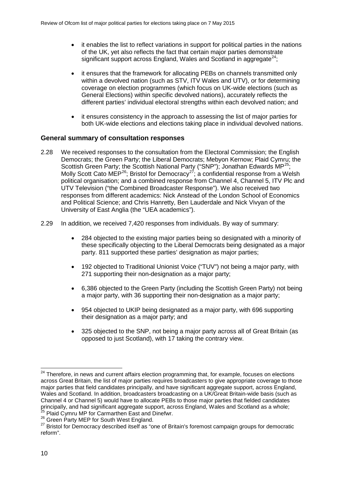- it enables the list to reflect variations in support for political parties in the nations of the UK, yet also reflects the fact that certain major parties demonstrate significant support across England, Wales and Scotland in aggregate<sup>24</sup>;
- it ensures that the framework for allocating PEBs on channels transmitted only within a devolved nation (such as STV, ITV Wales and UTV), or for determining coverage on election programmes (which focus on UK-wide elections (such as General Elections) within specific devolved nations), accurately reflects the different parties' individual electoral strengths within each devolved nation; and
- it ensures consistency in the approach to assessing the list of major parties for both UK-wide elections and elections taking place in individual devolved nations.

### **General summary of consultation responses**

- 2.28 We received responses to the consultation from the Electoral Commission; the English Democrats; the Green Party; the Liberal Democrats; Mebyon Kernow; Plaid Cymru; the Scottish Green Party; the Scottish National Party ("SNP"); Jonathan Edwards MP<sup>25</sup> Molly Scott Cato MEP<sup>[26](#page-12-2)</sup>; Bristol for Democracy<sup>27</sup>; a confidential response from a Welsh political organisation; and a combined response from Channel 4, Channel 5, ITV Plc and UTV Television ("the Combined Broadcaster Response"). We also received two responses from different academics: Nick Anstead of the London School of Economics and Political Science; and Chris Hanretty, Ben Lauderdale and Nick Vivyan of the University of East Anglia (the "UEA academics").
- 2.29 In addition, we received 7,420 responses from individuals. By way of summary:
	- 284 objected to the existing major parties being so designated with a minority of these specifically objecting to the Liberal Democrats being designated as a major party. 811 supported these parties' designation as major parties;
	- 192 objected to Traditional Unionist Voice ("TUV") not being a major party, with 271 supporting their non-designation as a major party;
	- 6,386 objected to the Green Party (including the Scottish Green Party) not being a major party, with 36 supporting their non-designation as a major party;
	- 954 objected to UKIP being designated as a major party, with 696 supporting their designation as a major party; and
	- 325 objected to the SNP, not being a major party across all of Great Britain (as opposed to just Scotland), with 17 taking the contrary view.

<span id="page-12-0"></span><sup>&</sup>lt;sup>24</sup> Therefore, in news and current affairs election programming that, for example, focuses on elections across Great Britain, the list of major parties requires broadcasters to give appropriate coverage to those major parties that field candidates principally, and have significant aggregate support, across England, Wales and Scotland. In addition, broadcasters broadcasting on a UK/Great Britain-wide basis (such as Channel 4 or Channel 5) would have to allocate PEBs to those major parties that fielded candidates principally, and had significant aggregate support, across England, Wales and Scotland as a whole;  $\overline{a}$ 

<span id="page-12-2"></span><span id="page-12-1"></span><sup>&</sup>lt;sup>25</sup> Plaid Cymru MP for Carmarthen East and Dinefwr.<br><sup>26</sup> Green Party MEP for South West England.

<span id="page-12-3"></span><sup>&</sup>lt;sup>27</sup> Bristol for Democracy described itself as "one of Britain's foremost campaign groups for democratic reform".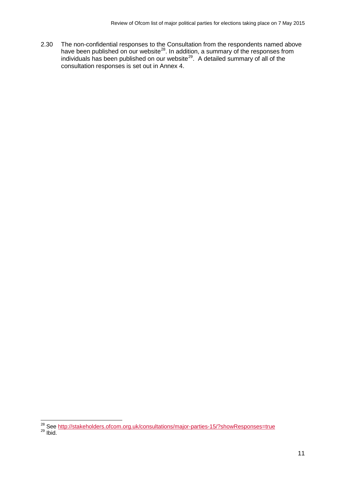2.30 The non-confidential responses to the Consultation from the respondents named above have been published on our website<sup>[28](#page-13-0)</sup>. In addition, a summary of the responses from individuals has been published on our website<sup>29</sup>. A detailed summary of all of the consultation responses is set out in Annex 4.

 $\overline{a}$ 

<span id="page-13-1"></span><span id="page-13-0"></span><sup>&</sup>lt;sup>28</sup> See <u>http://stakeholders.ofcom.org.uk/consultations/major-parties-15/?showResponses=true<br><sup>29</sup> Ibid.</u>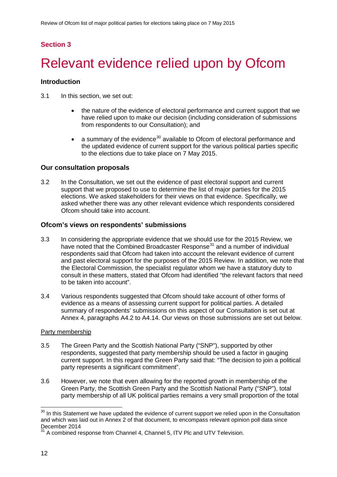## **Section 3**

# <span id="page-14-0"></span>Relevant evidence relied upon by Ofcom

### **Introduction**

3.1 In this section, we set out:

- the nature of the evidence of electoral performance and current support that we have relied upon to make our decision (including consideration of submissions from respondents to our Consultation); and
- a summary of the evidence<sup>[30](#page-14-1)</sup> available to Ofcom of electoral performance and the updated evidence of current support for the various political parties specific to the elections due to take place on 7 May 2015.

### **Our consultation proposals**

3.2 In the Consultation, we set out the evidence of past electoral support and current support that we proposed to use to determine the list of major parties for the 2015 elections. We asked stakeholders for their views on that evidence. Specifically, we asked whether there was any other relevant evidence which respondents considered Ofcom should take into account.

### **Ofcom's views on respondents' submissions**

- 3.3 In considering the appropriate evidence that we should use for the 2015 Review, we have noted that the Combined Broadcaster Response<sup>[31](#page-14-2)</sup> and a number of individual respondents said that Ofcom had taken into account the relevant evidence of current and past electoral support for the purposes of the 2015 Review. In addition, we note that the Electoral Commission, the specialist regulator whom we have a statutory duty to consult in these matters, stated that Ofcom had identified "the relevant factors that need to be taken into account".
- 3.4 Various respondents suggested that Ofcom should take account of other forms of evidence as a means of assessing current support for political parties. A detailed summary of respondents' submissions on this aspect of our Consultation is set out at Annex 4, paragraphs A4.2 to A4.14. Our views on those submissions are set out below.

#### Party membership

- 3.5 The Green Party and the Scottish National Party ("SNP"), supported by other respondents, suggested that party membership should be used a factor in gauging current support. In this regard the Green Party said that: "The decision to join a political party represents a significant commitment".
- 3.6 However, we note that even allowing for the reported growth in membership of the Green Party, the Scottish Green Party and the Scottish National Party ("SNP"), total party membership of all UK political parties remains a very small proportion of the total

<span id="page-14-1"></span> $30$  In this Statement we have updated the evidence of current support we relied upon in the Consultation and which was laid out in Annex 2 of that document, to encompass relevant opinion poll data since December 2014  $\overline{1}$ 

<span id="page-14-2"></span> $31$  A combined response from Channel 4, Channel 5, ITV Plc and UTV Television.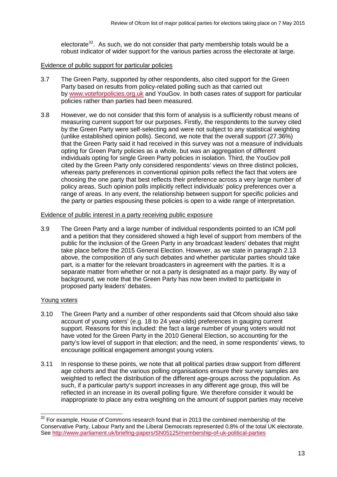electorate<sup>32</sup>. As such, we do not consider that party membership totals would be a robust indicator of wider support for the various parties across the electorate at large.

#### Evidence of public support for particular policies

- 3.7 The Green Party, supported by other respondents, also cited support for the Green Party based on results from policy-related polling such as that carried out by [www.voteforpolicies.org.uk](http://www.voteforpolicies.org.uk/) and YouGov. In both cases rates of support for particular policies rather than parties had been measured.
- 3.8 However, we do not consider that this form of analysis is a sufficiently robust means of measuring current support for our purposes. Firstly, the respondents to the survey cited by the Green Party were self-selecting and were not subject to any statistical weighting (unlike established opinion polls). Second, we note that the overall support (27.36%) that the Green Party said it had received in this survey was not a measure of individuals opting for Green Party policies as a whole, but was an aggregation of different individuals opting for single Green Party policies in isolation. Third, the YouGov poll cited by the Green Party only considered respondents' views on three distinct policies, whereas party preferences in conventional opinion polls reflect the fact that voters are choosing the one party that best reflects their preference across a very large number of policy areas. Such opinion polls implicitly reflect individuals' policy preferences over a range of areas. In any event, the relationship between support for specific policies and the party or parties espousing these policies is open to a wide range of interpretation.

#### Evidence of public interest in a party receiving public exposure

3.9 The Green Party and a large number of individual respondents pointed to an ICM poll and a petition that they considered showed a high level of support from members of the public for the inclusion of the Green Party in any broadcast leaders' debates that might take place before the 2015 General Election. However, as we state in paragraph 2.13 above, the composition of any such debates and whether particular parties should take part, is a matter for the relevant broadcasters in agreement with the parties. It is a separate matter from whether or not a party is designated as a major party. By way of background, we note that the Green Party has now been invited to participate in proposed party leaders' debates.

#### Young voters

- 3.10 The Green Party and a number of other respondents said that Ofcom should also take account of young voters' (e.g. 18 to 24 year-olds) preferences in gauging current support. Reasons for this included: the fact a large number of young voters would not have voted for the Green Party in the 2010 General Election, so accounting for the party's low level of support in that election; and the need, in some respondents' views, to encourage political engagement amongst young voters.
- 3.11 In response to these points, we note that all political parties draw support from different age cohorts and that the various polling organisations ensure their survey samples are weighted to reflect the distribution of the different age-groups across the population. As such, if a particular party's support increases in any different age group, this will be reflected in an increase in its overall polling figure. We therefore consider it would be inappropriate to place any extra weighting on the amount of support parties may receive

<span id="page-15-0"></span> $32$  For example, House of Commons research found that in 2013 the combined membership of the Conservative Party, Labour Party and the Liberal Democrats represented 0.8% of the total UK electorate. See<http://www.parliament.uk/briefing-papers/SN05125/membership-of-uk-political-parties>  $\overline{a}$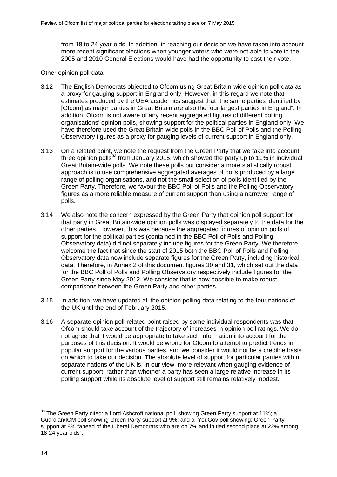from 18 to 24 year-olds. In addition, in reaching our decision we have taken into account more recent significant elections when younger voters who were not able to vote in the 2005 and 2010 General Elections would have had the opportunity to cast their vote.

#### Other opinion poll data

- 3.12 The English Democrats objected to Ofcom using Great Britain-wide opinion poll data as a proxy for gauging support in England only. However, in this regard we note that estimates produced by the UEA academics suggest that "the same parties identified by [Ofcom] as major parties in Great Britain are also the four largest parties in England". In addition, Ofcom is not aware of any recent aggregated figures of different polling organisations' opinion polls, showing support for the political parties in England only. We have therefore used the Great Britain-wide polls in the BBC Poll of Polls and the Polling Observatory figures as a proxy for gauging levels of current support in England only.
- 3.13 On a related point, we note the request from the Green Party that we take into account three opinion polls<sup>[33](#page-16-0)</sup> from January 2015, which showed the party up to 11% in individual Great Britain-wide polls. We note these polls but consider a more statistically robust approach is to use comprehensive aggregated averages of polls produced by a large range of polling organisations, and not the small selection of polls identified by the Green Party. Therefore, we favour the BBC Poll of Polls and the Polling Observatory figures as a more reliable measure of current support than using a narrower range of polls.
- 3.14 We also note the concern expressed by the Green Party that opinion poll support for that party in Great Britain-wide opinion polls was displayed separately to the data for the other parties. However, this was because the aggregated figures of opinion polls of support for the political parties (contained in the BBC Poll of Polls and Polling Observatory data) did not separately include figures for the Green Party. We therefore welcome the fact that since the start of 2015 both the BBC Poll of Polls and Polling Observatory data now include separate figures for the Green Party, including historical data. Therefore, in Annex 2 of this document figures 30 and 31, which set out the data for the BBC Poll of Polls and Polling Observatory respectively include figures for the Green Party since May 2012. We consider that is now possible to make robust comparisons between the Green Party and other parties.
- 3.15 In addition, we have updated all the opinion polling data relating to the four nations of the UK until the end of February 2015.
- 3.16 A separate opinion poll-related point raised by some individual respondents was that Ofcom should take account of the trajectory of increases in opinion poll ratings. We do not agree that it would be appropriate to take such information into account for the purposes of this decision. It would be wrong for Ofcom to attempt to predict trends in popular support for the various parties, and we consider it would not be a credible basis on which to take our decision. The absolute level of support for particular parties within separate nations of the UK is, in our view, more relevant when gauging evidence of current support, rather than whether a party has seen a large relative increase in its polling support while its absolute level of support still remains relatively modest.

<span id="page-16-0"></span> $^{33}$  The Green Party cited: a Lord Ashcroft national poll, showing Green Party support at 11%; a Guardian/ICM poll showing Green Party support at 9%; and a YouGov poll showing: Green Party support at 8% "ahead of the Liberal Democrats who are on 7% and in tied second place at 22% among 18-24 year olds".  $\overline{1}$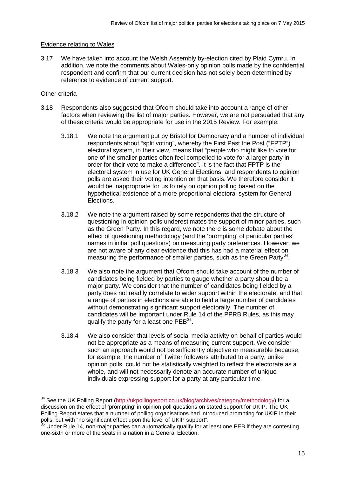#### Evidence relating to Wales

3.17 We have taken into account the Welsh Assembly by-election cited by Plaid Cymru. In addition, we note the comments about Wales-only opinion polls made by the confidential respondent and confirm that our current decision has not solely been determined by reference to evidence of current support.

#### Other criteria

 $\overline{a}$ 

- 3.18 Respondents also suggested that Ofcom should take into account a range of other factors when reviewing the list of major parties. However, we are not persuaded that any of these criteria would be appropriate for use in the 2015 Review. For example:
	- 3.18.1 We note the argument put by Bristol for Democracy and a number of individual respondents about "split voting", whereby the First Past the Post ("FPTP") electoral system, in their view, means that "people who might like to vote for one of the smaller parties often feel compelled to vote for a larger party in order for their vote to make a difference". It is the fact that FPTP is the electoral system in use for UK General Elections, and respondents to opinion polls are asked their voting intention on that basis. We therefore consider it would be inappropriate for us to rely on opinion polling based on the hypothetical existence of a more proportional electoral system for General Elections.
	- 3.18.2 We note the argument raised by some respondents that the structure of questioning in opinion polls underestimates the support of minor parties, such as the Green Party. In this regard, we note there is some debate about the effect of questioning methodology (and the 'prompting' of particular parties' names in initial poll questions) on measuring party preferences. However, we are not aware of any clear evidence that this has had a material effect on measuring the performance of smaller parties, such as the Green Party<sup>[34](#page-17-0)</sup>.
	- 3.18.3 We also note the argument that Ofcom should take account of the number of candidates being fielded by parties to gauge whether a party should be a major party. We consider that the number of candidates being fielded by a party does not readily correlate to wider support within the electorate, and that a range of parties in elections are able to field a large number of candidates without demonstrating significant support electorally. The number of candidates will be important under Rule 14 of the PPRB Rules, as this may qualify the party for a least one  $PEB<sup>35</sup>$ .
	- 3.18.4 We also consider that levels of social media activity on behalf of parties would not be appropriate as a means of measuring current support. We consider such an approach would not be sufficiently objective or measurable because, for example, the number of Twitter followers attributed to a party, unlike opinion polls, could not be statistically weighted to reflect the electorate as a whole, and will not necessarily denote an accurate number of unique individuals expressing support for a party at any particular time.

<span id="page-17-0"></span><sup>&</sup>lt;sup>34</sup> See the UK Polling Report [\(http://ukpollingreport.co.uk/blog/archives/category/methodology\)](http://ukpollingreport.co.uk/blog/archives/category/methodology) for a discussion on the effect of 'prompting' in opinion poll questions on stated support for UKIP. The UK Polling Report states that a number of polling organisations had introduced prompting for UKIP in their polls, but with "no significant effect upon the level of UKIP support".

<span id="page-17-1"></span><sup>&</sup>lt;sup>35</sup> Under Rule 14, non-major parties can automatically qualify for at least one PEB if they are contesting one-sixth or more of the seats in a nation in a General Election.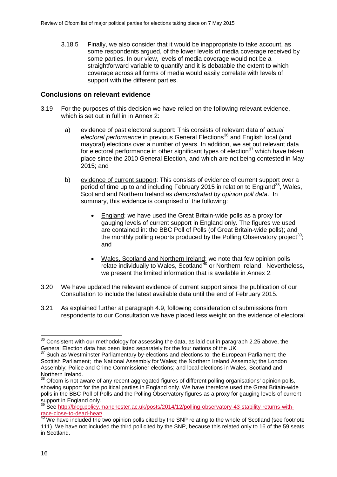3.18.5 Finally, we also consider that it would be inappropriate to take account, as some respondents argued, of the lower levels of media coverage received by some parties. In our view, levels of media coverage would not be a straightforward variable to quantify and it is debatable the extent to which coverage across all forms of media would easily correlate with levels of support with the different parties.

## **Conclusions on relevant evidence**

- 3.19 For the purposes of this decision we have relied on the following relevant evidence, which is set out in full in in Annex 2:
	- a) evidence of past electoral support: This consists of relevant data of *actual electoral performance* in previous General Elections<sup>[36](#page-18-0)</sup> and English local (and mayoral) elections over a number of years. In addition, we set out relevant data for electoral performance in other significant types of election<sup>[37](#page-18-1)</sup> which have taken place since the 2010 General Election, and which are not being contested in May 2015; and
	- b) evidence of current support: This consists of evidence of current support over a period of time up to and including February 2015 in relation to England<sup>[38](#page-18-2)</sup>, Wales, Scotland and Northern Ireland *as demonstrated by opinion poll data*. In summary, this evidence is comprised of the following:
		- England: we have used the Great Britain-wide polls as a proxy for gauging levels of current support in England only. The figures we used are contained in: the BBC Poll of Polls (of Great Britain-wide polls); and the monthly polling reports produced by the Polling Observatory project<sup>[39](#page-18-3)</sup>: and
		- Wales, Scotland and Northern Ireland: we note that few opinion polls relate individually to Wales, Scotland<sup>[40](#page-18-4)</sup> or Northern Ireland. Nevertheless, we present the limited information that is available in Annex 2.
- 3.20 We have updated the relevant evidence of current support since the publication of our Consultation to include the latest available data until the end of February 2015.
- 3.21 As explained further at paragraph 4.9, following consideration of submissions from respondents to our Consultation we have placed less weight on the evidence of electoral

<span id="page-18-0"></span> $36$  Consistent with our methodology for assessing the data, as laid out in paragraph 2.25 above, the General Election data has been listed separately for the four nations of the UK.  $\overline{a}$ 

<span id="page-18-1"></span>Such as Westminster Parliamentary by-elections and elections to: the European Parliament; the Scottish Parliament; the National Assembly for Wales; the Northern Ireland Assembly; the London Assembly; Police and Crime Commissioner elections; and local elections in Wales, Scotland and Northern Ireland.

<span id="page-18-2"></span> $38$  Ofcom is not aware of any recent aggregated figures of different polling organisations' opinion polls, showing support for the political parties in England only. We have therefore used the Great Britain-wide polls in the BBC Poll of Polls and the Polling Observatory figures as a proxy for gauging levels of current support in England only.

<span id="page-18-3"></span><sup>&</sup>lt;sup>39</sup> See [http://blog.policy.manchester.ac.uk/posts/2014/12/polling-observatory-43-stability-returns-with](http://blog.policy.manchester.ac.uk/posts/2014/12/polling-observatory-43-stability-returns-with-race-close-to-dead-heat/)[race-close-to-dead-heat/](http://blog.policy.manchester.ac.uk/posts/2014/12/polling-observatory-43-stability-returns-with-race-close-to-dead-heat/)

<span id="page-18-4"></span><sup>&</sup>lt;sup>40</sup> We have included the two opinion polls cited by the SNP relating to the whole of Scotland (see footnote 111). We have not included the third poll cited by the SNP, because this related only to 16 of the 59 seats in Scotland.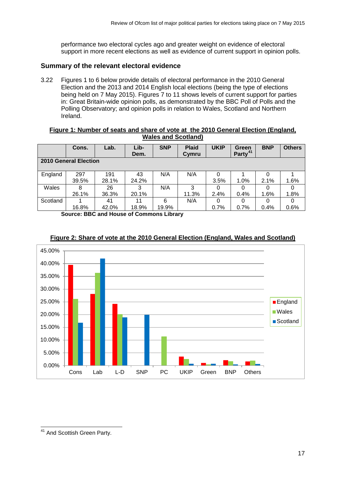performance two electoral cycles ago and greater weight on evidence of electoral support in more recent elections as well as evidence of current support in opinion polls.

## **Summary of the relevant electoral evidence**

3.22 Figures 1 to 6 below provide details of electoral performance in the 2010 General Election and the 2013 and 2014 English local elections (being the type of elections being held on 7 May 2015). Figures 7 to 11 shows levels of current support for parties in: Great Britain-wide opinion polls, as demonstrated by the BBC Poll of Polls and the Polling Observatory; and opinion polls in relation to Wales, Scotland and Northern Ireland.

#### **Figure 1: Number of seats and share of vote at the 2010 General Election (England, Wales and Scotland)**

|                       | Cons. | Lab.  | Lib-<br>Dem. | <b>SNP</b> | <b>Plaid</b><br>Cymru | <b>UKIP</b> | Green<br>Party <sup>41</sup> | <b>BNP</b> | <b>Others</b> |
|-----------------------|-------|-------|--------------|------------|-----------------------|-------------|------------------------------|------------|---------------|
| 2010 General Election |       |       |              |            |                       |             |                              |            |               |
| England               | 297   | 191   | 43           | N/A        | N/A                   |             |                              |            |               |
|                       | 39.5% | 28.1% | 24.2%        |            |                       | 3.5%        | 1.0%                         | 2.1%       | 1.6%          |
| Wales                 | 8     | 26    | 3            | N/A        | 3                     |             |                              |            |               |
|                       | 26.1% | 36.3% | 20.1%        |            | 11.3%                 | 2.4%        | 0.4%                         | 1.6%       | 1.8%          |
| Scotland              |       | 41    | 11           | 6          | N/A                   | O           |                              |            |               |
|                       | 16.8% | 42.0% | 18.9%        | 19.9%      |                       | 0.7%        | 0.7%                         | 0.4%       | 0.6%          |

**Source: BBC and House of Commons Library**



## **Figure 2: Share of vote at the 2010 General Election (England, Wales and Scotland)**

<span id="page-19-0"></span><sup>&</sup>lt;sup>41</sup> And Scottish Green Party.  $\overline{\phantom{a}}$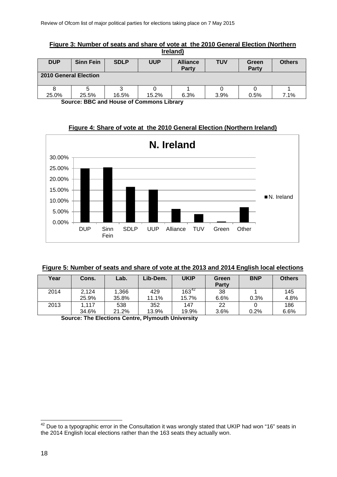| Ireland)                                   |                  |             |            |                          |            |                       |               |  |  |
|--------------------------------------------|------------------|-------------|------------|--------------------------|------------|-----------------------|---------------|--|--|
| <b>DUP</b>                                 | <b>Sinn Fein</b> | <b>SDLP</b> | <b>UUP</b> | <b>Alliance</b><br>Party | <b>TUV</b> | Green<br><b>Party</b> | <b>Others</b> |  |  |
| <b>2010 General Election</b>               |                  |             |            |                          |            |                       |               |  |  |
|                                            |                  |             |            |                          |            |                       |               |  |  |
| 25.0%                                      | 25.5%            | 16.5%       | 15.2%      | 6.3%                     | 3.9%       | 0.5%                  | 7.1%          |  |  |
| Course, BBC and Harris of Commons Hillson, |                  |             |            |                          |            |                       |               |  |  |

**Figure 3: Number of seats and share of vote at the 2010 General Election (Northern** 

**Source: BBC and House of Commons Library**

**Figure 4: Share of vote at the 2010 General Election (Northern Ireland)**



|  | Figure 5: Number of seats and share of vote at the 2013 and 2014 English local elections |
|--|------------------------------------------------------------------------------------------|
|  |                                                                                          |

| Year | Cons. | Lab.  | Lib-Dem. | <b>UKIP</b> | Green<br>Party | <b>BNP</b> | <b>Others</b> |
|------|-------|-------|----------|-------------|----------------|------------|---------------|
| 2014 | 2.124 | 1,366 | 429      | $163^{42}$  | 38             |            | 145           |
|      | 25.9% | 35.8% | 11.1%    | 15.7%       | 6.6%           | 0.3%       | 4.8%          |
| 2013 | 1,117 | 538   | 352      | 147         | 22             |            | 186           |
|      | 34.6% | 21.2% | 13.9%    | 19.9%       | 3.6%           | 0.2%       | 6.6%          |

**Source: The Elections Centre, Plymouth University**

<span id="page-20-0"></span> $42$  Due to a typographic error in the Consultation it was wrongly stated that UKIP had won "16" seats in the 2014 English local elections rather than the 163 seats they actually won.  $\overline{a}$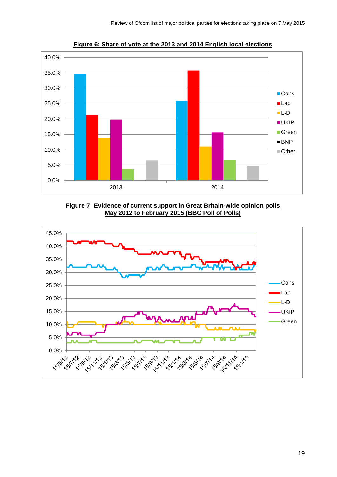

**Figure 6: Share of vote at the 2013 and 2014 English local elections**





19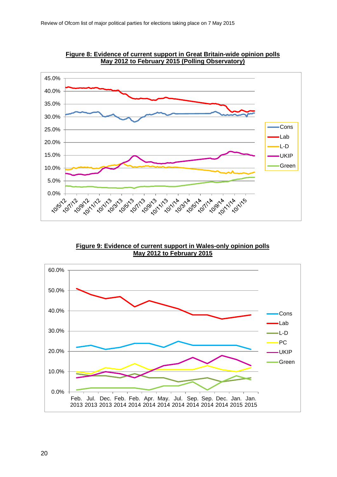

**Figure 8: Evidence of current support in Great Britain-wide opinion polls May 2012 to February 2015 (Polling Observatory)**

**Figure 9: Evidence of current support in Wales-only opinion polls May 2012 to February 2015**

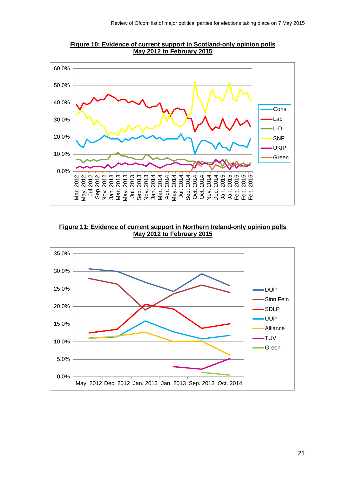

**Figure 10: Evidence of current support in Scotland-only opinion polls May 2012 to February 2015** 

**Figure 11: Evidence of current support in Northern Ireland-only opinion polls May 2012 to February 2015** 

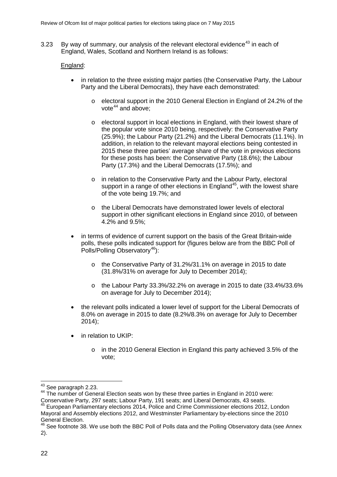3.23 By way of summary, our analysis of the relevant electoral evidence<sup>[43](#page-24-0)</sup> in each of England, Wales, Scotland and Northern Ireland is as follows:

#### England:

- in relation to the three existing major parties (the Conservative Party, the Labour Party and the Liberal Democrats), they have each demonstrated:
	- o electoral support in the 2010 General Election in England of 24.2% of the vote $44$  and above:
	- o electoral support in local elections in England, with their lowest share of the popular vote since 2010 being, respectively: the Conservative Party (25.9%); the Labour Party (21.2%) and the Liberal Democrats (11.1%). In addition, in relation to the relevant mayoral elections being contested in 2015 these three parties' average share of the vote in previous elections for these posts has been: the Conservative Party (18.6%); the Labour Party (17.3%) and the Liberal Democrats (17.5%); and
	- o in relation to the Conservative Party and the Labour Party, electoral support in a range of other elections in England<sup>[45](#page-24-2)</sup>, with the lowest share of the vote being 19.7%; and
	- o the Liberal Democrats have demonstrated lower levels of electoral support in other significant elections in England since 2010, of between 4.2% and 9.5%;
- in terms of evidence of current support on the basis of the Great Britain-wide polls, these polls indicated support for (figures below are from the BBC Poll of Polls/Polling Observatory<sup>[46](#page-24-3)</sup>):
	- o the Conservative Party of 31.2%/31.1% on average in 2015 to date (31.8%/31% on average for July to December 2014);
	- o the Labour Party 33.3%/32.2% on average in 2015 to date (33.4%/33.6% on average for July to December 2014);
- the relevant polls indicated a lower level of support for the Liberal Democrats of 8.0% on average in 2015 to date (8.2%/8.3% on average for July to December 2014);
- in relation to UKIP:
	- o in the 2010 General Election in England this party achieved 3.5% of the vote;

<span id="page-24-0"></span> $43$  See paragraph 2.23.

<span id="page-24-1"></span><sup>44</sup> The number of General Election seats won by these three parties in England in 2010 were: Conservative Party, 297 seats; Labour Party, 191 seats; and Liberal Democrats, 43 seats.

<span id="page-24-2"></span><sup>45</sup> European Parliamentary elections 2014, Police and Crime Commissioner elections 2012, London Mayoral and Assembly elections 2012, and Westminster Parliamentary by-elections since the 2010 General Election.

<span id="page-24-3"></span><sup>46</sup> See footnote 38. We use both the BBC Poll of Polls data and the Polling Observatory data (see Annex 2).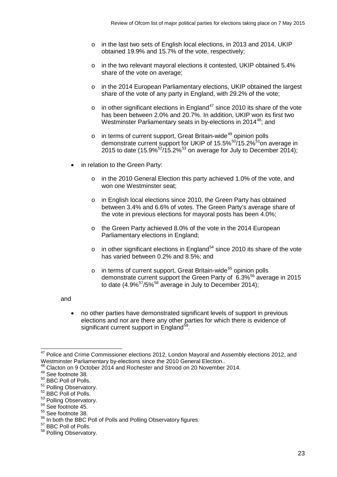- o in the last two sets of English local elections, in 2013 and 2014, UKIP obtained 19.9% and 15.7% of the vote, respectively;
- o in the two relevant mayoral elections it contested, UKIP obtained 5.4% share of the vote on average;
- o in the 2014 European Parliamentary elections, UKIP obtained the largest share of the vote of any party in England, with 29.2% of the vote;
- $\circ$  in other significant elections in England<sup>[47](#page-25-0)</sup> since 2010 its share of the vote has been between 2.0% and 20.7%. In addition, UKIP won its first two Westminster Parliamentary seats in by-elections in 2014<sup>48</sup>; and
- $\circ$  in terms of current support, Great Britain-wide<sup>[49](#page-25-2)</sup> opinion polls demonstrate current support for UKIP of  $15.5\%$ <sup>50</sup>/15.2%<sup>[51](#page-25-4)</sup>on average in 2015 to date (15.9% $<sup>52</sup>/15.2\%$ <sup>[53](#page-25-6)</sup> on average for July to December 2014);</sup>
- in relation to the Green Party:
	- o in the 2010 General Election this party achieved 1.0% of the vote, and won one Westminster seat;
	- o in English local elections since 2010, the Green Party has obtained between 3.4% and 6.6% of votes. The Green Party's average share of the vote in previous elections for mayoral posts has been 4.0%;
	- o the Green Party achieved 8.0% of the vote in the 2014 European Parliamentary elections in England;
	- $\circ$  in other significant elections in England<sup>[54](#page-25-7)</sup> since 2010 its share of the vote has varied between 0.2% and 8.5%; and
	- $\circ$  in terms of current support, Great Britain-wide<sup>[55](#page-25-8)</sup> opinion polls demonstrate current support the Green Party of  $6.3\%$ <sup>[56](#page-25-9)</sup> average in 2015 to date  $(4.9\%^{57}/5\%^{58}$  $(4.9\%^{57}/5\%^{58}$  $(4.9\%^{57}/5\%^{58}$  $(4.9\%^{57}/5\%^{58}$  $(4.9\%^{57}/5\%^{58}$  average in July to December 2014);

#### and

• no other parties have demonstrated significant levels of support in previous elections and nor are there any other parties for which there is evidence of significant current support in England<sup>59</sup>.

<span id="page-25-0"></span><sup>&</sup>lt;sup>47</sup> Police and Crime Commissioner elections 2012, London Mayoral and Assembly elections 2012, and Westminster Parliamentary by-elections since the 2010 General Election..  $\overline{\phantom{a}}$ 

<sup>48</sup> Clacton on 9 October 2014 and Rochester and Strood on 20 November 2014.

<span id="page-25-2"></span><span id="page-25-1"></span><sup>49</sup> See footnote 38.

<span id="page-25-3"></span><sup>50</sup> BBC Poll of Polls.<br>
<sup>51</sup> Polling Observatory.

<span id="page-25-5"></span><span id="page-25-4"></span> $52$  BBC Poll of Polls.

<span id="page-25-6"></span> $53$  Polling Observatory.<br> $54$  See footnote 45.

<span id="page-25-8"></span><span id="page-25-7"></span><sup>&</sup>lt;sup>55</sup> See footnote 38.

<span id="page-25-9"></span><sup>56</sup> In both the BBC Poll of Polls and Polling Observatory figures.<br>57 BBC Poll of Polls.

<span id="page-25-10"></span>

<span id="page-25-11"></span><sup>58</sup> Polling Observatory.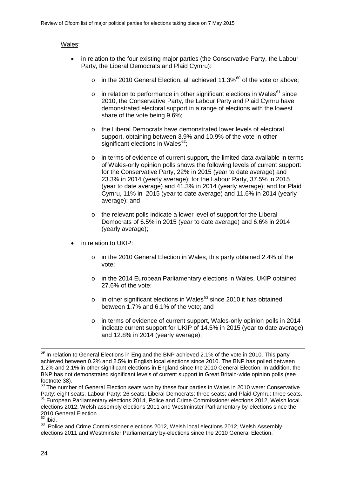#### Wales:

- in relation to the four existing major parties (the Conservative Party, the Labour Party, the Liberal Democrats and Plaid Cymru):
	- o in the 2010 General Election, all achieved 11.3% $^{60}$  $^{60}$  $^{60}$  of the vote or above:
	- $\circ$  in relation to performance in other significant elections in Wales<sup>[61](#page-26-1)</sup> since 2010, the Conservative Party, the Labour Party and Plaid Cymru have demonstrated electoral support in a range of elections with the lowest share of the vote being 9.6%;
	- o the Liberal Democrats have demonstrated lower levels of electoral support, obtaining between 3.9% and 10.9% of the vote in other significant elections in Wales $62$ ;
	- o in terms of evidence of current support, the limited data available in terms of Wales-only opinion polls shows the following levels of current support: for the Conservative Party, 22% in 2015 (year to date average) and 23.3% in 2014 (yearly average); for the Labour Party, 37.5% in 2015 (year to date average) and 41.3% in 2014 (yearly average); and for Plaid Cymru, 11% in 2015 (year to date average) and 11.6% in 2014 (yearly average); and
	- $\circ$  the relevant polls indicate a lower level of support for the Liberal Democrats of 6.5% in 2015 (year to date average) and 6.6% in 2014 (yearly average);
- in relation to UKIP:
	- o in the 2010 General Election in Wales, this party obtained 2.4% of the vote;
	- o in the 2014 European Parliamentary elections in Wales, UKIP obtained 27.6% of the vote;
	- $\circ$  in other significant elections in Wales<sup>[63](#page-26-3)</sup> since 2010 it has obtained between 1.7% and 6.1% of the vote; and
	- o in terms of evidence of current support, Wales-only opinion polls in 2014 indicate current support for UKIP of 14.5% in 2015 (year to date average) and 12.8% in 2014 (yearly average);

 $59$  In relation to General Elections in England the BNP achieved 2.1% of the vote in 2010. This party achieved between 0.2% and 2.5% in English local elections since 2010. The BNP has polled between 1.2% and 2.1% in other significant elections in England since the 2010 General Election. In addition, the BNP has not demonstrated significant levels of current support in Great Britain-wide opinion polls (see footnote 38).  $\overline{a}$ 

<span id="page-26-1"></span><span id="page-26-0"></span> $60$  The number of General Election seats won by these four parties in Wales in 2010 were: Conservative Party: eight seats; Labour Party: 26 seats; Liberal Democrats: three seats; and Plaid Cymru: three seats.  $61$  European Parliamentary elections 2014, Police and Crime Commissioner elections 2012, Welsh local elections 2012, Welsh assembly elections 2011 and Westminster Parliamentary by-elections since the 2010 General Election.

<span id="page-26-2"></span> $\overline{62}$  Ibid.

<span id="page-26-3"></span><sup>&</sup>lt;sup>63</sup> Police and Crime Commissioner elections 2012, Welsh local elections 2012, Welsh Assembly elections 2011 and Westminster Parliamentary by-elections since the 2010 General Election.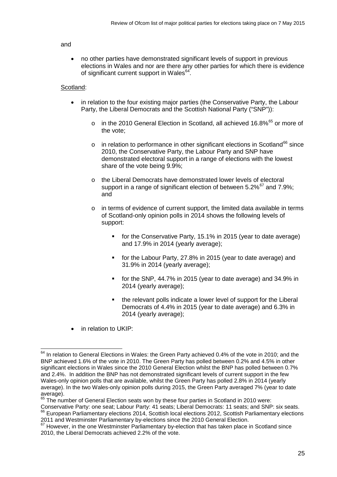#### and

• no other parties have demonstrated significant levels of support in previous elections in Wales and nor are there any other parties for which there is evidence of significant current support in Wales<sup>[64](#page-27-0)</sup>.

#### Scotland:

- in relation to the four existing major parties (the Conservative Party, the Labour Party, the Liberal Democrats and the Scottish National Party ("SNP")):
	- o in the 2010 General Election in Scotland, all achieved 16.8%<sup>[65](#page-27-1)</sup> or more of the vote;
	- $\circ$  in relation to performance in other significant elections in Scotland<sup>[66](#page-27-2)</sup> since 2010, the Conservative Party, the Labour Party and SNP have demonstrated electoral support in a range of elections with the lowest share of the vote being 9.9%;
	- o the Liberal Democrats have demonstrated lower levels of electoral support in a range of significant election of between  $5.2\%$ <sup>[67](#page-27-3)</sup> and  $7.9\%$ ; and
	- o in terms of evidence of current support, the limited data available in terms of Scotland-only opinion polls in 2014 shows the following levels of support:
		- for the Conservative Party, 15.1% in 2015 (year to date average) and 17.9% in 2014 (yearly average);
		- for the Labour Party, 27.8% in 2015 (year to date average) and 31.9% in 2014 (yearly average);
		- for the SNP, 44.7% in 2015 (year to date average) and 34.9% in 2014 (yearly average);
		- the relevant polls indicate a lower level of support for the Liberal Democrats of 4.4% in 2015 (year to date average) and 6.3% in 2014 (yearly average);
- in relation to UKIP:

<span id="page-27-0"></span> $64$  In relation to General Elections in Wales: the Green Party achieved 0.4% of the vote in 2010; and the BNP achieved 1.6% of the vote in 2010. The Green Party has polled between 0.2% and 4.5% in other significant elections in Wales since the 2010 General Election whilst the BNP has polled between 0.7% and 2.4%. In addition the BNP has not demonstrated significant levels of current support in the few Wales-only opinion polls that are available, whilst the Green Party has polled 2.8% in 2014 (yearly average). In the two Wales-only opinion polls during 2015, the Green Party averaged 7% (year to date average).  $\overline{a}$ 

<sup>&</sup>lt;sup>65</sup> The number of General Election seats won by these four parties in Scotland in 2010 were:

<span id="page-27-2"></span><span id="page-27-1"></span>Conservative Party: one seat; Labour Party: 41 seats; Liberal Democrats: 11 seats; and SNP: six seats. <sup>66</sup> European Parliamentary elections 2014, Scottish local elections 2012, Scottish Parliamentary elections 2011 and Westminster Parliamentary by-elections since the 2010 General Election.

<span id="page-27-3"></span> $\frac{67}{67}$  However. in the one Westminster Parliamentary by-election that has taken place in Scotland since 2010, the Liberal Democrats achieved 2.2% of the vote.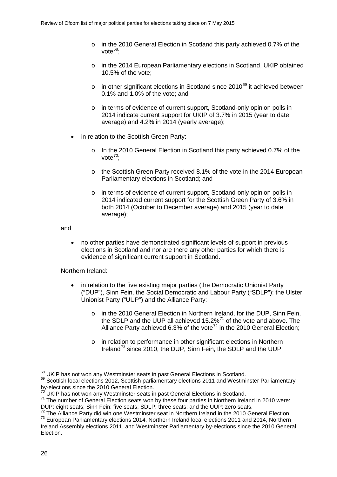- o in the 2010 General Election in Scotland this party achieved 0.7% of the vote $^{68}$  $^{68}$  $^{68}$
- o in the 2014 European Parliamentary elections in Scotland, UKIP obtained 10.5% of the vote;
- $\circ$  in other significant elections in Scotland since 2010<sup>[69](#page-28-1)</sup> it achieved between 0.1% and 1.0% of the vote; and
- o in terms of evidence of current support, Scotland-only opinion polls in 2014 indicate current support for UKIP of 3.7% in 2015 (year to date average) and 4.2% in 2014 (yearly average);
- in relation to the Scottish Green Party:
	- o In the 2010 General Election in Scotland this party achieved 0.7% of the vote $70$ .
	- o the Scottish Green Party received 8.1% of the vote in the 2014 European Parliamentary elections in Scotland; and
	- o in terms of evidence of current support, Scotland-only opinion polls in 2014 indicated current support for the Scottish Green Party of 3.6% in both 2014 (October to December average) and 2015 (year to date average);

#### and

• no other parties have demonstrated significant levels of support in previous elections in Scotland and nor are there any other parties for which there is evidence of significant current support in Scotland.

#### Northern Ireland:

- in relation to the five existing major parties (the Democratic Unionist Party ("DUP"), Sinn Fein, the Social Democratic and Labour Party ("SDLP"); the Ulster Unionist Party ("UUP") and the Alliance Party:
	- o in the 2010 General Election in Northern Ireland, for the DUP, Sinn Fein, the SDLP and the UUP all achieved  $15.2\%$ <sup>[71](#page-28-3)</sup> of the vote and above. The Alliance Party achieved 6.3% of the vote<sup>[72](#page-28-4)</sup> in the 2010 General Election;
	- o in relation to performance in other significant elections in Northern Ireland<sup>[73](#page-28-5)</sup> since 2010, the DUP, Sinn Fein, the SDLP and the UUP

<span id="page-28-0"></span><sup>68</sup> UKIP has not won any Westminster seats in past General Elections in Scotland.

<span id="page-28-1"></span><sup>69</sup> Scottish local elections 2012, Scottish parliamentary elections 2011 and Westminster Parliamentary by-elections since the 2010 General Election.<br><sup>70</sup> UKIP has not won any Westminster seats in past General Elections in Scotland.

<span id="page-28-3"></span><span id="page-28-2"></span> $71$  The number of General Election seats won by these four parties in Northern Ireland in 2010 were: DUP: eight seats; Sinn Fein: five seats; SDLP: three seats; and the UUP: zero seats.

<span id="page-28-5"></span><span id="page-28-4"></span>The Alliance Party did win one Westminster seat in Northern Ireland in the 2010 General Election. <sup>73</sup> European Parliamentary elections 2014, Northern Ireland local elections 2011 and 2014, Northern

Ireland Assembly elections 2011, and Westminster Parliamentary by-elections since the 2010 General Election.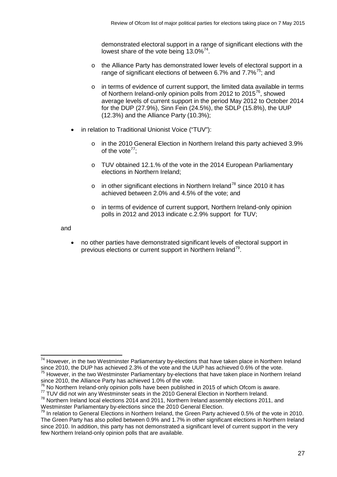demonstrated electoral support in a range of significant elections with the lowest share of the vote being  $13.0\%^{74}$  $13.0\%^{74}$  $13.0\%^{74}$ .

- o the Alliance Party has demonstrated lower levels of electoral support in a range of significant elections of between 6.7% and  $7.7\%$ <sup>[75](#page-29-1)</sup>; and
- o in terms of evidence of current support, the limited data available in terms of Northern Ireland-only opinion polls from 2012 to 2015[76,](#page-29-2) showed average levels of current support in the period May 2012 to October 2014 for the DUP (27.9%), Sinn Fein (24.5%), the SDLP (15.8%), the UUP (12.3%) and the Alliance Party (10.3%);
- in relation to Traditional Unionist Voice ("TUV"):
	- o in the 2010 General Election in Northern Ireland this party achieved 3.9% of the vote<sup> $77$ </sup>:
	- o TUV obtained 12.1.% of the vote in the 2014 European Parliamentary elections in Northern Ireland;
	- o in other significant elections in Northern Ireland<sup>[78](#page-29-4)</sup> since 2010 it has achieved between 2.0% and 4.5% of the vote; and
	- o in terms of evidence of current support, Northern Ireland-only opinion polls in 2012 and 2013 indicate c.2.9% support for TUV;

and

• no other parties have demonstrated significant levels of electoral support in previous elections or current support in Northern Ireland<sup>79</sup>.

<span id="page-29-0"></span><sup>&</sup>lt;sup>74</sup> However, in the two Westminster Parliamentary by-elections that have taken place in Northern Ireland since 2010, the DUP has achieved 2.3% of the vote and the UUP has achieved 0.6% of the vote.  $\overline{a}$ 

<span id="page-29-1"></span><sup>&</sup>lt;sup>75</sup> However, in the two Westminster Parliamentary by-elections that have taken place in Northern Ireland since 2010, the Alliance Party has achieved 1.0% of the vote.<br><sup>76</sup> No Northern Ireland-only opinion polls have been published in 2015 of which Ofcom is aware.

<span id="page-29-3"></span><span id="page-29-2"></span><sup>77</sup> TUV did not win any Westminster seats in the 2010 General Election in Northern Ireland.

<span id="page-29-4"></span> $78$  Northern Ireland local elections 2014 and 2011, Northern Ireland assembly elections 2011, and Westminster Parliamentary by-elections since the 2010 General Election.

<span id="page-29-5"></span><sup>&</sup>lt;sup>79</sup> In relation to General Elections in Northern Ireland, the Green Party achieved 0.5% of the vote in 2010. The Green Party has also polled between 0.9% and 1.7% in other significant elections in Northern Ireland since 2010. In addition, this party has not demonstrated a significant level of current support in the very few Northern Ireland-only opinion polls that are available.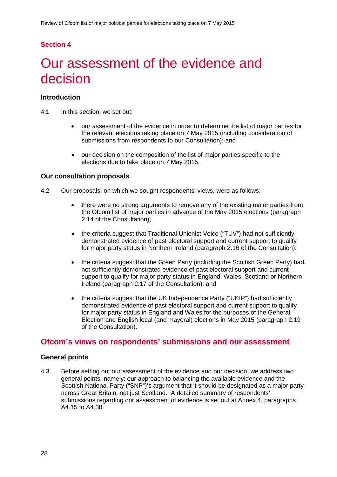## **Section 4**

# <span id="page-30-0"></span>Our assessment of the evidence and decision

### **Introduction**

- 4.1 In this section, we set out:
	- our assessment of the evidence in order to determine the list of major parties for the relevant elections taking place on 7 May 2015 (including consideration of submissions from respondents to our Consultation); and
	- our decision on the composition of the list of major parties specific to the elections due to take place on 7 May 2015.

#### **Our consultation proposals**

- 4.2 Our proposals, on which we sought respondents' views, were as follows:
	- there were no strong arguments to remove any of the existing major parties from the Ofcom list of major parties in advance of the May 2015 elections (paragraph 2.14 of the Consultation);
	- the criteria suggest that Traditional Unionist Voice ("TUV") had not sufficiently demonstrated evidence of past electoral support and current support to qualify for major party status in Northern Ireland (paragraph 2.16 of the Consultation);
	- the criteria suggest that the Green Party (including the Scottish Green Party) had not sufficiently demonstrated evidence of past electoral support and current support to qualify for major party status in England, Wales, Scotland or Northern Ireland (paragraph 2.17 of the Consultation); and
	- the criteria suggest that the UK Independence Party ("UKIP") had sufficiently demonstrated evidence of past electoral support and current support to qualify for major party status in England and Wales for the purposes of the General Election and English local (and mayoral) elections in May 2015 (paragraph 2.19 of the Consultation).

## **Ofcom's views on respondents' submissions and our assessment**

#### **General points**

4.3 Before setting out our assessment of the evidence and our decision, we address two general points, namely: our approach to balancing the available evidence and the Scottish National Party ("SNP")'s argument that it should be designated as a major party across Great Britain, not just Scotland. A detailed summary of respondents' submissions regarding our assessment of evidence is set out at Annex 4, paragraphs A4.15 to A4.38.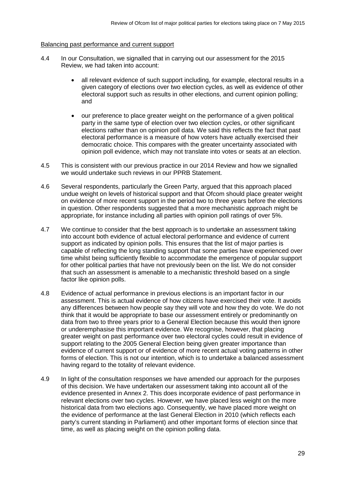#### Balancing past performance and current support

- 4.4 In our Consultation, we signalled that in carrying out our assessment for the 2015 Review, we had taken into account:
	- all relevant evidence of such support including, for example, electoral results in a given category of elections over two election cycles, as well as evidence of other electoral support such as results in other elections, and current opinion polling; and
	- our preference to place greater weight on the performance of a given political party in the same type of election over two election cycles, or other significant elections rather than on opinion poll data. We said this reflects the fact that past electoral performance is a measure of how voters have actually exercised their democratic choice. This compares with the greater uncertainty associated with opinion poll evidence, which may not translate into votes or seats at an election.
- 4.5 This is consistent with our previous practice in our 2014 Review and how we signalled we would undertake such reviews in our PPRB Statement.
- 4.6 Several respondents, particularly the Green Party, argued that this approach placed undue weight on levels of historical support and that Ofcom should place greater weight on evidence of more recent support in the period two to three years before the elections in question. Other respondents suggested that a more mechanistic approach might be appropriate, for instance including all parties with opinion poll ratings of over 5%.
- 4.7 We continue to consider that the best approach is to undertake an assessment taking into account both evidence of actual electoral performance and evidence of current support as indicated by opinion polls. This ensures that the list of major parties is capable of reflecting the long standing support that some parties have experienced over time whilst being sufficiently flexible to accommodate the emergence of popular support for other political parties that have not previously been on the list. We do not consider that such an assessment is amenable to a mechanistic threshold based on a single factor like opinion polls.
- 4.8 Evidence of actual performance in previous elections is an important factor in our assessment. This is actual evidence of how citizens have exercised their vote. It avoids any differences between how people say they will vote and how they do vote. We do not think that it would be appropriate to base our assessment entirely or predominantly on data from two to three years prior to a General Election because this would then ignore or underemphasise this important evidence. We recognise, however, that placing greater weight on past performance over two electoral cycles could result in evidence of support relating to the 2005 General Election being given greater importance than evidence of current support or of evidence of more recent actual voting patterns in other forms of election. This is not our intention, which is to undertake a balanced assessment having regard to the totality of relevant evidence.
- 4.9 In light of the consultation responses we have amended our approach for the purposes of this decision. We have undertaken our assessment taking into account all of the evidence presented in Annex 2. This does incorporate evidence of past performance in relevant elections over two cycles. However, we have placed less weight on the more historical data from two elections ago. Consequently, we have placed more weight on the evidence of performance at the last General Election in 2010 (which reflects each party's current standing in Parliament) and other important forms of election since that time, as well as placing weight on the opinion polling data.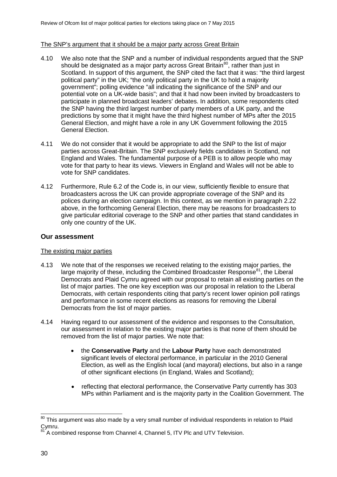#### The SNP's argument that it should be a major party across Great Britain

- 4.10 We also note that the SNP and a number of individual respondents argued that the SNP should be designated as a major party across Great Britain<sup>80</sup>, rather than just in Scotland. In support of this argument, the SNP cited the fact that it was: "the third largest political party" in the UK; "the only political party in the UK to hold a majority government"; polling evidence "all indicating the significance of the SNP and our potential vote on a UK-wide basis"; and that it had now been invited by broadcasters to participate in planned broadcast leaders' debates. In addition, some respondents cited the SNP having the third largest number of party members of a UK party, and the predictions by some that it might have the third highest number of MPs after the 2015 General Election, and might have a role in any UK Government following the 2015 General Election.
- 4.11 We do not consider that it would be appropriate to add the SNP to the list of major parties across Great-Britain. The SNP exclusively fields candidates in Scotland, not England and Wales. The fundamental purpose of a PEB is to allow people who may vote for that party to hear its views. Viewers in England and Wales will not be able to vote for SNP candidates.
- 4.12 Furthermore, Rule 6.2 of the Code is, in our view, sufficiently flexible to ensure that broadcasters across the UK can provide appropriate coverage of the SNP and its polices during an election campaign. In this context, as we mention in paragraph 2.22 above, in the forthcoming General Election, there may be reasons for broadcasters to give particular editorial coverage to the SNP and other parties that stand candidates in only one country of the UK.

#### **Our assessment**

#### The existing major parties

- 4.13 We note that of the responses we received relating to the existing major parties, the large majority of these, including the Combined Broadcaster Response<sup>[81](#page-32-1)</sup>, the Liberal Democrats and Plaid Cymru agreed with our proposal to retain all existing parties on the list of major parties. The one key exception was our proposal in relation to the Liberal Democrats, with certain respondents citing that party's recent lower opinion poll ratings and performance in some recent elections as reasons for removing the Liberal Democrats from the list of major parties.
- 4.14 Having regard to our assessment of the evidence and responses to the Consultation, our assessment in relation to the existing major parties is that none of them should be removed from the list of major parties. We note that:
	- the **Conservative Party** and the **Labour Party** have each demonstrated significant levels of electoral performance, in particular in the 2010 General Election, as well as the English local (and mayoral) elections, but also in a range of other significant elections (in England, Wales and Scotland);
	- reflecting that electoral performance, the Conservative Party currently has 303 MPs within Parliament and is the majority party in the Coalition Government. The

<span id="page-32-0"></span><sup>&</sup>lt;sup>80</sup> This argument was also made by a very small number of individual respondents in relation to Plaid Cymru.  $\overline{a}$ 

<span id="page-32-1"></span>A combined response from Channel 4, Channel 5, ITV Plc and UTV Television.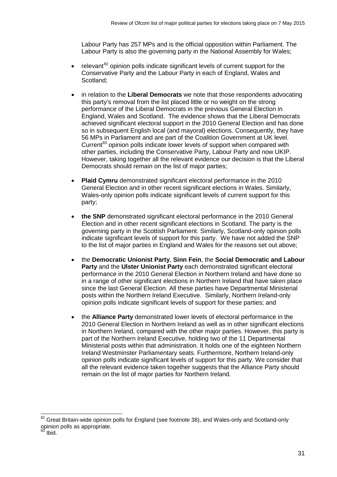Labour Party has 257 MPs and is the official opposition within Parliament. The Labour Party is also the governing party in the National Assembly for Wales;

- relevant<sup>[82](#page-33-0)</sup> opinion polls indicate significant levels of current support for the Conservative Party and the Labour Party in each of England, Wales and Scotland;
- in relation to the **Liberal Democrats** we note that those respondents advocating this party's removal from the list placed little or no weight on the strong performance of the Liberal Democrats in the previous General Election in England, Wales and Scotland. The evidence shows that the Liberal Democrats achieved significant electoral support in the 2010 General Election and has done so in subsequent English local (and mayoral) elections. Consequently, they have 56 MPs in Parliament and are part of the Coalition Government at UK level. Current<sup>[83](#page-33-1)</sup> opinion polls indicate lower levels of support when compared with other parties, including the Conservative Party, Labour Party and now UKIP. However, taking together all the relevant evidence our decision is that the Liberal Democrats should remain on the list of major parties;
- **Plaid Cymru** demonstrated significant electoral performance in the 2010 General Election and in other recent significant elections in Wales. Similarly, Wales-only opinion polls indicate significant levels of current support for this party;
- **the SNP** demonstrated significant electoral performance in the 2010 General Election and in other recent significant elections in Scotland. The party is the governing party in the Scottish Parliament. Similarly, Scotland-only opinion polls indicate significant levels of support for this party. We have not added the SNP to the list of major parties in England and Wales for the reasons set out above;
- the **Democratic Unionist Party**, **Sinn Fein**, the **Social Democratic and Labour Party** and the **Ulster Unionist Party** each demonstrated significant electoral performance in the 2010 General Election in Northern Ireland and have done so in a range of other significant elections in Northern Ireland that have taken place since the last General Election. All these parties have Departmental Ministerial posts within the Northern Ireland Executive. Similarly, Northern Ireland-only opinion polls indicate significant levels of support for these parties; and
- the **Alliance Party** demonstrated lower levels of electoral performance in the 2010 General Election in Northern Ireland as well as in other significant elections in Northern Ireland, compared with the other major parties. However, this party is part of the Northern Ireland Executive, holding two of the 11 Departmental Ministerial posts within that administration. It holds one of the eighteen Northern Ireland Westminster Parliamentary seats. Furthermore, Northern Ireland-only opinion polls indicate significant levels of support for this party. We consider that all the relevant evidence taken together suggests that the Alliance Party should remain on the list of major parties for Northern Ireland.

<span id="page-33-1"></span><span id="page-33-0"></span> $82$  Great Britain-wide opinion polls for England (see footnote 38), and Wales-only and Scotland-only opinion polls as appropriate.  $\overline{a}$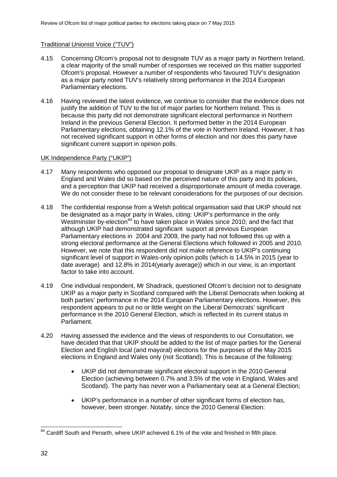### Traditional Unionist Voice ("TUV")

- 4.15 Concerning Ofcom's proposal not to designate TUV as a major party in Northern Ireland, a clear majority of the small number of responses we received on this matter supported Ofcom's proposal. However a number of respondents who favoured TUV's designation as a major party noted TUV's relatively strong performance in the 2014 European Parliamentary elections.
- 4.16 Having reviewed the latest evidence, we continue to consider that the evidence does not justify the addition of TUV to the list of major parties for Northern Ireland. This is because this party did not demonstrate significant electoral performance in Northern Ireland in the previous General Election. It performed better in the 2014 European Parliamentary elections, obtaining 12.1% of the vote in Northern Ireland. However, it has not received significant support in other forms of election and nor does this party have significant current support in opinion polls.

#### UK Independence Party ("UKIP")

- 4.17 Many respondents who opposed our proposal to designate UKIP as a major party in England and Wales did so based on the perceived nature of this party and its policies, and a perception that UKIP had received a disproportionate amount of media coverage. We do not consider these to be relevant considerations for the purposes of our decision.
- 4.18 The confidential response from a Welsh political organisation said that UKIP should not be designated as a major party in Wales, citing: UKIP's performance in the only Westminster by-election<sup>[84](#page-34-0)</sup> to have taken place in Wales since 2010; and the fact that although UKIP had demonstrated significant support at previous European Parliamentary elections in 2004 and 2009, the party had not followed this up with a strong electoral performance at the General Elections which followed in 2005 and 2010. However, we note that this respondent did not make reference to UKIP's continuing significant level of support in Wales-only opinion polls (which is 14.5% in 2015 (year to date average) and 12.8% in 2014(yearly average)) which in our view, is an important factor to take into account.
- 4.19 One individual respondent, Mr Shadrack, questioned Ofcom's decision not to designate UKIP as a major party in Scotland compared with the Liberal Democrats when looking at both parties' performance in the 2014 European Parliamentary elections. However, this respondent appears to put no or little weight on the Liberal Democrats' significant performance in the 2010 General Election, which is reflected in its current status in Parliament.
- 4.20 Having assessed the evidence and the views of respondents to our Consultation, we have decided that that UKIP should be added to the list of major parties for the General Election and English local (and mayoral) elections for the purposes of the May 2015 elections in England and Wales only (not Scotland). This is because of the following:
	- UKIP did not demonstrate significant electoral support in the 2010 General Election (achieving between 0.7% and 3.5% of the vote in England, Wales and Scotland). The party has never won a Parliamentary seat at a General Election;
	- UKIP's performance in a number of other significant forms of election has, however, been stronger. Notably, since the 2010 General Election:

<span id="page-34-0"></span> $84$  Cardiff South and Penarth, where UKIP achieved 6.1% of the vote and finished in fifth place.  $\overline{a}$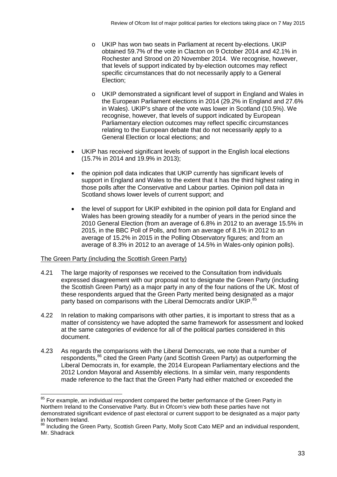- o UKIP has won two seats in Parliament at recent by-elections. UKIP obtained 59.7% of the vote in Clacton on 9 October 2014 and 42.1% in Rochester and Strood on 20 November 2014. We recognise, however, that levels of support indicated by by-election outcomes may reflect specific circumstances that do not necessarily apply to a General Election;
- o UKIP demonstrated a significant level of support in England and Wales in the European Parliament elections in 2014 (29.2% in England and 27.6% in Wales). UKIP's share of the vote was lower in Scotland (10.5%). We recognise, however, that levels of support indicated by European Parliamentary election outcomes may reflect specific circumstances relating to the European debate that do not necessarily apply to a General Election or local elections; and
- UKIP has received significant levels of support in the English local elections (15.7% in 2014 and 19.9% in 2013);
- the opinion poll data indicates that UKIP currently has significant levels of support in England and Wales to the extent that it has the third highest rating in those polls after the Conservative and Labour parties. Opinion poll data in Scotland shows lower levels of current support; and
- the level of support for UKIP exhibited in the opinion poll data for England and Wales has been growing steadily for a number of years in the period since the 2010 General Election (from an average of 6.8% in 2012 to an average 15.5% in 2015, in the BBC Poll of Polls, and from an average of 8.1% in 2012 to an average of 15.2% in 2015 in the Polling Observatory figures; and from an average of 8.3% in 2012 to an average of 14.5% in Wales-only opinion polls).

#### The Green Party (including the Scottish Green Party)

 $\overline{a}$ 

- 4.21 The large majority of responses we received to the Consultation from individuals expressed disagreement with our proposal not to designate the Green Party (including the Scottish Green Party) as a major party in any of the four nations of the UK. Most of these respondents argued that the Green Party merited being designated as a major party based on comparisons with the Liberal Democrats and/or UKIP.<sup>[85](#page-35-0)</sup>
- 4.22 In relation to making comparisons with other parties, it is important to stress that as a matter of consistency we have adopted the same framework for assessment and looked at the same categories of evidence for all of the political parties considered in this document.
- 4.23 As regards the comparisons with the Liberal Democrats, we note that a number of respondents,<sup>[86](#page-35-1)</sup> cited the Green Party (and Scottish Green Party) as outperforming the Liberal Democrats in, for example, the 2014 European Parliamentary elections and the 2012 London Mayoral and Assembly elections. In a similar vein, many respondents made reference to the fact that the Green Party had either matched or exceeded the

<span id="page-35-0"></span><sup>&</sup>lt;sup>85</sup> For example, an individual respondent compared the better performance of the Green Party in Northern Ireland to the Conservative Party. But in Ofcom's view both these parties have not demonstrated significant evidence of past electoral or current support to be designated as a major party in Northern Ireland.

<span id="page-35-1"></span><sup>86</sup> Including the Green Party, Scottish Green Party, Molly Scott Cato MEP and an individual respondent, Mr. Shadrack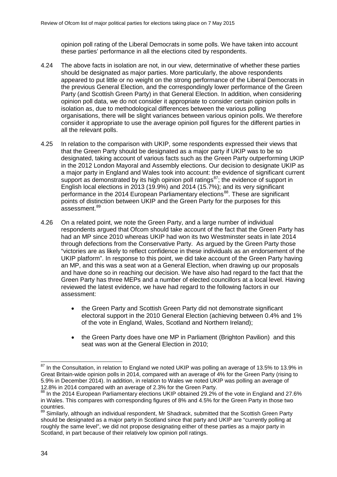opinion poll rating of the Liberal Democrats in some polls. We have taken into account these parties' performance in all the elections cited by respondents.

- 4.24 The above facts in isolation are not, in our view, determinative of whether these parties should be designated as major parties. More particularly, the above respondents appeared to put little or no weight on the strong performance of the Liberal Democrats in the previous General Election, and the correspondingly lower performance of the Green Party (and Scottish Green Party) in that General Election. In addition, when considering opinion poll data, we do not consider it appropriate to consider certain opinion polls in isolation as, due to methodological differences between the various polling organisations, there will be slight variances between various opinion polls. We therefore consider it appropriate to use the average opinion poll figures for the different parties in all the relevant polls.
- 4.25 In relation to the comparison with UKIP, some respondents expressed their views that that the Green Party should be designated as a major party if UKIP was to be so designated, taking account of various facts such as the Green Party outperforming UKIP in the 2012 London Mayoral and Assembly elections. Our decision to designate UKIP as a major party in England and Wales took into account: the evidence of significant current support as demonstrated by its high opinion poll ratings $87$ ; the evidence of support in English local elections in 2013 (19.9%) and 2014 (15.7%); and its very significant performance in the 2014 European Parliamentary elections<sup>88</sup>. These are significant points of distinction between UKIP and the Green Party for the purposes for this assessment.<sup>89</sup>
- 4.26 On a related point, we note the Green Party, and a large number of individual respondents argued that Ofcom should take account of the fact that the Green Party has had an MP since 2010 whereas UKIP had won its two Westminster seats in late 2014 through defections from the Conservative Party. As argued by the Green Party those "victories are as likely to reflect confidence in these individuals as an endorsement of the UKIP platform". In response to this point, we did take account of the Green Party having an MP, and this was a seat won at a General Election, when drawing up our proposals and have done so in reaching our decision. We have also had regard to the fact that the Green Party has three MEPs and a number of elected councillors at a local level. Having reviewed the latest evidence, we have had regard to the following factors in our assessment:
	- the Green Party and Scottish Green Party did not demonstrate significant electoral support in the 2010 General Election (achieving between 0.4% and 1% of the vote in England, Wales, Scotland and Northern Ireland);
	- the Green Party does have one MP in Parliament (Brighton Pavilion) and this seat was won at the General Election in 2010;

 $\overline{a}$ 

<span id="page-36-0"></span> $87$  In the Consultation, in relation to England we noted UKIP was polling an average of 13.5% to 13.9% in Great Britain-wide opinion polls in 2014, compared with an average of 4% for the Green Party (rising to 5.9% in December 2014). In addition, in relation to Wales we noted UKIP was polling an average of 12.8% in 2014 compared with an average of 2.3% for the Green Party.

<span id="page-36-1"></span><sup>88</sup> In the 2014 European Parliamentary elections UKIP obtained 29.2% of the vote in England and 27.6% in Wales. This compares with corresponding figures of 8% and 4.5% for the Green Party in those two countries.

<span id="page-36-2"></span><sup>&</sup>lt;sup>89</sup> Similarly, although an individual respondent, Mr Shadrack, submitted that the Scottish Green Party should be designated as a major party in Scotland since that party and UKIP are "currently polling at roughly the same level", we did not propose designating either of these parties as a major party in Scotland, in part because of their relatively low opinion poll ratings.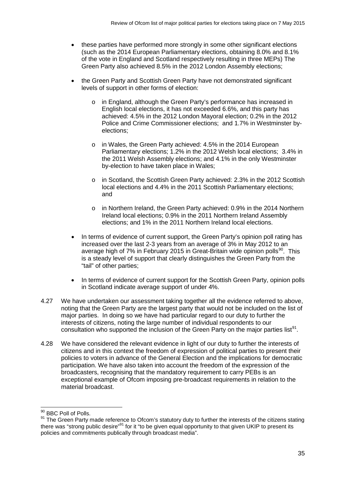- these parties have performed more strongly in some other significant elections (such as the 2014 European Parliamentary elections, obtaining 8.0% and 8.1% of the vote in England and Scotland respectively resulting in three MEPs) The Green Party also achieved 8.5% in the 2012 London Assembly elections;
- the Green Party and Scottish Green Party have not demonstrated significant levels of support in other forms of election:
	- o in England, although the Green Party's performance has increased in English local elections, it has not exceeded 6.6%, and this party has achieved: 4.5% in the 2012 London Mayoral election; 0.2% in the 2012 Police and Crime Commissioner elections; and 1.7% in Westminster byelections;
	- o in Wales, the Green Party achieved: 4.5% in the 2014 European Parliamentary elections; 1.2% in the 2012 Welsh local elections; 3.4% in the 2011 Welsh Assembly elections; and 4.1% in the only Westminster by-election to have taken place in Wales;
	- o in Scotland, the Scottish Green Party achieved: 2.3% in the 2012 Scottish local elections and 4.4% in the 2011 Scottish Parliamentary elections; and
	- o in Northern Ireland, the Green Party achieved: 0.9% in the 2014 Northern Ireland local elections; 0.9% in the 2011 Northern Ireland Assembly elections; and 1% in the 2011 Northern Ireland local elections.
- In terms of evidence of current support, the Green Party's opinion poll rating has increased over the last 2-3 years from an average of 3% in May 2012 to an average high of 7% in February 2015 in Great-Britain wide opinion polls<sup>[90](#page-37-0)</sup>. This is a steady level of support that clearly distinguishes the Green Party from the "tail" of other parties;
- In terms of evidence of current support for the Scottish Green Party, opinion polls in Scotland indicate average support of under 4%.
- 4.27 We have undertaken our assessment taking together all the evidence referred to above, noting that the Green Party are the largest party that would not be included on the list of major parties. In doing so we have had particular regard to our duty to further the interests of citizens, noting the large number of individual respondents to our consultation who supported the inclusion of the Green Party on the major parties list $91$ .
- 4.28 We have considered the relevant evidence in light of our duty to further the interests of citizens and in this context the freedom of expression of political parties to present their policies to voters in advance of the General Election and the implications for democratic participation. We have also taken into account the freedom of the expression of the broadcasters, recognising that the mandatory requirement to carry PEBs is an exceptional example of Ofcom imposing pre-broadcast requirements in relation to the material broadcast.

 $\frac{90}{10}$  BBC Poll of Polls.  $\overline{\phantom{a}}$ 

<span id="page-37-1"></span><span id="page-37-0"></span><sup>91</sup> The Green Party made reference to Ofcom's statutory duty to further the interests of the citizens stating there was "strong public desire"<sup>91</sup> for it "to be given equal opportunity to that given UKIP to present its policies and commitments publically through broadcast media".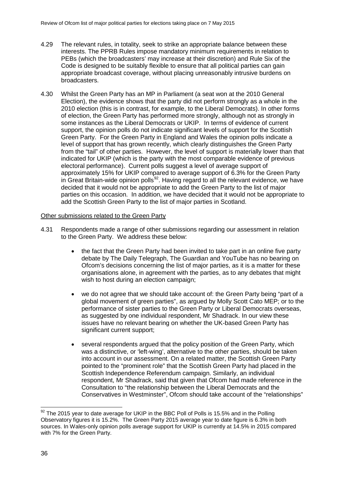- 4.29 The relevant rules, in totality, seek to strike an appropriate balance between these interests. The PPRB Rules impose mandatory minimum requirements in relation to PEBs (which the broadcasters' may increase at their discretion) and Rule Six of the Code is designed to be suitably flexible to ensure that all political parties can gain appropriate broadcast coverage, without placing unreasonably intrusive burdens on broadcasters.
- 4.30 Whilst the Green Party has an MP in Parliament (a seat won at the 2010 General Election), the evidence shows that the party did not perform strongly as a whole in the 2010 election (this is in contrast, for example, to the Liberal Democrats). In other forms of election, the Green Party has performed more strongly, although not as strongly in some instances as the Liberal Democrats or UKIP. In terms of evidence of current support, the opinion polls do not indicate significant levels of support for the Scottish Green Party. For the Green Party in England and Wales the opinion polls indicate a level of support that has grown recently, which clearly distinguishes the Green Party from the "tail" of other parties. However, the level of support is materially lower than that indicated for UKIP (which is the party with the most comparable evidence of previous electoral performance). Current polls suggest a level of average support of approximately 15% for UKIP compared to average support of 6.3% for the Green Party in Great Britain-wide opinion polls<sup>[92](#page-38-0)</sup>. Having regard to all the relevant evidence, we have decided that it would not be appropriate to add the Green Party to the list of major parties on this occasion. In addition, we have decided that it would not be appropriate to add the Scottish Green Party to the list of major parties in Scotland.

#### Other submissions related to the Green Party

- 4.31 Respondents made a range of other submissions regarding our assessment in relation to the Green Party. We address these below:
	- the fact that the Green Party had been invited to take part in an online five party debate by The Daily Telegraph, The Guardian and YouTube has no bearing on Ofcom's decisions concerning the list of major parties, as it is a matter for these organisations alone, in agreement with the parties, as to any debates that might wish to host during an election campaign;
	- we do not agree that we should take account of: the Green Party being "part of a global movement of green parties", as argued by Molly Scott Cato MEP; or to the performance of sister parties to the Green Party or Liberal Democrats overseas, as suggested by one individual respondent, Mr Shadrack. In our view these issues have no relevant bearing on whether the UK-based Green Party has significant current support;
	- several respondents argued that the policy position of the Green Party, which was a distinctive, or 'left-wing', alternative to the other parties, should be taken into account in our assessment. On a related matter, the Scottish Green Party pointed to the "prominent role" that the Scottish Green Party had placed in the Scottish Independence Referendum campaign. Similarly, an individual respondent, Mr Shadrack, said that given that Ofcom had made reference in the Consultation to "the relationship between the Liberal Democrats and the Conservatives in Westminster", Ofcom should take account of the "relationships"

<span id="page-38-0"></span> $92$  The 2015 year to date average for UKIP in the BBC Poll of Polls is 15.5% and in the Polling Observatory figures it is 15.2%. The Green Party 2015 average year to date figure is 6.3% in both sources. In Wales-only opinion polls average support for UKIP is currently at 14.5% in 2015 compared with 7% for the Green Party.  $\overline{\phantom{a}}$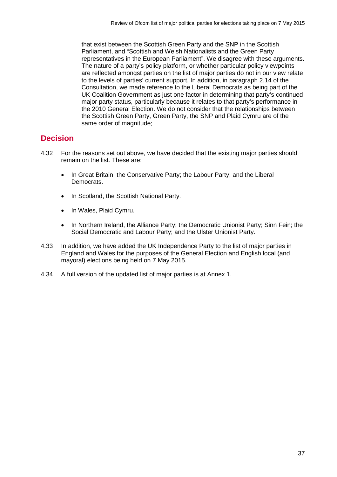that exist between the Scottish Green Party and the SNP in the Scottish Parliament, and "Scottish and Welsh Nationalists and the Green Party representatives in the European Parliament". We disagree with these arguments. The nature of a party's policy platform, or whether particular policy viewpoints are reflected amongst parties on the list of major parties do not in our view relate to the levels of parties' current support. In addition, in paragraph 2.14 of the Consultation, we made reference to the Liberal Democrats as being part of the UK Coalition Government as just one factor in determining that party's continued major party status, particularly because it relates to that party's performance in the 2010 General Election. We do not consider that the relationships between the Scottish Green Party, Green Party, the SNP and Plaid Cymru are of the same order of magnitude;

# **Decision**

- 4.32 For the reasons set out above, we have decided that the existing major parties should remain on the list. These are:
	- In Great Britain, the Conservative Party; the Labour Party; and the Liberal Democrats.
	- In Scotland, the Scottish National Party.
	- In Wales, Plaid Cymru.
	- In Northern Ireland, the Alliance Party; the Democratic Unionist Party; Sinn Fein; the Social Democratic and Labour Party; and the Ulster Unionist Party.
- 4.33 In addition, we have added the UK Independence Party to the list of major parties in England and Wales for the purposes of the General Election and English local (and mayoral) elections being held on 7 May 2015.
- 4.34 A full version of the updated list of major parties is at Annex 1.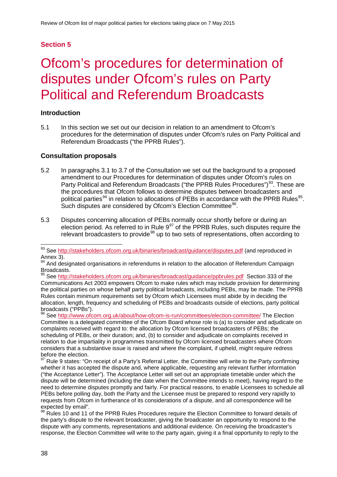# **Section 5**

# 5 Ofcom's procedures for determination of disputes under Ofcom's rules on Party Political and Referendum Broadcasts

## **Introduction**

5.1 In this section we set out our decision in relation to an amendment to Ofcom's procedures for the determination of disputes under Ofcom's rules on Party Political and Referendum Broadcasts ("the PPRB Rules").

## **Consultation proposals**

- 5.2 In paragraphs 3.1 to 3.7 of the Consultation we set out the background to a proposed amendment to our Procedures for determination of disputes under Ofcom's rules on Party Political and Referendum Broadcasts ("the PPRB Rules Procedures")<sup>[93](#page-40-0)</sup>. These are the procedures that Ofcom follows to determine disputes between broadcasters and political parties<sup>[94](#page-40-1)</sup> in relation to allocations of PEBs in accordance with the PPRB Rules<sup>95</sup>. Such disputes are considered by Ofcom's Election Committee<sup>96</sup>.
- 5.3 Disputes concerning allocation of PEBs normally occur shortly before or during an election period. As referred to in Rule 9<sup>[97](#page-40-4)</sup> of the PPRB Rules, such disputes require the relevant broadcasters to provide<sup>[98](#page-40-5)</sup> up to two sets of representations, often according to

<span id="page-40-3"></span><sup>96</sup> See<http://www.ofcom.org.uk/about/how-ofcom-is-run/committees/election-committee/> The Election Committee is a delegated committee of the Ofcom Board whose role is (a) to consider and adjudicate on complaints received with regard to: the allocation by Ofcom licensed broadcasters of PEBs; the scheduling of PEBs, or their duration; and, (b) to consider and adjudicate on complaints received in relation to due impartiality in programmes transmitted by Ofcom licensed broadcasters where Ofcom considers that a substantive issue is raised and where the complaint, if upheld, might require redress before the election.

<span id="page-40-0"></span><sup>&</sup>lt;sup>93</sup> See<http://stakeholders.ofcom.org.uk/binaries/broadcast/guidance/disputes.pdf> (and reproduced in Annex 3).  $\overline{\phantom{a}}$ 

<span id="page-40-1"></span><sup>&</sup>lt;sup>94</sup> And designated organisations in referendums in relation to the allocation of Referendum Campaign Broadcasts.

<span id="page-40-2"></span><sup>95</sup> See<http://stakeholders.ofcom.org.uk/binaries/broadcast/guidance/ppbrules.pdf>Section 333 of the Communications Act 2003 empowers Ofcom to make rules which may include provision for determining the political parties on whose behalf party political broadcasts, including PEBs, may be made. The PPRB Rules contain minimum requirements set by Ofcom which Licensees must abide by in deciding the allocation, length, frequency and scheduling of PEBs and broadcasts outside of elections, party political broadcasts ("PPBs").

<span id="page-40-4"></span>Rule 9 states: "On receipt of a Party's Referral Letter, the Committee will write to the Party confirming whether it has accepted the dispute and, where applicable, requesting any relevant further information ("the Acceptance Letter"). The Acceptance Letter will set out an appropriate timetable under which the dispute will be determined (including the date when the Committee intends to meet), having regard to the need to determine disputes promptly and fairly. For practical reasons, to enable Licensees to schedule all PEBs before polling day, both the Party and the Licensee must be prepared to respond very rapidly to requests from Ofcom in furtherance of its considerations of a dispute, and all correspondence will be expected by email".

<span id="page-40-5"></span><sup>88</sup> Rules 10 and 11 of the PPRB Rules Procedures require the Election Committee to forward details of the party's dispute to the relevant broadcaster, giving the broadcaster an opportunity to respond to the dispute with any comments, representations and additional evidence. On receiving the broadcaster's response, the Election Committee will write to the party again, giving it a final opportunity to reply to the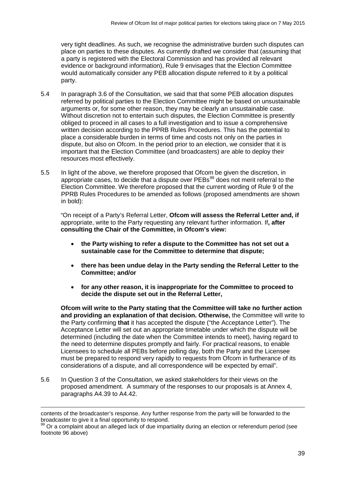very tight deadlines. As such, we recognise the administrative burden such disputes can place on parties to these disputes. As currently drafted we consider that (assuming that a party is registered with the Electoral Commission and has provided all relevant evidence or background information), Rule 9 envisages that the Election Committee would automatically consider any PEB allocation dispute referred to it by a political party.

- 5.4 In paragraph 3.6 of the Consultation, we said that that some PEB allocation disputes referred by political parties to the Election Committee might be based on unsustainable arguments or, for some other reason, they may be clearly an unsustainable case. Without discretion not to entertain such disputes, the Election Committee is presently obliged to proceed in all cases to a full investigation and to issue a comprehensive written decision according to the PPRB Rules Procedures. This has the potential to place a considerable burden in terms of time and costs not only on the parties in dispute, but also on Ofcom. In the period prior to an election, we consider that it is important that the Election Committee (and broadcasters) are able to deploy their resources most effectively.
- 5.5 In light of the above, we therefore proposed that Ofcom be given the discretion, in appropriate cases, to decide that a dispute over  $PEBs<sup>99</sup>$  $PEBs<sup>99</sup>$  $PEBs<sup>99</sup>$  does not merit referral to the Election Committee. We therefore proposed that the current wording of Rule 9 of the PPRB Rules Procedures to be amended as follows (proposed amendments are shown in bold):

"On receipt of a Party's Referral Letter, **Ofcom will assess the Referral Letter and, if**  appropriate, write to the Party requesting any relevant further information. If**, after consulting the Chair of the Committee, in Ofcom's view:**

- **the Party wishing to refer a dispute to the Committee has not set out a sustainable case for the Committee to determine that dispute;**
- **there has been undue delay in the Party sending the Referral Letter to the Committee; and/or**
- **for any other reason, it is inappropriate for the Committee to proceed to decide the dispute set out in the Referral Letter,**

**Ofcom will write to the Party stating that the Committee will take no further action and providing an explanation of that decision. Otherwise,** the Committee will write to the Party confirming **that** it has accepted the dispute ("the Acceptance Letter"). The Acceptance Letter will set out an appropriate timetable under which the dispute will be determined (including the date when the Committee intends to meet), having regard to the need to determine disputes promptly and fairly. For practical reasons, to enable Licensees to schedule all PEBs before polling day, both the Party and the Licensee must be prepared to respond very rapidly to requests from Ofcom in furtherance of its considerations of a dispute, and all correspondence will be expected by email".

5.6 In Question 3 of the Consultation, we asked stakeholders for their views on the proposed amendment. A summary of the responses to our proposals is at Annex 4, paragraphs A4.39 to A4.42.

-

contents of the broadcaster's response. Any further response from the party will be forwarded to the broadcaster to give it a final opportunity to respond.

<span id="page-41-0"></span><sup>99</sup> Or a complaint about an alleged lack of due impartiality during an election or referendum period (see footnote 96 above)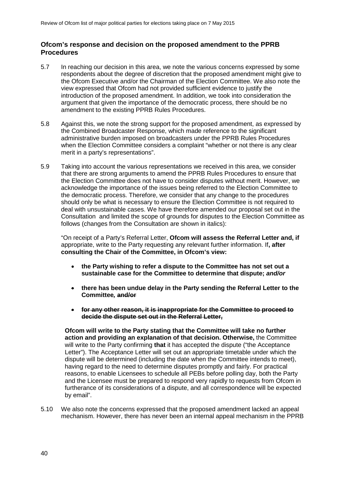### **Ofcom's response and decision on the proposed amendment to the PPRB Procedures**

- 5.7 In reaching our decision in this area, we note the various concerns expressed by some respondents about the degree of discretion that the proposed amendment might give to the Ofcom Executive and/or the Chairman of the Election Committee. We also note the view expressed that Ofcom had not provided sufficient evidence to justify the introduction of the proposed amendment. In addition, we took into consideration the argument that given the importance of the democratic process, there should be no amendment to the existing PPRB Rules Procedures.
- 5.8 Against this, we note the strong support for the proposed amendment, as expressed by the Combined Broadcaster Response, which made reference to the significant administrative burden imposed on broadcasters under the PPRB Rules Procedures when the Election Committee considers a complaint "whether or not there is any clear merit in a party's representations".
- 5.9 Taking into account the various representations we received in this area, we consider that there are strong arguments to amend the PPRB Rules Procedures to ensure that the Election Committee does not have to consider disputes without merit. However, we acknowledge the importance of the issues being referred to the Election Committee to the democratic process. Therefore, we consider that any change to the procedures should only be what is necessary to ensure the Election Committee is not required to deal with unsustainable cases. We have therefore amended our proposal set out in the Consultation and limited the scope of grounds for disputes to the Election Committee as follows (changes from the Consultation are shown in italics):

"On receipt of a Party's Referral Letter, **Ofcom will assess the Referral Letter and, if**  appropriate, write to the Party requesting any relevant further information. If**, after consulting the Chair of the Committee, in Ofcom's view:**

- **the Party wishing to refer a dispute to the Committee has not set out a sustainable case for the Committee to determine that dispute;** *and/or*
- **there has been undue delay in the Party sending the Referral Letter to the Committee***,* **and/or**
- **for any other reason, it is inappropriate for the Committee to proceed to decide the dispute set out in the Referral Letter,**

**Ofcom will write to the Party stating that the Committee will take no further action and providing an explanation of that decision. Otherwise,** the Committee will write to the Party confirming **that** it has accepted the dispute ("the Acceptance Letter"). The Acceptance Letter will set out an appropriate timetable under which the dispute will be determined (including the date when the Committee intends to meet), having regard to the need to determine disputes promptly and fairly. For practical reasons, to enable Licensees to schedule all PEBs before polling day, both the Party and the Licensee must be prepared to respond very rapidly to requests from Ofcom in furtherance of its considerations of a dispute, and all correspondence will be expected by email".

5.10 We also note the concerns expressed that the proposed amendment lacked an appeal mechanism. However, there has never been an internal appeal mechanism in the PPRB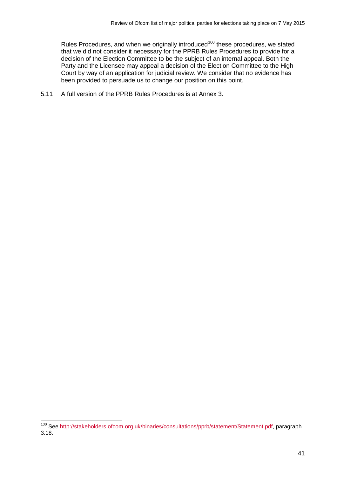Rules Procedures, and when we originally introduced<sup>[100](#page-43-0)</sup> these procedures, we stated that we did not consider it necessary for the PPRB Rules Procedures to provide for a decision of the Election Committee to be the subject of an internal appeal. Both the Party and the Licensee may appeal a decision of the Election Committee to the High Court by way of an application for judicial review. We consider that no evidence has been provided to persuade us to change our position on this point.

5.11 A full version of the PPRB Rules Procedures is at Annex 3.

<span id="page-43-0"></span><sup>&</sup>lt;sup>100</sup> See [http://stakeholders.ofcom.org.uk/binaries/consultations/pprb/statement/Statement.pdf,](http://stakeholders.ofcom.org.uk/binaries/consultations/pprb/statement/Statement.pdf) paragraph 3.18.  $\overline{a}$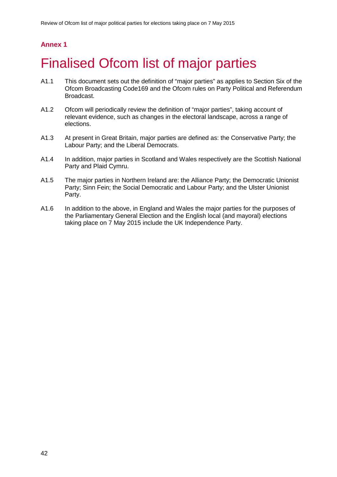# **Annex 1**

# **Finalised Ofcom list of major parties**

- A1.1 This document sets out the definition of "major parties" as applies to Section Six of the Ofcom Broadcasting Code169 and the Ofcom rules on Party Political and Referendum Broadcast.
- A1.2 Ofcom will periodically review the definition of "major parties", taking account of relevant evidence, such as changes in the electoral landscape, across a range of elections.
- A1.3 At present in Great Britain, major parties are defined as: the Conservative Party; the Labour Party; and the Liberal Democrats.
- A1.4 In addition, major parties in Scotland and Wales respectively are the Scottish National Party and Plaid Cymru.
- A1.5 The major parties in Northern Ireland are: the Alliance Party; the Democratic Unionist Party; Sinn Fein; the Social Democratic and Labour Party; and the Ulster Unionist Party.
- A1.6 In addition to the above, in England and Wales the major parties for the purposes of the Parliamentary General Election and the English local (and mayoral) elections taking place on 7 May 2015 include the UK Independence Party.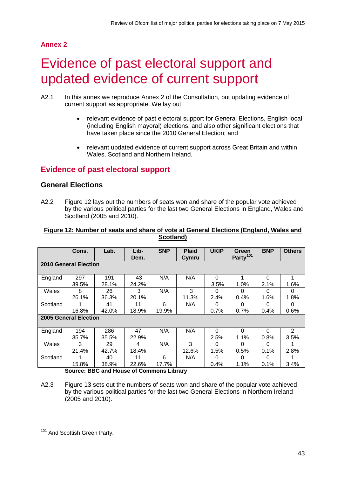# **Annex 2**

# Evidence of past electoral support and updated evidence of current support

- A2.1 In this annex we reproduce Annex 2 of the Consultation, but updating evidence of current support as appropriate. We lay out:
	- relevant evidence of past electoral support for General Elections, English local (including English mayoral) elections, and also other significant elections that have taken place since the 2010 General Election; and
	- relevant updated evidence of current support across Great Britain and within Wales, Scotland and Northern Ireland.

# **Evidence of past electoral support**

## **General Elections**

A2.2 Figure 12 lays out the numbers of seats won and share of the popular vote achieved by the various political parties for the last two General Elections in England, Wales and Scotland (2005 and 2010).

#### **Figure 12: Number of seats and share of vote at General Elections (England, Wales and Scotland)**

|                              | Cons. | Lab.  | Lib-<br>Dem. | <b>SNP</b> | <b>Plaid</b><br>Cymru | <b>UKIP</b> | Green<br>Party <sup>101</sup> | <b>BNP</b> | <b>Others</b> |  |
|------------------------------|-------|-------|--------------|------------|-----------------------|-------------|-------------------------------|------------|---------------|--|
| <b>2010 General Election</b> |       |       |              |            |                       |             |                               |            |               |  |
| England                      | 297   | 191   | 43           | N/A        | N/A                   | 0           |                               | 0          | 1             |  |
|                              | 39.5% | 28.1% | 24.2%        |            |                       | 3.5%        | 1.0%                          | 2.1%       | 1.6%          |  |
| Wales                        | 8     | 26    | 3            | N/A        | 3                     | 0           | O                             | 0          | 0             |  |
|                              | 26.1% | 36.3% | 20.1%        |            | 11.3%                 | 2.4%        | 0.4%                          | 1.6%       | 1.8%          |  |
| Scotland                     |       | 41    | 11           | 6          | N/A                   | 0           | O                             | 0          | 0             |  |
|                              | 16.8% | 42.0% | 18.9%        | 19.9%      |                       | 0.7%        | 0.7%                          | 0.4%       | 0.6%          |  |
| 2005 General Election        |       |       |              |            |                       |             |                               |            |               |  |
| England                      | 194   | 286   | 47           | N/A        | N/A                   | 0           | 0                             | 0          | 2             |  |
|                              | 35.7% | 35.5% | 22.9%        |            |                       | 2.5%        | 1.1%                          | 0.8%       | 3.5%          |  |
| Wales                        | 3     | 29    | 4            | N/A        | 3                     | 0           | 0                             | 0          |               |  |
|                              | 21.4% | 42.7% | 18.4%        |            | 12.6%                 | 1.5%        | 0.5%                          | 0.1%       | 2.8%          |  |
| Scotland                     |       | 40    | 11           | 6          | N/A                   | 0           | 0                             | 0          |               |  |
|                              | 15.8% | 38.9% | 22.6%        | 17.7%      |                       | 0.4%        | 1.1%                          | 0.1%       | 3.4%          |  |

**Source: BBC and House of Commons Library**

A2.3 Figure 13 sets out the numbers of seats won and share of the popular vote achieved by the various political parties for the last two General Elections in Northern Ireland (2005 and 2010).

<span id="page-45-0"></span><sup>&</sup>lt;sup>101</sup> And Scottish Green Party.  $\overline{a}$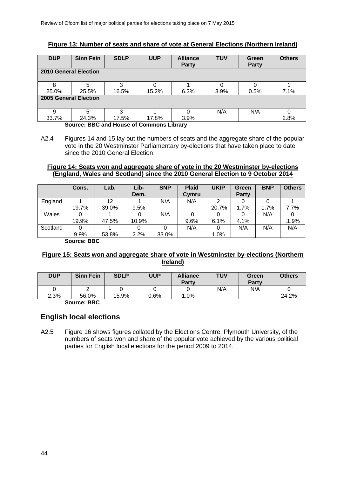## **Figure 13: Number of seats and share of vote at General Elections (Northern Ireland)**

| <b>DUP</b>                   | <b>Sinn Fein</b> | <b>SDLP</b> | <b>UUP</b> | <b>Alliance</b><br><b>Party</b> | <b>TUV</b> | Green<br>Party | <b>Others</b> |
|------------------------------|------------------|-------------|------------|---------------------------------|------------|----------------|---------------|
| <b>2010 General Election</b> |                  |             |            |                                 |            |                |               |
| 8                            | 5                |             |            |                                 |            |                |               |
| 25.0%                        | 25.5%            | 16.5%       | 15.2%      | 6.3%                            | 3.9%       | 0.5%           | 7.1%          |
| 2005 General Election        |                  |             |            |                                 |            |                |               |
| 9                            | 5                | ว           |            | 0                               | N/A        | N/A            | 0             |
| 33.7%                        | 24.3%            | 17.5%       | 17.8%      | 3.9%                            |            |                | 2.8%          |

**Source: BBC and House of Commons Library**

#### **Figure 14: Seats won and aggregate share of vote in the 20 Westminster by-elections (England, Wales and Scotland) since the 2010 General Election to 9 October 2014**

|          | Cons. | Lab.  | Lib-<br>Dem. | <b>SNP</b> | <b>Plaid</b><br>Cymru | <b>UKIP</b> | Green<br>Party | <b>BNP</b> | <b>Others</b> |
|----------|-------|-------|--------------|------------|-----------------------|-------------|----------------|------------|---------------|
| England  |       | 12    |              | N/A        | N/A                   |             |                |            |               |
|          | 19.7% | 39.0% | 9.5%         |            |                       | 20.7%       | 1.7%           | 1.7%       | 7.7%          |
| Wales    |       |       |              | N/A        |                       |             |                | N/A        |               |
|          | 19.9% | 47.5% | 10.9%        |            | 9.6%                  | 6.1%        | 4.1%           |            | .1.9%         |
| Scotland |       |       |              |            | N/A                   |             | N/A            | N/A        | N/A           |
|          | 9.9%  | 53.8% | 2.2%         | 33.0%      |                       | $1.0\%$     |                |            |               |

**Source: BBC**

## **Figure 15: Seats won and aggregate share of vote in Westminster by-elections (Northern Ireland)**

|      |       |       |      | Party  |     | Party |       |
|------|-------|-------|------|--------|-----|-------|-------|
| 2.3% | 56.0% | 15.9% | 0.6% | $.0\%$ | N/A | N/A   | 24.2% |

**Source: BBC**

## **English local elections**

A2.5 Figure 16 shows figures collated by the Elections Centre, Plymouth University, of the numbers of seats won and share of the popular vote achieved by the various political parties for English local elections for the period 2009 to 2014.

A2.4 Figures 14 and 15 lay out the numbers of seats and the aggregate share of the popular vote in the 20 Westminster Parliamentary by-elections that have taken place to date since the 2010 General Election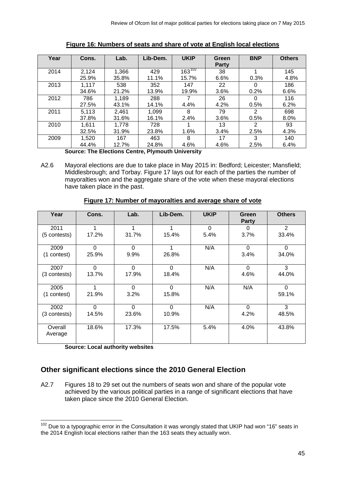| Year   | Cons. | Lab.                              | Lib-Dem. | <b>UKIP</b>                               | Green | <b>BNP</b>    | <b>Others</b> |
|--------|-------|-----------------------------------|----------|-------------------------------------------|-------|---------------|---------------|
|        |       |                                   |          |                                           | Party |               |               |
| 2014   | 2,124 | 1,366                             | 429      | $163^{102}$                               | 38    |               | 145           |
|        | 25.9% | 35.8%                             | 11.1%    | 15.7%                                     | 6.6%  | 0.3%          | 4.8%          |
| 2013   | 1,117 | 538                               | 352      | 147                                       | 22    | $\Omega$      | 186           |
|        | 34.6% | 21.2%                             | 13.9%    | 19.9%                                     | 3.6%  | 0.2%          | 6.6%          |
| 2012   | 786   | 1.189                             | 288      |                                           | 26    | 0             | 116           |
|        | 27.5% | 43.1%                             | 14.1%    | 4.4%                                      | 4.2%  | 0.5%          | 6.2%          |
| 2011   | 5,113 | 2,461                             | 1,099    | 8                                         | 79    | 2             | 698           |
|        | 37.8% | 31.6%                             | 16.1%    | 2.4%                                      | 3.6%  | 0.5%          | 8.0%          |
| 2010   | 1,611 | 1,778                             | 728      |                                           | 13    | $\mathcal{P}$ | 93            |
|        | 32.5% | 31.9%                             | 23.8%    | 1.6%                                      | 3.4%  | 2.5%          | 4.3%          |
| 2009   | 1,520 | 167                               | 463      | 8                                         | 17    | 3             | 140           |
|        | 44.4% | 12.7%                             | 24.8%    | 4.6%                                      | 4.6%  | 2.5%          | 6.4%          |
| $\sim$ |       | - 天明 - 天明 - - 45 - - - - ヘー・4 - - |          | Police and a set of the following the set |       |               |               |

**Figure 16: Numbers of seats and share of vote at English local elections**

**Source: The Elections Centre, Plymouth University**

A2.6 Mayoral elections are due to take place in May 2015 in: Bedford; Leicester; Mansfield; Middlesbrough; and Torbay. Figure 17 lays out for each of the parties the number of mayoralties won and the aggregate share of the vote when these mayoral elections have taken place in the past.

| Year               | Cons.    | Lab.     | Lib-Dem. | <b>UKIP</b> | Green<br>Party | <b>Others</b>  |
|--------------------|----------|----------|----------|-------------|----------------|----------------|
| 2011               |          | 1        |          | $\Omega$    | 0              | $\overline{2}$ |
| (5 contests)       | 17.2%    | 31.7%    | 15.4%    | 5.4%        | 3.7%           | 33.4%          |
| 2009               | $\Omega$ | $\Omega$ |          | N/A         | $\Omega$       | $\Omega$       |
| (1 contest)        | 25.9%    | 9.9%     | 26.8%    |             | 3.4%           | 34.0%          |
| 2007               | $\Omega$ | $\Omega$ | $\Omega$ | N/A         | $\Omega$       | 3              |
| (3 contests)       | 13.7%    | 17.9%    | 18.4%    |             | 4.6%           | 44.0%          |
| 2005               |          | $\Omega$ | $\Omega$ | N/A         | N/A            | $\Omega$       |
| (1 contest)        | 21.9%    | 3.2%     | 15.8%    |             |                | 59.1%          |
| 2002               | $\Omega$ | $\Omega$ | $\Omega$ | N/A         | $\Omega$       | 3              |
| (3 contests)       | 14.5%    | 23.6%    | 10.9%    |             | 4.2%           | 48.5%          |
| Overall<br>Average | 18.6%    | 17.3%    | 17.5%    | 5.4%        | 4.0%           | 43.8%          |

## **Figure 17: Number of mayoralties and average share of vote**

**Source: Local authority websites**

## **Other significant elections since the 2010 General Election**

A2.7 Figures 18 to 29 set out the numbers of seats won and share of the popular vote achieved by the various political parties in a range of significant elections that have taken place since the 2010 General Election.

<span id="page-47-0"></span><sup>&</sup>lt;sup>102</sup> Due to a typographic error in the Consultation it was wrongly stated that UKIP had won "16" seats in the 2014 English local elections rather than the 163 seats they actually won.  $\overline{a}$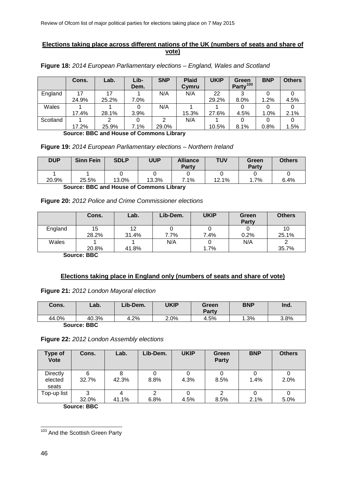## **Elections taking place across different nations of the UK (numbers of seats and share of vote)**

|          | Cons.        | Lab.       | Lib-<br>Dem. | <b>SNP</b> | <b>Plaid</b><br>Cymru | <b>UKIP</b> | Green<br>Party <sup>103</sup> | <b>BNP</b> | <b>Others</b> |
|----------|--------------|------------|--------------|------------|-----------------------|-------------|-------------------------------|------------|---------------|
| England  |              |            |              | N/A        | N/A                   | 22          |                               |            |               |
|          | 24.9%        | 25.2%      | 7.0%         |            |                       | 29.2%       | 8.0%                          | 1.2%       | 4.5%          |
| Wales    |              |            |              | N/A        |                       |             |                               |            |               |
|          | 17.4%        | 28.1%      | 3.9%         |            | 15.3%                 | 27.6%       | 4.5%                          | 1.0%       | 2.1%          |
| Scotland |              |            |              |            | N/A                   |             |                               |            |               |
|          | 17.2%<br>--- | 25.9%<br>. | 7.1%<br>- -  | 29.0%<br>. |                       | 10.5%       | 8.1%                          | 0.8%       | 1.5%          |

**Figure 18:** *2014 European Parliamentary elections – England, Wales and Scotland*

**Source: BBC and House of Commons Library**

### **Figure 19:** *2014 European Parliamentary elections – Northern Ireland*

| <b>DUP</b> | <b>Sinn Fein</b> | <b>SDLP</b> | <b>UUP</b> | <b>Alliance</b><br><b>Party</b> | TUV   | Green<br><b>Party</b> | <b>Others</b> |
|------------|------------------|-------------|------------|---------------------------------|-------|-----------------------|---------------|
| 20.9%      | 25.5%            | 13.0%       | 13.3%      | 7.1%                            | 12.1% | $.7\%$                | 6.4%          |
|            |                  |             |            |                                 |       |                       |               |

**Source: BBC and House of Commons Library**

### **Figure 20:** *2012 Police and Crime Commissioner elections*

|         | Cons. | Lab.  | Lib-Dem. | <b>UKIP</b> | Green<br><b>Party</b> | <b>Others</b> |
|---------|-------|-------|----------|-------------|-----------------------|---------------|
| England | 15    | 12    |          |             |                       | 10            |
|         | 28.2% | 31.4% | 7.7%     | 7.4%        | 0.2%                  | 25.1%         |
| Wales   |       |       | N/A      |             | N/A                   |               |
|         | 20.8% | 41.8% |          | 1.7%        |                       | 35.7%         |

**Source: BBC**

## **Elections taking place in England only (numbers of seats and share of vote)**

#### **Figure 21:** *2012 London Mayoral election*

| Cons. | ∟ab.         | Lib-Dem. | UKIP | Green<br>Party | <b>BNP</b> | Ind. |
|-------|--------------|----------|------|----------------|------------|------|
| 44.0% | 40.3%        | 4.2%     | 2.0% | 4.5%           | 1.3%       | 3.8% |
|       | $\mathbf{a}$ |          |      |                |            |      |

**Source: BBC**

|  | Figure 22: 2012 London Assembly elections |
|--|-------------------------------------------|
|--|-------------------------------------------|

| Cons. | Lab.  | Lib-Dem. | <b>UKIP</b> | Green<br><b>Party</b> | <b>BNP</b> | <b>Others</b> |
|-------|-------|----------|-------------|-----------------------|------------|---------------|
| 6     |       |          |             |                       |            |               |
| 32.7% | 42.3% | 8.8%     | 4.3%        | 8.5%                  | 1.4%       | 2.0%          |
|       |       |          |             |                       |            |               |
| ว     |       | ົ        |             |                       |            |               |
| 32.0% | 41.1% | 6.8%     | 4.5%        | 8.5%                  | 2.1%       | 5.0%          |
|       | ---   |          |             |                       |            |               |

**Source: BBC**

<span id="page-48-0"></span><sup>&</sup>lt;sup>103</sup> And the Scottish Green Party  $\overline{a}$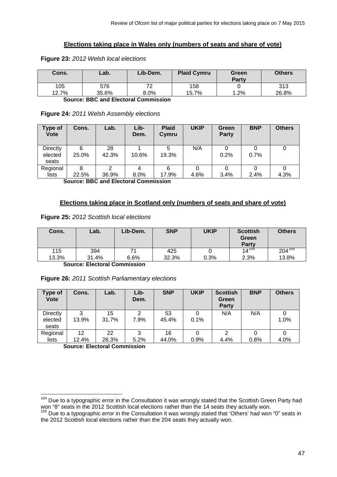## **Elections taking place in Wales only (numbers of seats and share of vote)**

| Cons.        | Lab.         | Lib-Dem.           | <b>Plaid Cymru</b> | Green<br>Party | <b>Others</b> |
|--------------|--------------|--------------------|--------------------|----------------|---------------|
| 105<br>12.7% | 576<br>35.6% | 70<br>∼<br>$8.0\%$ | 158<br>15.7%       | 1.2%           | 313<br>26.8%  |

#### **Figure 23:** *2012 Welsh local elections*

**Source: BBC and Electoral Commission**

#### **Figure 24:** *2011 Welsh Assembly elections*

| Type of<br><b>Vote</b>              | Cons.      | Lab.        | Lib-<br>Dem. | <b>Plaid</b><br>Cymru | <b>UKIP</b> | Green<br>Party | <b>BNP</b> | <b>Others</b> |
|-------------------------------------|------------|-------------|--------------|-----------------------|-------------|----------------|------------|---------------|
| <b>Directly</b><br>elected<br>seats | 6<br>25.0% | 28<br>42.3% | 10.6%        | 19.3%                 | N/A         | 0.2%           | 0.7%       |               |
| Regional<br>lists                   | 8<br>22.5% | C<br>36.9%  | $8.0\%$      | 6<br>17.9%            | 4.6%        | 3.4%           | 2.4%       | 4.3%          |

**Source: BBC and Electoral Commission**

### **Elections taking place in Scotland only (numbers of seats and share of vote)**

#### **Figure 25:** *2012 Scottish local elections*

| Cons. | Lab.  | Lib-Dem. | <b>SNP</b> | UKIP | <b>Scottish</b><br>Green<br><b>Party</b> | <b>Others</b> |
|-------|-------|----------|------------|------|------------------------------------------|---------------|
| 115   | 394   | 71       | 425        |      | $14^{104}$                               | $204^{105}$   |
| 13.3% | 31.4% | 6.6%     | 32.3%      | 0.3% | 2.3%                                     | 13.8%         |

**Source: Electoral Commission**

| Figure 26: 2011 Scottish Parliamentary elections |  |
|--------------------------------------------------|--|
|--------------------------------------------------|--|

| <b>Type of</b><br><b>Vote</b> | Cons.       | Lab.        | Lib-<br>Dem. | <b>SNP</b>  | <b>UKIP</b> | <b>Scottish</b><br>Green<br>Party | <b>BNP</b> | <b>Others</b> |
|-------------------------------|-------------|-------------|--------------|-------------|-------------|-----------------------------------|------------|---------------|
| Directly<br>elected<br>seats  | 3<br>13.9%  | 15<br>31.7% | 2<br>7.9%    | 53<br>45.4% | 0.1%        | N/A                               | N/A        | 1.0%          |
| Regional<br>lists             | 12<br>12.4% | 22<br>26.3% | 3<br>5.2%    | 16<br>44.0% | 0.9%        | 2<br>4.4%                         | 0.8%       | 4.0%          |

**Source: Electoral Commission**

<span id="page-49-0"></span><sup>&</sup>lt;sup>104</sup> Due to a typographic error in the Consultation it was wrongly stated that the Scottish Green Party had won "8" seats in the 2012 Scottish local elections rather than the 14 seats they actually won.  $\overline{a}$ 

<span id="page-49-1"></span><sup>105</sup> Due to a typographic error in the Consultation it was wrongly stated that 'Others' had won "0" seats in the 2012 Scottish local elections rather than the 204 seats they actually won.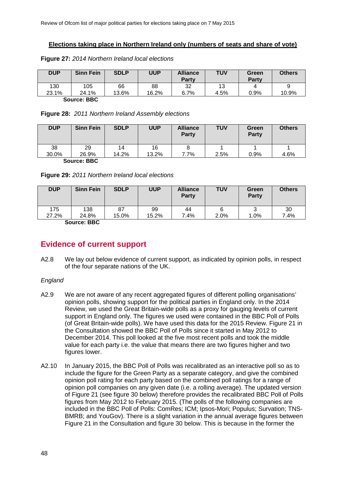### **Elections taking place in Northern Ireland only (numbers of seats and share of vote)**

**Figure 27:** *2014 Northern Ireland local elections*

| <b>DUP</b> | <b>Sinn Fein</b> | <b>SDLP</b> | <b>UUP</b> | <b>Alliance</b><br>Party | TUV  | Green<br>Party | <b>Others</b> |
|------------|------------------|-------------|------------|--------------------------|------|----------------|---------------|
| 130        | 105              | 66          | 88         | 32                       | 13   | 4              | 9             |
| 23.1%      | 24.1%            | 13.6%       | 16.2%      | 6.7%                     | 4.5% | 0.9%           | 10.9%         |
|            |                  |             |            |                          |      |                |               |

**Source: BBC**

#### **Figure 28:** *2011 Northern Ireland Assembly elections*

| <b>DUP</b> | <b>Sinn Fein</b> | <b>SDLP</b> | <b>UUP</b> | <b>Alliance</b><br><b>Party</b> | <b>TUV</b> | Green<br>Party | <b>Others</b> |
|------------|------------------|-------------|------------|---------------------------------|------------|----------------|---------------|
| 38         | 29               | 14          | 16         | 8                               |            |                |               |
| 30.0%      | 26.9%            | 14.2%       | 13.2%      | 7.7%                            | 2.5%       | 0.9%           | 4.6%          |
|            | $P_{\text{All}}$ |             |            |                                 |            |                |               |

**Source: BBC**

| <b>DUP</b> | <b>Sinn Fein</b> | <b>SDLP</b> | <b>UUP</b> | <b>Alliance</b><br>Party | <b>TUV</b> | Green<br>Party | <b>Others</b> |
|------------|------------------|-------------|------------|--------------------------|------------|----------------|---------------|
| 175        | 138              | 87          | 99         | 44                       | 6          |                | 30            |
| 27.2%      | 24.8%<br>---     | 15.0%       | 15.2%      | 7.4%                     | $2.0\%$    | 1.0%           | 7.4%          |

**Source: BBC**

# **Evidence of current support**

A2.8 We lay out below evidence of current support, as indicated by opinion polls, in respect of the four separate nations of the UK.

#### *England*

- A2.9 We are not aware of any recent aggregated figures of different polling organisations' opinion polls, showing support for the political parties in England only. In the 2014 Review, we used the Great Britain-wide polls as a proxy for gauging levels of current support in England only. The figures we used were contained in the BBC Poll of Polls (of Great Britain-wide polls). We have used this data for the 2015 Review. Figure 21 in the Consultation showed the BBC Poll of Polls since it started in May 2012 to December 2014. This poll looked at the five most recent polls and took the middle value for each party i.e. the value that means there are two figures higher and two figures lower.
- A2.10 In January 2015, the BBC Poll of Polls was recalibrated as an interactive poll so as to include the figure for the Green Party as a separate category, and give the combined opinion poll rating for each party based on the combined poll ratings for a range of opinion poll companies on any given date (i.e. a rolling average). The updated version of Figure 21 (see figure 30 below) therefore provides the recalibrated BBC Poll of Polls figures from May 2012 to February 2015. (The polls of the following companies are included in the BBC Poll of Polls: ComRes; ICM; Ipsos-Mori; Populus; Survation; TNS-BMRB; and YouGov). There is a slight variation in the annual average figures between Figure 21 in the Consultation and figure 30 below. This is because in the former the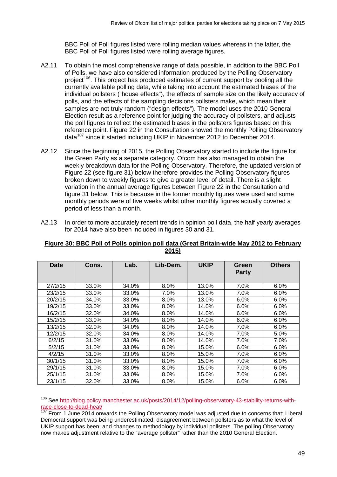BBC Poll of Poll figures listed were rolling median values whereas in the latter, the BBC Poll of Poll figures listed were rolling average figures.

- A2.11 To obtain the most comprehensive range of data possible, in addition to the BBC Poll of Polls, we have also considered information produced by the Polling Observatory project<sup>106</sup>. This project has produced estimates of current support by pooling all the currently available polling data, while taking into account the estimated biases of the individual pollsters ("house effects"), the effects of sample size on the likely accuracy of polls, and the effects of the sampling decisions pollsters make, which mean their samples are not truly random ("design effects"). The model uses the 2010 General Election result as a reference point for judging the accuracy of pollsters, and adjusts the poll figures to reflect the estimated biases in the pollsters figures based on this reference point. Figure 22 in the Consultation showed the monthly Polling Observatory data<sup>[107](#page-51-1)</sup> since it started including UKIP in November 2012 to December 2014.
- A2.12 Since the beginning of 2015, the Polling Observatory started to include the figure for the Green Party as a separate category. Ofcom has also managed to obtain the weekly breakdown data for the Polling Observatory. Therefore, the updated version of Figure 22 (see figure 31) below therefore provides the Polling Observatory figures broken down to weekly figures to give a greater level of detail. There is a slight variation in the annual average figures between Figure 22 in the Consultation and figure 31 below. This is because in the former monthly figures were used and some monthly periods were of five weeks whilst other monthly figures actually covered a period of less than a month.
- A2.13 In order to more accurately recent trends in opinion poll data, the half yearly averages for 2014 have also been included in figures 30 and 31.

| <b>Date</b> | Cons. | Lab.  | Lib-Dem. | <b>UKIP</b> | Green<br><b>Party</b> | <b>Others</b> |
|-------------|-------|-------|----------|-------------|-----------------------|---------------|
|             |       |       |          |             |                       |               |
| 27/2/15     | 33.0% | 34.0% | 8.0%     | 13.0%       | 7.0%                  | 6.0%          |
| 23/2/15     | 33.0% | 33.0% | 7.0%     | 13.0%       | 7.0%                  | 6.0%          |
| 20/2/15     | 34.0% | 33.0% | 8.0%     | 13.0%       | 6.0%                  | 6.0%          |
| 19/2/15     | 33.0% | 33.0% | 8.0%     | 14.0%       | 6.0%                  | 6.0%          |
| 16/2/15     | 32.0% | 34.0% | 8.0%     | 14.0%       | 6.0%                  | 6.0%          |
| 15/2/15     | 33.0% | 34.0% | 8.0%     | 14.0%       | 6.0%                  | 6.0%          |
| 13/2/15     | 32.0% | 34.0% | 8.0%     | 14.0%       | 7.0%                  | 6.0%          |
| 12/2/15     | 32.0% | 34.0% | 8.0%     | 14.0%       | 7.0%                  | 5.0%          |
| 6/2/15      | 31.0% | 33.0% | 8.0%     | 14.0%       | 7.0%                  | 7.0%          |
| 5/2/15      | 31.0% | 33.0% | 8.0%     | 15.0%       | 6.0%                  | 6.0%          |
| 4/2/15      | 31.0% | 33.0% | 8.0%     | 15.0%       | 7.0%                  | 6.0%          |
| 30/1/15     | 31.0% | 33.0% | 8.0%     | 15.0%       | 7.0%                  | 6.0%          |
| 29/1/15     | 31.0% | 33.0% | 8.0%     | 15.0%       | 7.0%                  | 6.0%          |
| 25/1/15     | 31.0% | 33.0% | 8.0%     | 15.0%       | 7.0%                  | 6.0%          |
| 23/1/15     | 32.0% | 33.0% | 8.0%     | 15.0%       | 6.0%                  | 6.0%          |

#### **Figure 30: BBC Poll of Polls opinion poll data (Great Britain-wide May 2012 to February 2015)**

<span id="page-51-0"></span><sup>106</sup> See [http://blog.policy.manchester.ac.uk/posts/2014/12/polling-observatory-43-stability-returns-with](http://blog.policy.manchester.ac.uk/posts/2014/12/polling-observatory-43-stability-returns-with-race-close-to-dead-heat/)[race-close-to-dead-heat/](http://blog.policy.manchester.ac.uk/posts/2014/12/polling-observatory-43-stability-returns-with-race-close-to-dead-heat/)<br>107 F  $\overline{a}$ 

<span id="page-51-1"></span>From 1 June 2014 onwards the Polling Observatory model was adjusted due to concerns that: Liberal Democrat support was being underestimated; disagreement between pollsters as to what the level of UKIP support has been; and changes to methodology by individual pollsters. The polling Observatory now makes adjustment relative to the "average pollster" rather than the 2010 General Election.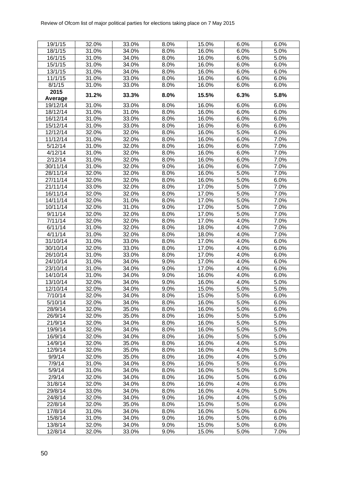| 19/1/15           | 32.0%          | 33.0%          | 8.0%         | 15.0%          | $6.0\%$      | 6.0%               |
|-------------------|----------------|----------------|--------------|----------------|--------------|--------------------|
| 18/1/15           | 31.0%          | 34.0%          | 8.0%         | 16.0%          | 6.0%         | 5.0%               |
| 16/1/15           | 31.0%          | 34.0%          | 8.0%         | 16.0%          | 6.0%         | 5.0%               |
| 15/1/15           | 31.0%          | 34.0%          | 8.0%         | 16.0%          | 6.0%         | 6.0%               |
| 13/1/15           | 31.0%          | 34.0%          | 8.0%         | 16.0%          | 6.0%         | 6.0%               |
| 11/1/15           | 31.0%          | 33.0%          | 8.0%         | 16.0%          | 6.0%         | 6.0%               |
| 8/1/15            | 31.0%          | 33.0%          | 8.0%         | 16.0%          | 6.0%         | 6.0%               |
| 2015<br>Average   | 31.2%          | 33.3%          | 8.0%         | 15.5%          | 6.3%         | 5.8%               |
| 19/12/14          | 31.0%          | 33.0%          | 8.0%         | 16.0%          | 6.0%         | 6.0%               |
| 18/12/14          | 31.0%          | 31.0%          | 8.0%         | 16.0%          | 6.0%         | 6.0%               |
| 16/12/14          | 31.0%          | 33.0%          | 8.0%         | 16.0%          | 6.0%         | 6.0%               |
| 15/12/14          | 31.0%          | 33.0%          | 8.0%         | 16.0%          | 6.0%         | 6.0%               |
| 12/12/14          | 32.0%          | 32.0%          | 8.0%         | 16.0%          | 5.0%         | 6.0%               |
| 11/12/14          | 31.0%          | 32.0%          | 8.0%         | 16.0%          | 6.0%         | 7.0%               |
| 5/12/14           | 31.0%          | 32.0%          | 8.0%         | 16.0%          | 6.0%         | 7.0%               |
| 4/12/14           | 31.0%          | 32.0%          | 8.0%         | 16.0%          | 6.0%         | 7.0%               |
| 2/12/14           | 31.0%          | 32.0%          | 8.0%         | 16.0%          | 6.0%         | 7.0%               |
| 30/11/14          | 31.0%          | 32.0%          | 9.0%         | 16.0%          | 6.0%         | 7.0%               |
| 28/11/14          | 32.0%          | 32.0%          | 8.0%         | 16.0%          | 5.0%         | $\overline{7}.0\%$ |
| 27/11/14          | 32.0%          | 32.0%          | 8.0%         | 16.0%          | 5.0%         | 6.0%               |
| 21/11/14          | 33.0%          | 32.0%          | 8.0%         | 17.0%          | 5.0%         | 7.0%               |
| 16/11/14          | 32.0%          | 32.0%          | 8.0%         | 17.0%          | 5.0%         | $\overline{7}.0\%$ |
| 14/11/14          | 32.0%          | 31.0%          | 8.0%         | 17.0%          | 5.0%         | $\overline{7}.0\%$ |
| 10/11/14          | 32.0%          | 31.0%          | 9.0%         | 17.0%          | 5.0%         | $\overline{7}.0\%$ |
| 9/11/14           | 32.0%          | 32.0%          | 8.0%         | 17.0%          | 5.0%         | $\overline{7}.0\%$ |
| 7/11/14           | 32.0%          | 32.0%          | 8.0%         | 17.0%          | 4.0%         | $\overline{7}.0\%$ |
| 6/11/14           | 31.0%          | 32.0%          | 8.0%         | 18.0%          | 4.0%         | 7.0%               |
| 4/11/14           | 31.0%          | 32.0%          | 8.0%         | 18.0%          | 4.0%         | 7.0%               |
| 31/10/14          | 31.0%          | 33.0%          | 8.0%         | 17.0%          | 4.0%         | 6.0%               |
| 30/10/14          | 32.0%          | 33.0%          | 8.0%         | 17.0%          | 4.0%         | 6.0%               |
| 26/10/14          | 31.0%          | 33.0%          | 8.0%         | 17.0%          | 4.0%         | 6.0%               |
| 24/10/14          | 31.0%          | 34.0%          | 9.0%         | 17.0%          | 4.0%         | 6.0%               |
| 23/10/14          | 31.0%          | 34.0%          | 9.0%         | 17.0%          | 4.0%         | 6.0%               |
| 14/10/14          | 31.0%          | 34.0%          | 9.0%         | 16.0%          | 4.0%         | 6.0%               |
| 13/10/14          | 32.0%          | 34.0%          | 9.0%         | 16.0%          | 4.0%         | 5.0%               |
| 12/10/14          | 32.0%          | 34.0%          | 9.0%         | 15.0%          | 5.0%         | 5.0%               |
| 7/10/14           | 32.0%          | 34.0%          | 8.0%         | 15.0%          | 5.0%         | 6.0%               |
| 5/10/14           | 32.0%          | 34.0%          | 8.0%         | 16.0%          | 5.0%         | 6.0%               |
| 28/9/14           | 32.0%          | 35.0%          | 8.0%         | 16.0%          | 5.0%         | 6.0%               |
| 26/9/14           | 32.0%          | 35.0%          | 8.0%         | 16.0%          | 5.0%         | 5.0%               |
| 21/9/14           | 32.0%          | 34.0%          | 8.0%         | 16.0%          | 5.0%         | 5.0%               |
| 19/9/14           | 32.0%          | 34.0%          | 8.0%         | 16.0%          | 5.0%         | 5.0%               |
| 16/9/14           | 32.0%          | 34.0%          | 8.0%         | 16.0%          | 5.0%         | 5.0%               |
| 14/9/14           | 32.0%          | 35.0%          | 8.0%         | 16.0%          | 4.0%         | 5.0%               |
| 12/9/14           | 32.0%          | 35.0%          | 8.0%         | 16.0%          | 4.0%         | 5.0%               |
| 9/9/14            | 32.0%          | 35.0%          | 8.0%         | 16.0%          | 4.0%         | 5.0%               |
| 7/9/14            | 31.0%          | 34.0%          | 8.0%         | 16.0%          | 5.0%         | 6.0%               |
| 5/9/14            | 31.0%          | 34.0%          | 8.0%         | 16.0%          | 5.0%         | 5.0%               |
| 2/9/14<br>31/8/14 | 32.0%<br>32.0% | 34.0%<br>34.0% | 8.0%<br>8.0% | 16.0%<br>16.0% | 5.0%<br>4.0% | 6.0%<br>6.0%       |
| 29/8/14           | 33.0%          | 34.0%          | 8.0%         | 16.0%          | 4.0%         | 5.0%               |
| 24/8/14           | 32.0%          | 34.0%          | 9.0%         | 16.0%          | 4.0%         | 5.0%               |
| 22/8/14           | 32.0%          | 35.0%          | 8.0%         | 15.0%          | 5.0%         | 6.0%               |
| 17/8/14           | 31.0%          | 34.0%          | 8.0%         | 16.0%          | 5.0%         | 6.0%               |
| 15/8/14           | 31.0%          | 34.0%          | 9.0%         | 16.0%          | 5.0%         | 6.0%               |
| 13/8/14           | 32.0%          | 34.0%          | 9.0%         | 15.0%          | 5.0%         | 6.0%               |
| 12/8/14           | 32.0%          | 33.0%          | 9.0%         | 15.0%          | 5.0%         | 7.0%               |
|                   |                |                |              |                |              |                    |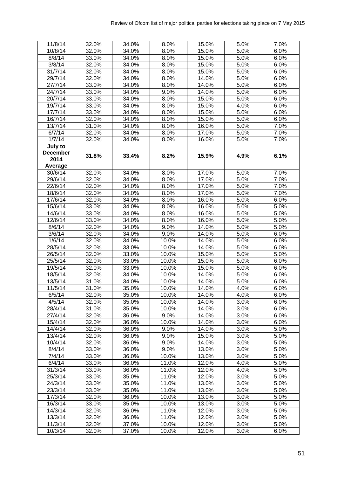| 11/8/14         | 32.0% | 34.0% | 8.0%    | 15.0% | 5.0%               | 7.0%    |
|-----------------|-------|-------|---------|-------|--------------------|---------|
| 10/8/14         | 32.0% | 34.0% | 8.0%    | 15.0% | $\overline{5.0\%}$ | 6.0%    |
| 8/8/14          | 33.0% | 34.0% | 8.0%    | 15.0% | 5.0%               | 6.0%    |
| 3/8/14          | 32.0% | 34.0% | 8.0%    | 15.0% | 5.0%               | 6.0%    |
| 31/7/14         | 32.0% | 34.0% | 8.0%    | 15.0% | 5.0%               | 6.0%    |
| 29/7/14         | 32.0% | 34.0% | 8.0%    | 14.0% | 5.0%               | 6.0%    |
| 27/7/14         | 33.0% | 34.0% | 8.0%    | 14.0% | 5.0%               | 6.0%    |
| 24/7/14         | 33.0% | 34.0% | 9.0%    | 14.0% | 5.0%               | 6.0%    |
| 20/7/14         | 33.0% | 34.0% | 8.0%    | 15.0% | 5.0%               | 6.0%    |
| 19/7/14         | 33.0% | 34.0% | 8.0%    | 15.0% | 4.0%               | 6.0%    |
| 17/7/14         | 33.0% | 34.0% | 8.0%    | 15.0% | 5.0%               | 6.0%    |
| 16/7/14         | 32.0% | 34.0% | 8.0%    | 15.0% | 5.0%               | 6.0%    |
| 13/7/14         | 31.0% | 34.0% | 8.0%    | 16.0% | 5.0%               | 7.0%    |
| 6/7/14          | 32.0% | 34.0% | 8.0%    | 17.0% | 5.0%               | 7.0%    |
| 1/7/14          | 32.0% | 34.0% | 8.0%    | 16.0% | 5.0%               | 7.0%    |
| July to         |       |       |         |       |                    |         |
| <b>December</b> |       |       |         |       |                    |         |
| 2014            | 31.8% | 33.4% | 8.2%    | 15.9% | 4.9%               | 6.1%    |
| Average         |       |       |         |       |                    |         |
| 30/6/14         | 32.0% | 34.0% | 8.0%    | 17.0% | 5.0%               | 7.0%    |
| 29/6/14         | 32.0% | 34.0% | 8.0%    | 17.0% | 5.0%               | 7.0%    |
| 22/6/14         | 32.0% | 34.0% | 8.0%    | 17.0% | 5.0%               | 7.0%    |
| 18/6/14         | 32.0% | 34.0% | 8.0%    | 17.0% | 5.0%               | 7.0%    |
| 17/6/14         | 32.0% | 34.0% | 8.0%    | 16.0% | 5.0%               | 6.0%    |
| 15/6/14         | 33.0% | 34.0% | 8.0%    | 16.0% | 5.0%               | 5.0%    |
| 14/6/14         | 33.0% | 34.0% | 8.0%    | 16.0% | 5.0%               | 5.0%    |
| 12/6/14         | 33.0% | 34.0% | 8.0%    | 16.0% | 5.0%               | 5.0%    |
| 8/6/14          | 32.0% | 34.0% | 9.0%    | 14.0% | 5.0%               | 5.0%    |
| 3/6/14          | 32.0% | 34.0% | 9.0%    | 14.0% | 5.0%               | 6.0%    |
| 1/6/14          | 32.0% | 34.0% | 10.0%   | 14.0% | 5.0%               | 6.0%    |
| 28/5/14         | 32.0% | 33.0% | 10.0%   | 14.0% | 5.0%               | 6.0%    |
| 26/5/14         | 32.0% | 33.0% | 10.0%   | 15.0% | 5.0%               | 5.0%    |
| 25/5/14         | 32.0% | 33.0% | 10.0%   | 15.0% | 5.0%               | 6.0%    |
| 19/5/14         | 32.0% | 33.0% | 10.0%   | 15.0% | 5.0%               | 6.0%    |
| 18/5/14         | 32.0% | 34.0% | 10.0%   | 14.0% | 5.0%               | 6.0%    |
| 13/5/14         | 31.0% | 34.0% | 10.0%   | 14.0% | 5.0%               | 6.0%    |
| 11/5/14         | 31.0% | 35.0% | 10.0%   | 14.0% | 4.0%               | 6.0%    |
| 6/5/14          | 32.0% | 35.0% | 10.0%   | 14.0% | 4.0%               | 6.0%    |
| 4/5/14          | 32.0% | 35.0% | 10.0%   | 14.0% | 3.0%               | 6.0%    |
| 28/4/14         | 31.0% | 35.0% | 10.0%   | 14.0% | 3.0%               | 6.0%    |
| 27/4/14         | 32.0% | 36.0% | 9.0%    | 14.0% | 3.0%               | 6.0%    |
| 15/4/14         | 32.0% | 36.0% | 10.0%   | 14.0% | 3.0%               | 6.0%    |
| 14/4/14         | 32.0% | 36.0% | 9.0%    | 14.0% | 3.0%               | 5.0%    |
| 13/4/14         | 32.0% | 36.0% | 9.0%    | 15.0% | 3.0%               | 5.0%    |
| 10/4/14         | 32.0% | 36.0% | 9.0%    | 14.0% | 3.0%               | 5.0%    |
| 8/4/14          | 33.0% | 36.0% | $9.0\%$ | 13.0% | 3.0%               | 5.0%    |
| 7/4/14          | 33.0% | 36.0% | 10.0%   | 13.0% | 3.0%               | 5.0%    |
| 6/4/14          | 33.0% | 36.0% | 11.0%   | 12.0% | 4.0%               | 5.0%    |
| 31/3/14         | 33.0% | 36.0% | 11.0%   | 12.0% | 4.0%               | 5.0%    |
| 25/3/14         | 33.0% | 35.0% | 11.0%   | 12.0% | 3.0%               | 5.0%    |
| 24/3/14         | 33.0% | 35.0% | 11.0%   | 13.0% | 3.0%               | 5.0%    |
| 23/3/14         | 33.0% | 35.0% | 11.0%   | 13.0% | 3.0%               | 5.0%    |
| 17/3/14         | 32.0% | 36.0% | 10.0%   | 13.0% | 3.0%               | 5.0%    |
| 16/3/14         | 33.0% | 35.0% | 10.0%   | 13.0% | 3.0%               | 5.0%    |
| 14/3/14         | 32.0% | 36.0% | 11.0%   | 12.0% | 3.0%               | 5.0%    |
| 13/3/14         | 32.0% | 36.0% | 11.0%   | 12.0% | 3.0%               | 5.0%    |
| 11/3/14         | 32.0% | 37.0% | 10.0%   | 12.0% | 3.0%               | 5.0%    |
| 10/3/14         | 32.0% | 37.0% | 10.0%   | 12.0% | 3.0%               | $6.0\%$ |
|                 |       |       |         |       |                    |         |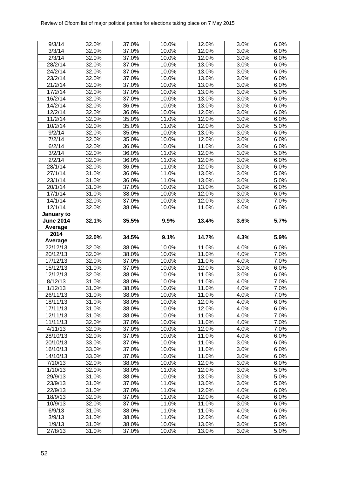| 9/3/14            | 32.0%          | 37.0%          | 10.0%          | 12.0%          | 3.0%         | 6.0%               |
|-------------------|----------------|----------------|----------------|----------------|--------------|--------------------|
| 3/3/14            | 32.0%          | 37.0%          | 10.0%          | 12.0%          | 3.0%         | 6.0%               |
| 2/3/14            | 32.0%          | 37.0%          | 10.0%          | 12.0%          | 3.0%         | 6.0%               |
| 28/2/14           | 32.0%          | 37.0%          | 10.0%          | 13.0%          | 3.0%         | 6.0%               |
| 24/2/14           | 32.0%          | 37.0%          | 10.0%          | 13.0%          | 3.0%         | 6.0%               |
| 23/2/14           | 32.0%          | 37.0%          | 10.0%          | 13.0%          | 3.0%         | 6.0%               |
| 21/2/14           | 32.0%          | 37.0%          | 10.0%          | 13.0%          | 3.0%         | 6.0%               |
| 17/2/14           | 32.0%          | 37.0%          | 10.0%          | 13.0%          | 3.0%         | 5.0%               |
| 16/2/14           | 32.0%          | 37.0%          | 10.0%          | 13.0%          | 3.0%         | 6.0%               |
| 14/2/14           | 32.0%          | 36.0%          | 10.0%          | 13.0%          | 3.0%         | 6.0%               |
| 12/2/14           | 32.0%          | 36.0%          | 10.0%          | 12.0%          | 3.0%         | 6.0%               |
| 11/2/14           | 32.0%          | 35.0%          | 11.0%          | 12.0%          | 3.0%         | 6.0%               |
| 10/2/14           | 32.0%          | 35.0%          | 11.0%          | 12.0%          | 3.0%         | 5.0%               |
| 9/2/14            | 32.0%          | 35.0%          | 10.0%          | 13.0%          | 3.0%         | 6.0%               |
| 7/2/14            | 32.0%          | 35.0%          | 10.0%          | 12.0%          | 3.0%         | 6.0%               |
| 6/2/14            | 32.0%          | 36.0%          | 10.0%          | 11.0%          | 3.0%         | 6.0%               |
| 3/2/14            | 32.0%          | 36.0%          | 11.0%          | 12.0%          | 3.0%         | 5.0%               |
| 2/2/14            | 32.0%          | 36.0%          | 11.0%          | 12.0%          | 3.0%         | 6.0%               |
| 28/1/14           | 32.0%          | 36.0%          | 11.0%          | 12.0%          | 3.0%         | 6.0%               |
| 27/1/14           | 31.0%          | 36.0%          | 11.0%          | 13.0%          | 3.0%         | 5.0%               |
| 23/1/14           | 31.0%          | 36.0%          | 11.0%          | 13.0%          | 3.0%         | 5.0%               |
| 20/1/14           | 31.0%          | 37.0%          | 10.0%          | 13.0%          | 3.0%         | 6.0%               |
| 17/1/14           | 31.0%          | 38.0%          | 10.0%          | 12.0%          | 3.0%         | 6.0%               |
| 14/1/14           | 32.0%          | 37.0%          | 10.0%          | 12.0%          | 3.0%         | 7.0%               |
| 12/1/14           | 32.0%          | 38.0%          | 10.0%          | 11.0%          | 4.0%         | 6.0%               |
| January to        |                |                |                |                |              |                    |
| <b>June 2014</b>  | 32.1%          | 35.5%          | 9.9%           | 13.4%          | 3.6%         | 5.7%               |
| Average           |                |                |                |                |              |                    |
| 2014              |                |                |                |                |              |                    |
|                   |                |                |                |                |              |                    |
| Average           | 32.0%          | 34.5%          | 9.1%           | 14.7%          | 4.3%         | 5.9%               |
| 22/12/13          | 32.0%          | 38.0%          | 10.0%          | 11.0%          | 4.0%         | 6.0%               |
| 20/12/13          | 32.0%          | 38.0%          | 10.0%          | 11.0%          | 4.0%         | $\overline{7}.0\%$ |
| 17/12/13          | 32.0%          | 37.0%          | 10.0%          | 11.0%          | 4.0%         | 7.0%               |
| 15/12/13          | 31.0%          | 37.0%          | 10.0%          | 12.0%          | 3.0%         | 6.0%               |
| 12/12/13          | 32.0%          | 38.0%          | 10.0%          | 11.0%          | 3.0%         | 6.0%               |
| 8/12/13           | 31.0%          | 38.0%          | 10.0%          | 11.0%          | 4.0%         | 7.0%               |
| 1/12/13           | 31.0%          | 38.0%          | 10.0%          | 11.0%          | 4.0%         | 7.0%               |
| 26/11/13          | 31.0%          | 38.0%          | 10.0%          | 11.0%          | 4.0%         | 7.0%               |
| 18/11/13          | 31.0%          | 38.0%          | 10.0%          | 12.0%          | 4.0%         | 6.0%               |
| 17/11/13          | 31.0%          | 38.0%          | 10.0%          | 12.0%          | 4.0%         | 6.0%               |
| 12/11/13          | 31.0%          | 38.0%          | 10.0%          | 11.0%          | 4.0%         | 7.0%               |
| 11/11/13          | 32.0%          | 37.0%          | 10.0%          | 11.0%          | 4.0%         | 7.0%               |
| 4/11/13           | 32.0%          | 37.0%          | 10.0%          | 12.0%          | 4.0%         | 7.0%               |
| 28/10/13          | 32.0%          | 37.0%          | 10.0%          | 11.0%          | 4.0%         | 6.0%               |
| 20/10/13          | 33.0%          | 37.0%          | 10.0%          | 11.0%          | 3.0%         | 6.0%               |
| 16/10/13          | 33.0%          | 37.0%          | 10.0%          | 11.0%          | 3.0%         | 6.0%               |
| 14/10/13          | 33.0%          | 37.0%          | 10.0%          | 11.0%          | 3.0%         | 6.0%               |
| 7/10/13           | 32.0%          | 38.0%          | 10.0%          | 12.0%          | 3.0%         | 6.0%               |
| 1/10/13           | 32.0%          | 38.0%          | 11.0%          | 12.0%          | 3.0%         | 5.0%               |
| 29/9/13           | 31.0%          | 38.0%          | 10.0%          | 13.0%          | 3.0%         | 5.0%               |
| 23/9/13           | 31.0%          | 37.0%          | 11.0%          | 13.0%          | 3.0%         | 5.0%               |
| 22/9/13           | 31.0%          | 37.0%          | 11.0%          | 12.0%          | 4.0%         | 6.0%               |
| 18/9/13           | 32.0%          | 37.0%          | 11.0%          | 12.0%          | 4.0%         | 6.0%               |
| 10/9/13           | 32.0%          | 37.0%          | 11.0%          | 11.0%          | 3.0%         | 6.0%               |
| 6/9/13            | 31.0%          | 38.0%          | 11.0%          | 11.0%          | 4.0%         | 6.0%               |
| 3/9/13            | 31.0%          | 38.0%          | 11.0%          | 12.0%          | 4.0%         | 6.0%               |
| 1/9/13<br>27/8/13 | 31.0%<br>31.0% | 38.0%<br>37.0% | 10.0%<br>10.0% | 13.0%<br>13.0% | 3.0%<br>3.0% | 5.0%<br>5.0%       |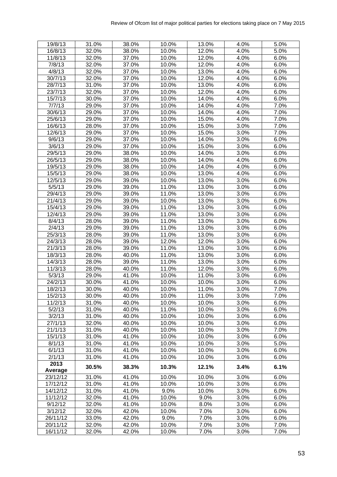| 19/8/13         | 31.0% | 38.0% | 10.0% | 13.0% | 4.0% | 5.0%               |
|-----------------|-------|-------|-------|-------|------|--------------------|
| 16/8/13         | 32.0% | 38.0% | 10.0% | 12.0% | 4.0% | $\overline{5.0\%}$ |
| 11/8/13         | 32.0% | 37.0% | 10.0% | 12.0% | 4.0% | 6.0%               |
| 7/8/13          | 32.0% | 37.0% | 10.0% | 12.0% | 4.0% | 6.0%               |
| 4/8/13          | 32.0% | 37.0% | 10.0% | 13.0% | 4.0% | 6.0%               |
| 30/7/13         | 32.0% | 37.0% | 10.0% | 12.0% | 4.0% | 6.0%               |
| 28/7/13         | 31.0% | 37.0% | 10.0% | 13.0% | 4.0% | 6.0%               |
| 23/7/13         | 32.0% | 37.0% | 10.0% | 12.0% | 4.0% | 6.0%               |
| 15/7/13         | 30.0% | 37.0% | 10.0% | 14.0% | 4.0% | 6.0%               |
| 7/7/13          | 29.0% | 37.0% | 10.0% | 14.0% | 4.0% | 7.0%               |
| 30/6/13         | 29.0% | 37.0% | 10.0% | 14.0% | 4.0% | 7.0%               |
| 25/6/13         | 29.0% | 37.0% | 10.0% | 15.0% | 4.0% | 7.0%               |
| 16/6/13         | 28.0% | 37.0% | 10.0% | 15.0% | 3.0% | 7.0%               |
| 12/6/13         | 29.0% | 37.0% | 10.0% | 15.0% | 3.0% | 7.0%               |
| 9/6/13          | 29.0% | 37.0% | 10.0% | 14.0% | 3.0% | 6.0%               |
| 3/6/13          | 29.0% | 37.0% | 10.0% | 15.0% | 3.0% | 6.0%               |
| 29/5/13         | 29.0% | 38.0% | 10.0% | 14.0% | 3.0% | 6.0%               |
| 26/5/13         | 29.0% | 38.0% | 10.0% | 14.0% | 4.0% | 6.0%               |
| 19/5/13         | 29.0% | 38.0% | 10.0% | 14.0% | 4.0% | 6.0%               |
| 15/5/13         | 29.0% | 38.0% | 10.0% | 13.0% | 4.0% | 6.0%               |
| 12/5/13         | 29.0% | 39.0% | 10.0% | 13.0% | 3.0% | 6.0%               |
| 5/5/13          | 29.0% | 39.0% | 11.0% | 13.0% | 3.0% | 6.0%               |
| 29/4/13         | 29.0% | 39.0% | 11.0% | 13.0% | 3.0% | 6.0%               |
| 21/4/13         | 29.0% | 39.0% | 10.0% | 13.0% | 3.0% | 6.0%               |
| 15/4/13         | 29.0% | 39.0% | 11.0% | 13.0% | 3.0% | 6.0%               |
| 12/4/13         | 29.0% | 39.0% | 11.0% | 13.0% | 3.0% | 6.0%               |
| 8/4/13          | 28.0% | 39.0% | 11.0% | 13.0% | 3.0% | 6.0%               |
| 2/4/13          | 29.0% | 39.0% | 11.0% | 13.0% | 3.0% | 6.0%               |
| 25/3/13         | 28.0% | 39.0% | 11.0% | 13.0% | 3.0% | 6.0%               |
| 24/3/13         | 28.0% | 39.0% | 12.0% | 12.0% | 3.0% | 6.0%               |
| 21/3/13         | 28.0% | 39.0% | 11.0% | 13.0% | 3.0% | 6.0%               |
| 18/3/13         | 28.0% | 40.0% | 11.0% | 13.0% | 3.0% | 6.0%               |
| 14/3/13         | 28.0% | 39.0% | 11.0% | 13.0% | 3.0% | 6.0%               |
| 11/3/13         | 28.0% | 40.0% | 11.0% | 12.0% | 3.0% | 6.0%               |
| 5/3/13          | 29.0% | 41.0% | 10.0% | 11.0% | 3.0% | 6.0%               |
| 24/2/13         | 30.0% | 41.0% | 10.0% | 10.0% | 3.0% | 6.0%               |
| 18/2/13         | 30.0% | 40.0% | 10.0% | 11.0% | 3.0% | $\overline{7.0\%}$ |
| 15/2/13         | 30.0% | 40.0% | 10.0% | 11.0% | 3.0% | 7.0%               |
| 11/2/13         | 31.0% | 40.0% | 10.0% | 10.0% | 3.0% | 6.0%               |
| 5/2/13          | 31.0% | 40.0% | 11.0% | 10.0% | 3.0% | 6.0%               |
| 3/2/13          | 31.0% | 40.0% | 10.0% | 10.0% | 3.0% | 6.0%               |
| 27/1/13         | 32.0% | 40.0% | 10.0% | 10.0% | 3.0% | 6.0%               |
| 21/1/13         | 31.0% | 40.0% | 10.0% | 10.0% | 3.0% | 7.0%               |
| 15/1/13         | 31.0% | 41.0% | 10.0% | 10.0% | 3.0% | 6.0%               |
| 8/1/13          | 31.0% | 41.0% | 10.0% | 10.0% | 3.0% | 5.0%               |
| 6/1/13          | 31.0% | 41.0% | 10.0% | 10.0% | 3.0% | 6.0%               |
| 2/1/13          | 31.0% | 41.0% | 10.0% | 10.0% | 3.0% | 6.0%               |
| 2013<br>Average | 30.5% | 38.3% | 10.3% | 12.1% | 3.4% | 6.1%               |
| 23/12/12        | 31.0% | 41.0% | 10.0% | 10.0% | 3.0% | 6.0%               |
| 17/12/12        | 31.0% | 41.0% | 10.0% | 10.0% | 3.0% | 6.0%               |
| 14/12/12        | 31.0% | 41.0% | 9.0%  | 10.0% | 3.0% | 6.0%               |
| 11/12/12        | 32.0% | 41.0% | 10.0% | 9.0%  | 3.0% | 6.0%               |
| 9/12/12         | 32.0% | 41.0% | 10.0% | 8.0%  | 3.0% | 6.0%               |
| 3/12/12         | 32.0% | 42.0% | 10.0% | 7.0%  | 3.0% | 6.0%               |
| 26/11/12        | 33.0% | 42.0% | 9.0%  | 7.0%  | 3.0% | 6.0%               |
| 20/11/12        | 32.0% | 42.0% | 10.0% | 7.0%  | 3.0% | 7.0%               |
| 16/11/12        | 32.0% | 42.0% | 10.0% | 7.0%  | 3.0% | 7.0%               |
|                 |       |       |       |       |      |                    |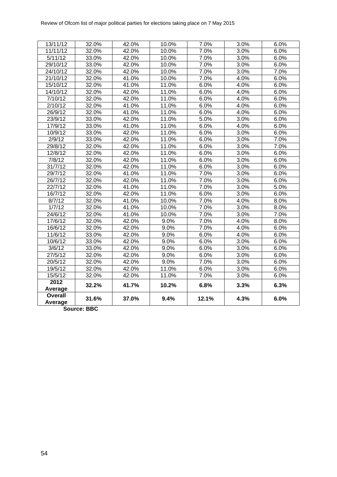| Average  | 31.6% | 37.0% | 9.4%  | 12.1% | 4.3% | 6.0% |
|----------|-------|-------|-------|-------|------|------|
| Overall  |       |       |       |       |      |      |
| Average  | 32.2% | 41.7% | 10.2% | 6.8%  | 3.3% | 6.3% |
| 2012     |       |       |       |       |      |      |
| 15/5/12  | 32.0% | 42.0% | 11.0% | 7.0%  | 3.0% | 6.0% |
| 19/5/12  | 32.0% | 42.0% | 11.0% | 6.0%  | 3.0% | 6.0% |
| 20/5/12  | 32.0% | 42.0% | 9.0%  | 7.0%  | 3.0% | 6.0% |
| 27/5/12  | 32.0% | 42.0% | 9.0%  | 6.0%  | 3.0% | 6.0% |
| 3/6/12   | 33.0% | 42.0% | 9.0%  | 6.0%  | 3.0% | 6.0% |
| 10/6/12  | 33.0% | 42.0% | 9.0%  | 6.0%  | 3.0% | 6.0% |
| 11/6/12  | 33.0% | 42.0% | 9.0%  | 6.0%  | 4.0% | 6.0% |
| 16/6/12  | 32.0% | 42.0% | 9.0%  | 7.0%  | 4.0% | 6.0% |
| 17/6/12  | 32.0% | 42.0% | 9.0%  | 7.0%  | 4.0% | 8.0% |
| 24/6/12  | 32.0% | 41.0% | 10.0% | 7.0%  | 3.0% | 7.0% |
| 1/7/12   | 32.0% | 41.0% | 10.0% | 7.0%  | 3.0% | 8.0% |
| 8/7/12   | 32.0% | 41.0% | 10.0% | 7.0%  | 4.0% | 8.0% |
| 16/7/12  | 32.0% | 42.0% | 11.0% | 6.0%  | 3.0% | 6.0% |
| 22/7/12  | 32.0% | 41.0% | 11.0% | 7.0%  | 3.0% | 5.0% |
| 26/7/12  | 32.0% | 42.0% | 11.0% | 7.0%  | 3.0% | 6.0% |
| 29/7/12  | 32.0% | 41.0% | 11.0% | 7.0%  | 3.0% | 6.0% |
| 31/7/12  | 32.0% | 42.0% | 11.0% | 6.0%  | 3.0% | 6.0% |
| 7/8/12   | 32.0% | 42.0% | 11.0% | 6.0%  | 3.0% | 6.0% |
| 12/8/12  | 32.0% | 42.0% | 11.0% | 6.0%  | 3.0% | 6.0% |
| 29/8/12  | 32.0% | 42.0% | 11.0% | 6.0%  | 3.0% | 7.0% |
| 2/9/12   | 33.0% | 42.0% | 11.0% | 6.0%  | 3.0% | 7.0% |
| 10/9/12  | 33.0% | 42.0% | 11.0% | 6.0%  | 3.0% | 6.0% |
| 17/9/12  | 33.0% | 41.0% | 11.0% | 6.0%  | 4.0% | 6.0% |
| 23/9/12  | 33.0% | 42.0% | 11.0% | 5.0%  | 3.0% | 6.0% |
| 26/9/12  | 32.0% | 41.0% | 11.0% | 6.0%  | 4.0% | 6.0% |
| 2/10/12  | 32.0% | 41.0% | 11.0% | 6.0%  | 4.0% | 6.0% |
| 7/10/12  | 32.0% | 42.0% | 11.0% | 6.0%  | 4.0% | 6.0% |
| 14/10/12 | 32.0% | 42.0% | 11.0% | 6.0%  | 4.0% | 6.0% |
| 15/10/12 | 32.0% | 41.0% | 11.0% | 6.0%  | 4.0% | 6.0% |
| 21/10/12 | 32.0% | 41.0% | 10.0% | 7.0%  | 4.0% | 6.0% |
| 24/10/12 | 32.0% | 42.0% | 10.0% | 7.0%  | 3.0% | 7.0% |
| 29/10/12 | 33.0% | 42.0% | 10.0% | 7.0%  | 3.0% | 6.0% |
| 5/11/12  | 33.0% | 42.0% | 10.0% | 7.0%  | 3.0% | 6.0% |
| 11/11/12 | 32.0% | 42.0% | 10.0% | 7.0%  | 3.0% | 6.0% |
| 13/11/12 | 32.0% | 42.0% | 10.0% | 7.0%  | 3.0% | 6.0% |

**Source: BBC**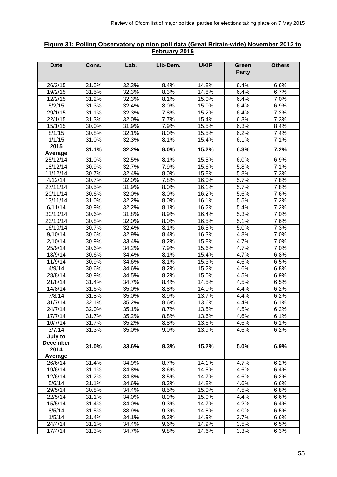#### **Figure 31: Polling Observatory opinion poll data (Great Britain-wide) November 2012 to February 2015**

| <b>Date</b>     | Cons. | Lab.  | Lib-Dem. | <b>UKIP</b> | <b>Green</b><br><b>Party</b> | <b>Others</b> |
|-----------------|-------|-------|----------|-------------|------------------------------|---------------|
| 26/2/15         | 31.5% | 32.3% | 8.4%     | 14.8%       | 6.4%                         | 6.6%          |
| 19/2/15         | 31.5% | 32.3% | 8.3%     | 14.8%       | 6.4%                         | 6.7%          |
| 12/2/15         | 31.2% | 32.3% | 8.1%     | 15.0%       | 6.4%                         | 7.0%          |
| 5/2/15          | 31.3% | 32.4% | 8.0%     | 15.0%       | 6.4%                         | 6.9%          |
| 29/1/15         | 31.1% | 32.3% | 7.8%     | 15.2%       | 6.4%                         | 7.2%          |
| 22/1/15         | 31.3% | 32.0% | 7.7%     | 15.4%       | 6.3%                         | 7.3%          |
| 15/1/15         | 30.0% | 31.9% | 7.9%     | 15.5%       | 6.3%                         | 8.4%          |
| 8/1/15          | 30.8% | 32.1% | 8.0%     | 15.5%       | 6.2%                         | 7.4%          |
| 1/1/15          | 31.0% | 32.3% | 8.1%     | 15.4%       | 6.1%                         | 7.1%          |
| 2015            |       |       |          |             |                              |               |
| Average         | 31.1% | 32.2% | 8.0%     | 15.2%       | 6.3%                         | 7.2%          |
| 25/12/14        | 31.0% | 32.5% | 8.1%     | 15.5%       | 6.0%                         | 6.9%          |
| 18/12/14        | 30.9% | 32.7% | 7.9%     | 15.6%       | 5.8%                         | 7.1%          |
| 11/12/14        | 30.7% | 32.4% | 8.0%     | 15.8%       | 5.8%                         | 7.3%          |
| 4/12/14         | 30.7% | 32.0% | 7.8%     | 16.0%       | 5.7%                         | 7.8%          |
| 27/11/14        | 30.5% | 31.9% | 8.0%     | 16.1%       | 5.7%                         | 7.8%          |
| 20/11/14        | 30.6% | 32.0% | 8.0%     | 16.2%       | 5.6%                         | 7.6%          |
| 13/11/14        | 31.0% | 32.2% | 8.0%     | 16.1%       | 5.5%                         | 7.2%          |
| 6/11/14         | 30.9% | 32.2% | 8.1%     | 16.2%       | 5.4%                         | 7.2%          |
| 30/10/14        | 30.6% | 31.8% | 8.9%     | 16.4%       | 5.3%                         | 7.0%          |
| 23/10/14        | 30.8% | 32.0% | 8.0%     | 16.5%       | 5.1%                         | 7.6%          |
| 16/10/14        | 30.7% | 32.4% | 8.1%     | 16.5%       | 5.0%                         | 7.3%          |
| 9/10/14         | 30.6% | 32.9% | 8.4%     | 16.3%       | 4.8%                         | 7.0%          |
| 2/10/14         | 30.9% | 33.4% | 8.2%     | 15.8%       | 4.7%                         | 7.0%          |
| 25/9/14         | 30.6% | 34.2% | 7.9%     | 15.6%       | 4.7%                         | 7.0%          |
| 18/9/14         | 30.6% | 34.4% | 8.1%     | 15.4%       | 4.7%                         | 6.8%          |
| 11/9/14         | 30.9% | 34.6% | 8.1%     | 15.3%       | 4.6%                         | 6.5%          |
| 4/9/14          | 30.6% | 34.6% | 8.2%     | 15.2%       | 4.6%                         | 6.8%          |
| 28/8/14         | 30.9% | 34.5% | 8.2%     | 15.0%       | 4.5%                         | 6.9%          |
| 21/8/14         | 31.4% | 34.7% | 8.4%     | 14.5%       | 4.5%                         | 6.5%          |
| 14/8/14         | 31.6% | 35.0% | 8.8%     | 14.0%       | 4.4%                         | 6.2%          |
| 7/8/14          | 31.8% | 35.0% | 8.9%     | 13.7%       | 4.4%                         | 6.2%          |
| 31/7/14         | 32.1% | 35.2% | 8.6%     | 13.6%       | 4.4%                         | 6.1%          |
| 24/7/14         | 32.0% | 35.1% | 8.7%     | 13.5%       | 4.5%                         | 6.2%          |
| 17/7/14         | 31.7% | 35.2% | 8.8%     | 13.6%       | 4.6%                         | 6.1%          |
| 10/7/14         | 31.7% | 35.2% | 8.8%     | 13.6%       | 4.6%                         | 6.1%          |
| 3/7/14          | 31.3% | 35.0% | 9.0%     | 13.9%       | 4.6%                         | 6.2%          |
| July to         |       |       |          |             |                              |               |
| <b>December</b> | 31.0% | 33.6% | 8.3%     | 15.2%       | 5.0%                         | 6.9%          |
| 2014<br>Average |       |       |          |             |                              |               |
| 26/6/14         | 31.4% | 34.9% | 8.7%     | 14.1%       | 4.7%                         | 6.2%          |
| 19/6/14         | 31.1% | 34.8% | 8.6%     | 14.5%       | 4.6%                         | 6.4%          |
| 12/6/14         | 31.2% | 34.8% | 8.5%     | 14.7%       | 4.6%                         | 6.2%          |
| 5/6/14          | 31.1% | 34.6% | 8.3%     | 14.8%       | 4.6%                         | 6.6%          |
| 29/5/14         | 30.8% | 34.4% | 8.5%     | 15.0%       | 4.5%                         | 6.8%          |
| 22/5/14         | 31.1% | 34.0% | 8.9%     | 15.0%       | 4.4%                         | 6.6%          |
| 15/5/14         | 31.4% | 34.0% | 9.3%     | 14.7%       | 4.2%                         | 6.4%          |
| 8/5/14          | 31.5% | 33.9% | 9.3%     | 14.8%       | 4.0%                         | 6.5%          |
| 1/5/14          | 31.4% | 34.1% | 9.3%     | 14.9%       | 3.7%                         | 6.6%          |
| 24/4/14         | 31.1% | 34.4% | 9.6%     | 14.9%       | 3.5%                         | 6.5%          |
| 17/4/14         | 31.3% | 34.7% | 9.8%     | 14.6%       | 3.3%                         | 6.3%          |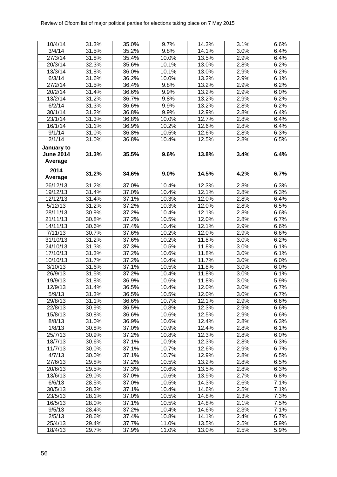| 10/4/14          | 31.3% | 35.0% | 9.7%  | 14.3% | 3.1%    | 6.6% |
|------------------|-------|-------|-------|-------|---------|------|
| 3/4/14           | 31.5% | 35.2% | 9.8%  | 14.1% | 3.0%    | 6.4% |
| 27/3/14          | 31.8% | 35.4% | 10.0% | 13.5% | 2.9%    | 6.4% |
| 20/3/14          | 32.3% | 35.6% | 10.1% | 13.0% | 2.8%    | 6.2% |
| 13/3/14          | 31.8% | 36.0% | 10.1% | 13.0% | 2.9%    | 6.2% |
| 6/3/14           | 31.6% | 36.2% | 10.0% | 13.2% | 2.9%    | 6.1% |
| 27/2/14          | 31.5% | 36.4% | 9.8%  | 13.2% | 2.9%    | 6.2% |
| 20/2/14          | 31.4% | 36.6% | 9.9%  | 13.2% | 2.9%    | 6.0% |
| 13/2/14          | 31.2% | 36.7% | 9.8%  | 13.2% | 2.9%    | 6.2% |
| 6/2/14           | 31.3% | 36.6% | 9.9%  | 13.2% | 2.8%    | 6.2% |
| 30/1/14          | 31.2% | 36.8% | 9.9%  | 12.9% | 2.8%    | 6.4% |
| 23/1/14          | 31.3% | 36.8% | 10.0% | 12.7% | 2.8%    | 6.4% |
| 16/1/14          | 31.1% | 36.9% | 10.2% | 12.6% | 2.8%    | 6.4% |
| 9/1/14           | 31.0% | 36.8% | 10.5% | 12.6% | 2.8%    | 6.3% |
| 2/1/14           | 31.0% | 36.8% | 10.4% | 12.5% | 2.8%    | 6.5% |
| January to       |       |       |       |       |         |      |
| <b>June 2014</b> | 31.3% | 35.5% | 9.6%  | 13.8% | 3.4%    | 6.4% |
| Average          |       |       |       |       |         |      |
|                  |       |       |       |       |         |      |
| 2014             | 31.2% | 34.6% | 9.0%  | 14.5% | 4.2%    | 6.7% |
| Average          |       |       |       |       |         |      |
| 26/12/13         | 31.2% | 37.0% | 10.4% | 12.3% | 2.8%    | 6.3% |
| 19/12/13         | 31.4% | 37.0% | 10.4% | 12.1% | 2.8%    | 6.3% |
| 12/12/13         | 31.4% | 37.1% | 10.3% | 12.0% | 2.8%    | 6.4% |
| 5/12/13          | 31.2% | 37.2% | 10.3% | 12.0% | 2.8%    | 6.5% |
| 28/11/13         | 30.9% | 37.2% | 10.4% | 12.1% | 2.8%    | 6.6% |
| 21/11/13         | 30.8% | 37.2% | 10.5% | 12.0% | 2.8%    | 6.7% |
| 14/11/13         | 30.6% | 37.4% | 10.4% | 12.1% | 2.9%    | 6.6% |
| 7/11/13          | 30.7% | 37.6% | 10.2% | 12.0% | 2.9%    | 6.6% |
| 31/10/13         | 31.2% | 37.6% | 10.2% | 11.8% | 3.0%    | 6.2% |
| 24/10/13         | 31.3% | 37.3% | 10.5% | 11.8% | 3.0%    | 6.1% |
| 17/10/13         | 31.3% | 37.2% | 10.6% | 11.8% | 3.0%    | 6.1% |
| 10/10/13         | 31.7% | 37.2% | 10.4% | 11.7% | 3.0%    | 6.0% |
| 3/10/13          | 31.6% | 37.1% | 10.5% | 11.8% | 3.0%    | 6.0% |
| 26/9/13          | 31.5% | 37.2% | 10.4% | 11.8% | 3.0%    | 6.1% |
| 19/9/13          | 31.8% | 36.9% | 10.6% | 11.8% | 3.0%    | 5.9% |
| 12/9/13          | 31.4% | 36.5% | 10.4% | 12.0% | 3.0%    | 6.7% |
| 5/9/13           | 31.3% | 36.5% | 10.5% | 12.0% | 3.0%    | 6.7% |
| 29/8/13          | 31.1% | 36.6% | 10.7% | 12.1% | 2.9%    | 6.6% |
| 22/8/13          | 30.9% | 36.5% | 10.8% | 12.3% | 2.9%    | 6.6% |
| 15/8/13          | 30.8% | 36.6% | 10.6% | 12.5% | 2.9%    | 6.6% |
| 8/8/13           | 31.0% | 36.9% | 10.6% | 12.4% | 2.8%    | 6.3% |
| 1/8/13           | 30.8% | 37.0% | 10.9% | 12.4% | 2.8%    | 6.1% |
| 25/7/13          | 30.9% | 37.2% | 10.8% | 12.3% | 2.8%    | 6.0% |
| 18/7/13          | 30.6% | 37.1% | 10.9% | 12.3% | 2.8%    | 6.3% |
| 11/7/13          | 30.0% | 37.1% | 10.7% | 12.6% | 2.9%    | 6.7% |
| 4/7/13           | 30.0% | 37.1% | 10.7% | 12.9% | 2.8%    | 6.5% |
| 27/6/13          | 29.8% | 37.2% | 10.5% | 13.2% | 2.8%    | 6.5% |
| 20/6/13          | 29.5% | 37.3% | 10.6% | 13.5% | 2.8%    | 6.3% |
| 13/6/13          | 29.0% | 37.0% | 10.6% | 13.9% | $2.7\%$ | 6.8% |
| 6/6/13           | 28.5% | 37.0% | 10.5% | 14.3% | 2.6%    | 7.1% |
| 30/5/13          | 28.3% | 37.1% | 10.4% | 14.6% | 2.5%    | 7.1% |
| 23/5/13          | 28.1% | 37.0% | 10.5% | 14.8% | 2.3%    | 7.3% |
| 16/5/13          | 28.0% | 37.1% | 10.5% | 14.8% | 2.1%    | 7.5% |
| 9/5/13           | 28.4% | 37.2% | 10.4% | 14.6% | 2.3%    | 7.1% |
| 2/5/13           | 28.6% | 37.4% | 10.8% | 14.1% | 2.4%    | 6.7% |
| 25/4/13          | 29.4% | 37.7% | 11.0% | 13.5% | 2.5%    | 5.9% |
| 18/4/13          | 29.7% | 37.9% | 11.0% | 13.0% | 2.5%    | 5.9% |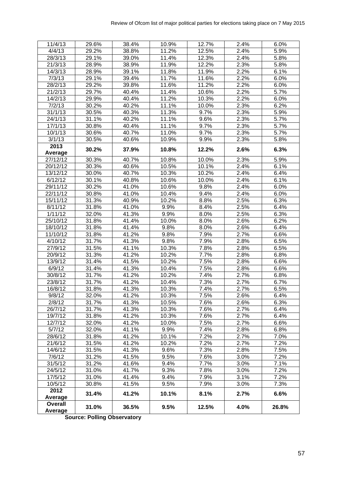| 11/4/13  | 29.6% | 38.4% | 10.9% | 12.7% | 2.4%               | 6.0%  |
|----------|-------|-------|-------|-------|--------------------|-------|
| 4/4/13   | 29.2% | 38.8% | 11.2% | 12.5% | $\overline{2.4\%}$ | 5.9%  |
| 28/3/13  | 29.1% | 39.0% | 11.4% | 12.3% | 2.4%               | 5.8%  |
| 21/3/13  | 28.9% | 38.9% | 11.9% | 12.2% | 2.3%               | 5.8%  |
| 14/3/13  | 28.9% | 39.1% | 11.8% | 11.9% | 2.2%               | 6.1%  |
| 7/3/13   | 29.1% | 39.4% | 11.7% | 11.6% | 2.2%               | 6.0%  |
| 28/2/13  | 29.2% | 39.8% | 11.6% | 11.2% | 2.2%               | 6.0%  |
| 21/2/13  | 29.7% | 40.4% | 11.4% | 10.6% | 2.2%               | 5.7%  |
| 14/2/13  | 29.9% | 40.4% | 11.2% | 10.3% | 2.2%               | 6.0%  |
| 7/2/13   | 30.2% | 40.2% | 11.1% | 10.0% | 2.3%               | 6.2%  |
| 31/1/13  | 30.5% | 40.3% | 11.3% | 9.7%  | 2.3%               | 5.9%  |
| 24/1/13  | 31.1% | 40.2% | 11.1% | 9.6%  | 2.3%               | 5.7%  |
| 17/1/13  | 30.8% | 40.4% | 11.1% | 9.7%  | 2.3%               | 5.7%  |
| 10/1/13  | 30.6% | 40.7% | 11.0% | 9.7%  | 2.3%               | 5.7%  |
| 3/1/13   | 30.5% | 40.6% | 10.9% | 9.9%  | 2.3%               | 5.8%  |
| 2013     |       |       |       |       |                    |       |
| Average  | 30.2% | 37.9% | 10.8% | 12.2% | 2.6%               | 6.3%  |
| 27/12/12 | 30.3% | 40.7% | 10.8% | 10.0% | 2.3%               | 5.9%  |
| 20/12/12 | 30.3% | 40.6% | 10.5% | 10.1% | $\overline{2.4\%}$ | 6.1%  |
| 13/12/12 | 30.0% | 40.7% | 10.3% | 10.2% | 2.4%               | 6.4%  |
| 6/12/12  | 30.1% | 40.8% | 10.6% | 10.0% | 2.4%               | 6.1%  |
| 29/11/12 | 30.2% | 41.0% | 10.6% | 9.8%  | 2.4%               | 6.0%  |
| 22/11/12 | 30.8% | 41.0% | 10.4% | 9.4%  | 2.4%               | 6.0%  |
| 15/11/12 | 31.3% | 40.9% | 10.2% | 8.8%  | 2.5%               | 6.3%  |
| 8/11/12  | 31.8% | 41.0% | 9.9%  | 8.4%  | 2.5%               | 6.4%  |
| 1/11/12  | 32.0% | 41.3% | 9.9%  | 8.0%  | 2.5%               | 6.3%  |
| 25/10/12 | 31.8% | 41.4% | 10.0% | 8.0%  | 2.6%               | 6.2%  |
| 18/10/12 | 31.8% | 41.4% | 9.8%  | 8.0%  | 2.6%               | 6.4%  |
| 11/10/12 | 31.8% | 41.2% | 9.8%  | 7.9%  | 2.7%               | 6.6%  |
| 4/10/12  | 31.7% | 41.3% | 9.8%  | 7.9%  | 2.8%               | 6.5%  |
| 27/9/12  | 31.5% | 41.1% | 10.3% | 7.8%  | 2.8%               | 6.5%  |
| 20/9/12  | 31.3% | 41.2% | 10.2% | 7.7%  | 2.8%               | 6.8%  |
| 13/9/12  | 31.4% | 41.5% | 10.2% | 7.5%  | 2.8%               | 6.6%  |
| 6/9/12   | 31.4% | 41.3% | 10.4% | 7.5%  | 2.8%               | 6.6%  |
| 30/8/12  | 31.7% | 41.2% | 10.2% | 7.4%  | 2.7%               | 6.8%  |
| 23/8/12  | 31.7% | 41.2% | 10.4% | 7.3%  | 2.7%               | 6.7%  |
| 16/8/12  | 31.8% | 41.3% | 10.3% | 7.4%  | 2.7%               | 6.5%  |
| 9/8/12   | 32.0% | 41.2% | 10.3% | 7.5%  | 2.6%               | 6.4%  |
| 2/8/12   | 31.7% | 41.3% | 10.5% | 7.6%  | 2.6%               | 6.3%  |
| 26/7/12  | 31.7% | 41.3% | 10.3% | 7.6%  | 2.7%               | 6.4%  |
| 19/7/12  | 31.8% | 41.2% | 10.3% | 7.6%  | 2.7%               | 6.4%  |
| 12/7/12  | 32.0% | 41.2% | 10.0% | 7.5%  | 2.7%               | 6.6%  |
| 5/7/12   | 32.0% | 41.1% | 9.9%  | 7.4%  | 2.8%               | 6.8%  |
| 28/6/12  | 31.8% | 41.2% | 10.1% | 7.2%  | 2.7%               | 7.0%  |
| 21/6/12  | 31.5% | 41.2% | 10.2% | 7.2%  | 2.7%               | 7.2%  |
| 14/6/12  | 31.5% | 41.3% | 9.6%  | 7.3%  | 2.8%               | 7.5%  |
| 7/6/12   | 31.2% | 41.5% | 9.5%  | 7.6%  | 3.0%               | 7.2%  |
| 31/5/12  | 31.2% | 41.6% | 9.4%  | 7.7%  | 3.0%               | 7.1%  |
| 24/5/12  | 31.0% | 41.7% | 9.3%  | 7.8%  | 3.0%               | 7.2%  |
| 17/5/12  | 31.0% | 41.4% | 9.4%  | 7.9%  | 3.1%               | 7.2%  |
| 10/5/12  | 30.8% | 41.5% | 9.5%  | 7.9%  | 3.0%               | 7.3%  |
| 2012     |       |       |       |       |                    |       |
| Average  | 31.4% | 41.2% | 10.1% | 8.1%  | 2.7%               | 6.6%  |
| Overall  |       |       |       |       |                    |       |
| Average  | 31.0% | 36.5% | 9.5%  | 12.5% | 4.0%               | 26.8% |

**Source: Polling Observatory**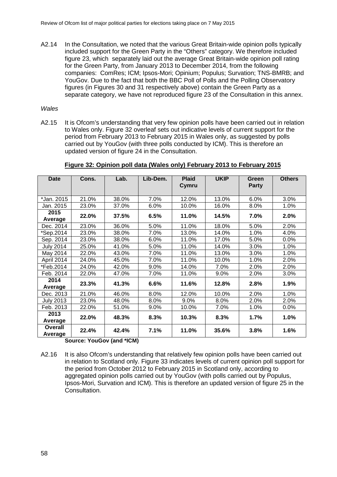A2.14 In the Consultation, we noted that the various Great Britain-wide opinion polls typically included support for the Green Party in the "Others" category. We therefore included figure 23, which separately laid out the average Great Britain-wide opinion poll rating for the Green Party, from January 2013 to December 2014, from the following companies: ComRes; ICM; Ipsos-Mori; Opinium; Populus; Survation; TNS-BMRB; and YouGov. Due to the fact that both the BBC Poll of Polls and the Polling Observatory figures (in Figures 30 and 31 respectively above) contain the Green Party as a separate category, we have not reproduced figure 23 of the Consultation in this annex.

#### *Wales*

A2.15 It is Ofcom's understanding that very few opinion polls have been carried out in relation to Wales only. Figure 32 overleaf sets out indicative levels of current support for the period from February 2013 to February 2015 in Wales only, as suggested by polls carried out by YouGov (with three polls conducted by ICM). This is therefore an updated version of figure 24 in the Consultation.

| <b>Date</b>               | Cons.                             | Lab.  | Lib-Dem. | <b>Plaid</b> | <b>UKIP</b> | Green        | <b>Others</b> |
|---------------------------|-----------------------------------|-------|----------|--------------|-------------|--------------|---------------|
|                           |                                   |       |          | Cymru        |             | <b>Party</b> |               |
| *Jan. 2015                | 21.0%                             | 38.0% | 7.0%     | 12.0%        | 13.0%       | 6.0%         | 3.0%          |
| Jan. 2015                 | 23.0%                             | 37.0% | 6.0%     | 10.0%        | 16.0%       | 8.0%         | 1.0%          |
| 2015<br>Average           | 22.0%                             | 37.5% | 6.5%     | 11.0%        | 14.5%       | 7.0%         | 2.0%          |
| Dec. 2014                 | 23.0%                             | 36.0% | 5.0%     | 11.0%        | 18.0%       | 5.0%         | 2.0%          |
| *Sep.2014                 | 23.0%                             | 38.0% | 7.0%     | 13.0%        | 14.0%       | 1.0%         | 4.0%          |
| Sep. 2014                 | 23.0%                             | 38.0% | 6.0%     | 11.0%        | 17.0%       | 5.0%         | 0.0%          |
| <b>July 2014</b>          | 25.0%                             | 41.0% | 5.0%     | 11.0%        | 14.0%       | 3.0%         | 1.0%          |
| May 2014                  | 22.0%                             | 43.0% | 7.0%     | 11.0%        | 13.0%       | 3.0%         | 1.0%          |
| April 2014                | 24.0%                             | 45.0% | 7.0%     | 11.0%        | 10.0%       | 1.0%         | 2.0%          |
| *Feb.2014                 | 24.0%                             | 42.0% | 9.0%     | 14.0%        | 7.0%        | 2.0%         | 2.0%          |
| Feb. 2014                 | 22.0%                             | 47.0% | 7.0%     | 11.0%        | $9.0\%$     | 2.0%         | 3.0%          |
| 2014                      | 23.3%                             | 41.3% | 6.6%     | 11.6%        | 12.8%       | 2.8%         | 1.9%          |
| Average                   |                                   |       |          |              |             |              |               |
| Dec. 2013                 | 21.0%                             | 46.0% | 8.0%     | 12.0%        | 10.0%       | 2.0%         | 1.0%          |
| <b>July 2013</b>          | 23.0%                             | 48.0% | 8.0%     | 9.0%         | 8.0%        | 2.0%         | 2.0%          |
| Feb. 2013                 | 22.0%                             | 51.0% | 9.0%     | 10.0%        | 7.0%        | 1.0%         | 0.0%          |
| 2013                      | 22.0%                             | 48.3% | 8.3%     | 10.3%        | 8.3%        | 1.7%         | 1.0%          |
| Average                   |                                   |       |          |              |             |              |               |
| <b>Overall</b><br>Average | 22.4%<br>Causan VauCau (and tiCM) | 42.4% | 7.1%     | 11.0%        | 35.6%       | 3.8%         | 1.6%          |

#### **Figure 32: Opinion poll data (Wales only) February 2013 to February 2015**

**Source: YouGov (and \*ICM)**

A2.16 It is also Ofcom's understanding that relatively few opinion polls have been carried out in relation to Scotland only. Figure 33 indicates levels of current opinion poll support for the period from October 2012 to February 2015 in Scotland only, according to aggregated opinion polls carried out by YouGov (with polls carried out by Populus, Ipsos-Mori, Survation and ICM). This is therefore an updated version of figure 25 in the Consultation.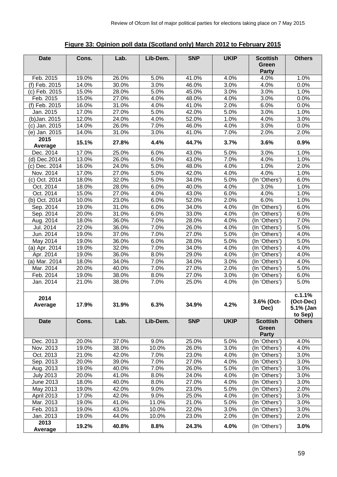# **Figure 33: Opinion poll data (Scotland only) March 2012 to February 2015**

| <b>Date</b>      | Cons. | Lab.  | Lib-Dem. | <b>SNP</b> | <b>UKIP</b>        | <b>Scottish</b><br>Green<br><b>Party</b> | <b>Others</b>                               |
|------------------|-------|-------|----------|------------|--------------------|------------------------------------------|---------------------------------------------|
| Feb. 2015        | 19.0% | 26.0% | 5.0%     | 41.0%      | 4.0%               | 4.0%                                     | 1.0%                                        |
| (f) Feb. 2015    | 14.0% | 30.0% | 3.0%     | 46.0%      | 3.0%               | 4.0%                                     | 0.0%                                        |
| (c) Feb. 2015    | 15.0% | 28.0% | 5.0%     | 45.0%      | 3.0%               | 3.0%                                     | 1.0%                                        |
| Feb. 2015        | 15.0% | 27.0% | 4.0%     | 48.0%      | 4.0%               | 3.0%                                     | 0.0%                                        |
| $(f)$ Feb. 2015  | 16.0% | 31.0% | 4.0%     | 41.0%      | 2.0%               | 6.0%                                     | 0.0%                                        |
| Jan. 2015        | 17.0% | 27.0% | 5.0%     | 42.0%      | 5.0%               | 3.0%                                     | 1.0%                                        |
| (b) Jan. 2015    | 12.0% | 24.0% | 4.0%     | 52.0%      | 1.0%               | 4.0%                                     | 3.0%                                        |
| (c) Jan. 2015    | 14.0% | 26.0% | 7.0%     | 46.0%      | 4.0%               | 3.0%                                     | 0.0%                                        |
| (e) Jan. 2015    | 14.0% | 31.0% | 3.0%     | 41.0%      | 7.0%               | 2.0%                                     | 2.0%                                        |
| 2015             |       |       |          |            |                    |                                          |                                             |
| Average          | 15.1% | 27.8% | 4.4%     | 44.7%      | 3.7%               | 3.6%                                     | 0.9%                                        |
| Dec. 2014        | 17.0% | 25.0% | 6.0%     | 43.0%      | 5.0%               | 3.0%                                     | 1.0%                                        |
| (d) Dec.2014     | 13.0% | 26.0% | 6.0%     | 43.0%      | 7.0%               | 4.0%                                     | 1.0%                                        |
| (c) Dec. 2014    | 16.0% | 24.0% | 5.0%     | 48.0%      | 4.0%               | 1.0%                                     | 2.0%                                        |
| Nov. 2014        | 17.0% | 27.0% | 5.0%     | 42.0%      | 4.0%               | 4.0%                                     | 1.0%                                        |
| (c) Oct. 2014    | 18.0% | 32.0% | 5.0%     | 34.0%      | 5.0%               | (In 'Others')                            | 6.0%                                        |
| Oct. 2014        | 18.0% | 28.0% | 6.0%     | 40.0%      | 4.0%               | 3.0%                                     | 1.0%                                        |
| Oct. 2014        | 15.0% | 27.0% | 4.0%     | 43.0%      | 6.0%               | 4.0%                                     | 1.0%                                        |
| (b) Oct. 2014    | 10.0% | 23.0% | 6.0%     | 52.0%      | 2.0%               | 6.0%                                     | 1.0%                                        |
| Sep. 2014        | 19.0% | 31.0% | 6.0%     | 34.0%      | 4.0%               | (In 'Others')                            | 6.0%                                        |
| Sep. 2014        | 20.0% | 31.0% | 6.0%     | 33.0%      | 4.0%               | $($ In 'Others')                         | 6.0%                                        |
| Aug. 2014        | 18.0% | 36.0% | 7.0%     | 28.0%      | 4.0%               | (In 'Others')                            | 7.0%                                        |
| Jul. 2014        | 22.0% | 36.0% | 7.0%     | 26.0%      | 4.0%               | (In 'Others')                            | 5.0%                                        |
| Jun. 2014        | 19.0% | 37.0% | 7.0%     | 27.0%      | 5.0%               | (In 'Others')                            | 4.0%                                        |
| May 2014         | 19.0% | 36.0% | 6.0%     | 28.0%      | $\overline{5.0\%}$ | (In 'Others')                            | 5.0%                                        |
| (a) Apr. 2014    | 19.0% | 32.0% | 7.0%     | 34.0%      | 4.0%               | (In 'Others')                            | 4.0%                                        |
| Apr. 2014        | 19.0% | 36.0% | 8.0%     | 29.0%      | 4.0%               | (In 'Others')                            | 4.0%                                        |
| (a) Mar. 2014    | 18.0% | 34.0% | 7.0%     | 34.0%      | 3.0%               | (In 'Others')                            | 4.0%                                        |
| Mar. 2014        | 20.0% | 40.0% | 7.0%     | 27.0%      | 2.0%               | $($ In 'Others')                         | 5.0%                                        |
| Feb. 2014        | 19.0% | 38.0% | 8.0%     | 27.0%      | 3.0%               | (In 'Others')                            | 6.0%                                        |
| Jan. 2014        | 21.0% | 38.0% | 7.0%     | 25.0%      | 4.0%               | (In 'Others')                            | 5.0%                                        |
| 2014<br>Average  | 17.9% | 31.9% | 6.3%     | 34.9%      | 4.2%               | 3.6% (Oct-<br>Dec)                       | c.1.1%<br>(Oct-Dec)<br>5.1% (Jan<br>to Sep) |
| <b>Date</b>      | Cons. | Lab.  | Lib-Dem. | <b>SNP</b> | <b>UKIP</b>        | <b>Scottish</b><br>Green<br><b>Party</b> | <b>Others</b>                               |
| Dec. 2013        | 20.0% | 37.0% | 9.0%     | 25.0%      | 5.0%               | (In 'Others')                            | 4.0%                                        |
| Nov. 2013        | 19.0% | 38.0% | 10.0%    | 26.0%      | 3.0%               | (In 'Others')                            | 4.0%                                        |
| Oct. 2013        | 21.0% | 42.0% | 7.0%     | 23.0%      | 4.0%               | (In 'Others')                            | 3.0%                                        |
| Sep. 2013        | 20.0% | 39.0% | 7.0%     | 27.0%      | 4.0%               | (In 'Others')                            | 3.0%                                        |
| Aug. 2013        | 19.0% | 40.0% | 7.0%     | 26.0%      | 5.0%               | (In 'Others')                            | 3.0%                                        |
| <b>July 2013</b> | 20.0% | 41.0% | 8.0%     | 24.0%      | 4.0%               | (In 'Others')                            | 3.0%                                        |
| June 2013        | 18.0% | 40.0% | 8.0%     | 27.0%      | 4.0%               | (In 'Others')                            | 3.0%                                        |
| May 2013         | 19.0% | 42.0% | 9.0%     | 23.0%      | 5.0%               | (In 'Others')                            | 2.0%                                        |
| April 2013       | 17.0% | 42.0% | 9.0%     | 25.0%      | 4.0%               | (In 'Others')                            | 3.0%                                        |
| Mar. 2013        | 19.0% | 41.0% | 11.0%    | 21.0%      | 5.0%               | (In 'Others')                            | 3.0%                                        |
| Feb. 2013        | 19.0% | 43.0% | 10.0%    | 22.0%      | 3.0%               | (In 'Others')                            | 3.0%                                        |
| Jan. 2013        | 19.0% | 44.0% | 10.0%    | 23.0%      | 2.0%               | (In 'Others')                            | 2.0%                                        |
| 2013<br>Average  | 19.2% | 40.8% | 8.8%     | 24.3%      | 4.0%               | (In 'Others')                            | 3.0%                                        |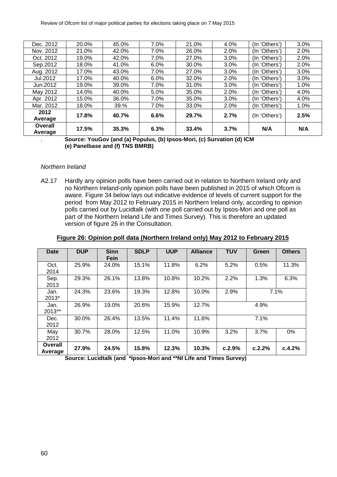| Dec. 2012          | 20.0% | 45.0% | 7.0%    | 21.0% | 4.0% | (In 'Others') | 3.0% |
|--------------------|-------|-------|---------|-------|------|---------------|------|
| Nov. 2012          | 21.0% | 42.0% | 7.0%    | 26.0% | 2.0% | (In 'Others') | 2.0% |
| Oct. 2012          | 19.0% | 42.0% | 7.0%    | 27.0% | 3.0% | (In 'Others') | 2.0% |
| Sep.2012           | 18.0% | 41.0% | $6.0\%$ | 30.0% | 3.0% | (In 'Others') | 2.0% |
| Aug. 2012          | 17.0% | 43.0% | 7.0%    | 27.0% | 3.0% | (In 'Others') | 3.0% |
| Jul.2012           | 17.0% | 40.0% | 6.0%    | 32.0% | 2.0% | (In 'Others') | 3.0% |
| Jun. 2012          | 19.0% | 39.0% | 7.0%    | 31.0% | 3.0% | (In 'Others') | 1.0% |
| May 2012           | 14.0% | 40.0% | 5.0%    | 35.0% | 2.0% | (In 'Others') | 4.0% |
| Apr. 2012          | 15.0% | 36.0% | 7.0%    | 35.0% | 3.0% | (In 'Others') | 4.0% |
| Mar. 2012          | 18.0% | 39.%  | 7.0%    | 33.0% | 2.0% | (In 'Others') | 1.0% |
| 2012<br>Average    | 17.8% | 40.7% | 6.6%    | 29.7% | 2.7% | (In 'Others') | 2.5% |
| Overall<br>Average | 17.5% | 35.3% | 6.3%    | 33.4% | 3.7% | N/A           | N/A  |

. **Source: YouGov (and (a) Populus, (b) Ipsos-Mori, (c) Survation (d) ICM (e) Panelbase and (f) TNS BMRB)**

#### *Northern Ireland*

A2.17 Hardly any opinion polls have been carried out in relation to Northern Ireland only and no Northern Ireland-only opinion polls have been published in 2015 of which Ofcom is aware. Figure 34 below lays out indicative evidence of levels of current support for the period from May 2012 to February 2015 in Northern Ireland only, according to opinion polls carried out by Lucidtalk (with one poll carried out by Ipsos-Mori and one poll as part of the Northern Ireland Life and Times Survey). This is therefore an updated version of figure 26 in the Consultation.

|  |  | Figure 26: Opinion poll data (Northern Ireland only) May 2012 to February 2015 |
|--|--|--------------------------------------------------------------------------------|
|--|--|--------------------------------------------------------------------------------|

| Date               | <b>DUP</b> | <b>Sinn</b><br>Fein | <b>SDLP</b> | <b>UUP</b> | <b>Alliance</b> | TUV    | Green  | <b>Others</b> |
|--------------------|------------|---------------------|-------------|------------|-----------------|--------|--------|---------------|
| Oct.<br>2014       | 25.9%      | 24.0%               | 15.1%       | 11.8%      | 6.2%            | 5.2%   | 0.5%   | 11.3%         |
| Sep.<br>2013       | 29.3%      | 26.1%               | 13.8%       | 10.8%      | 10.2%           | 2.2%   | 1.3%   | 6.3%          |
| Jan.<br>2013*      | 24.3%      | 23.6%               | 19.3%       | 12.8%      | 10.0%           | 2.9%   |        | 7.1%          |
| Jan.<br>2013**     | 26.9%      | 19.0%               | 20.6%       | 15.9%      | 12.7%           |        | 4.9%   |               |
| Dec.<br>2012       | 30.0%      | 26.4%               | 13.5%       | 11.4%      | 11.6%           |        | 7.1%   |               |
| May<br>2012        | 30.7%      | 28.0%               | 12.5%       | 11.0%      | 10.9%           | 3.2%   | 3.7%   | 0%            |
| Overall<br>Average | 27.9%      | 24.5%               | 15.8%       | 12.3%      | 10.3%           | c.2.9% | c.2.2% | c.4.2%        |

**Source: Lucidtalk (and \*Ipsos-Mori and \*\*NI Life and Times Survey)**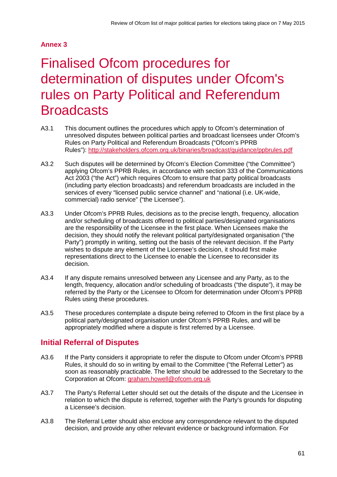# **Annex 3**

# 3 Finalised Ofcom procedures for determination of disputes under Ofcom's rules on Party Political and Referendum **Broadcasts**

- A3.1 This document outlines the procedures which apply to Ofcom's determination of unresolved disputes between political parties and broadcast licensees under Ofcom's Rules on Party Political and Referendum Broadcasts ("Ofcom's PPRB Rules"):<http://stakeholders.ofcom.org.uk/binaries/broadcast/guidance/ppbrules.pdf>
- A3.2 Such disputes will be determined by Ofcom's Election Committee ("the Committee") applying Ofcom's PPRB Rules, in accordance with section 333 of the Communications Act 2003 ("the Act") which requires Ofcom to ensure that party political broadcasts (including party election broadcasts) and referendum broadcasts are included in the services of every "licensed public service channel" and "national (i.e. UK-wide, commercial) radio service" ("the Licensee").
- A3.3 Under Ofcom's PPRB Rules, decisions as to the precise length, frequency, allocation and/or scheduling of broadcasts offered to political parties/designated organisations are the responsibility of the Licensee in the first place. When Licensees make the decision, they should notify the relevant political party/designated organisation ("the Party") promptly in writing, setting out the basis of the relevant decision. If the Party wishes to dispute any element of the Licensee's decision, it should first make representations direct to the Licensee to enable the Licensee to reconsider its decision.
- A3.4 If any dispute remains unresolved between any Licensee and any Party, as to the length, frequency, allocation and/or scheduling of broadcasts ("the dispute"), it may be referred by the Party or the Licensee to Ofcom for determination under Ofcom's PPRB Rules using these procedures.
- A3.5 These procedures contemplate a dispute being referred to Ofcom in the first place by a political party/designated organisation under Ofcom's PPRB Rules, and will be appropriately modified where a dispute is first referred by a Licensee.

# **Initial Referral of Disputes**

- A3.6 If the Party considers it appropriate to refer the dispute to Ofcom under Ofcom's PPRB Rules, it should do so in writing by email to the Committee ("the Referral Letter") as soon as reasonably practicable. The letter should be addressed to the Secretary to the Corporation at Ofcom: [graham.howell@ofcom.org.uk](mailto:graham.howell@ofcom.org.uk)
- A3.7 The Party's Referral Letter should set out the details of the dispute and the Licensee in relation to which the dispute is referred, together with the Party's grounds for disputing a Licensee's decision.
- A3.8 The Referral Letter should also enclose any correspondence relevant to the disputed decision, and provide any other relevant evidence or background information. For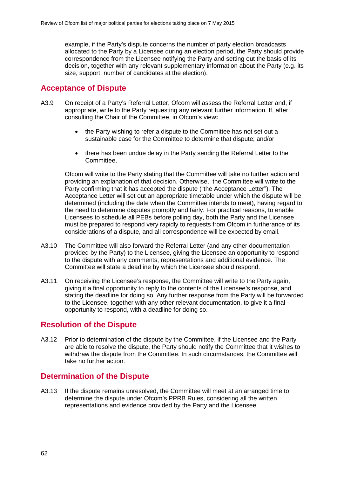example, if the Party's dispute concerns the number of party election broadcasts allocated to the Party by a Licensee during an election period, the Party should provide correspondence from the Licensee notifying the Party and setting out the basis of its decision, together with any relevant supplementary information about the Party (e.g. its size, support, number of candidates at the election).

## **Acceptance of Dispute**

- A3.9 On receipt of a Party's Referral Letter, Ofcom will assess the Referral Letter and, if appropriate, write to the Party requesting any relevant further information. If, after consulting the Chair of the Committee, in Ofcom's view**:**
	- the Party wishing to refer a dispute to the Committee has not set out a sustainable case for the Committee to determine that dispute; and/or
	- there has been undue delay in the Party sending the Referral Letter to the Committee,

Ofcom will write to the Party stating that the Committee will take no further action and providing an explanation of that decision. Otherwise, the Committee will write to the Party confirming that it has accepted the dispute ("the Acceptance Letter"). The Acceptance Letter will set out an appropriate timetable under which the dispute will be determined (including the date when the Committee intends to meet), having regard to the need to determine disputes promptly and fairly. For practical reasons, to enable Licensees to schedule all PEBs before polling day, both the Party and the Licensee must be prepared to respond very rapidly to requests from Ofcom in furtherance of its considerations of a dispute, and all correspondence will be expected by email.

- A3.10 The Committee will also forward the Referral Letter (and any other documentation provided by the Party) to the Licensee, giving the Licensee an opportunity to respond to the dispute with any comments, representations and additional evidence. The Committee will state a deadline by which the Licensee should respond.
- A3.11 On receiving the Licensee's response, the Committee will write to the Party again, giving it a final opportunity to reply to the contents of the Licensee's response, and stating the deadline for doing so. Any further response from the Party will be forwarded to the Licensee, together with any other relevant documentation, to give it a final opportunity to respond, with a deadline for doing so.

## **Resolution of the Dispute**

A3.12 Prior to determination of the dispute by the Committee, if the Licensee and the Party are able to resolve the dispute, the Party should notify the Committee that it wishes to withdraw the dispute from the Committee. In such circumstances, the Committee will take no further action.

# **Determination of the Dispute**

A3.13 If the dispute remains unresolved, the Committee will meet at an arranged time to determine the dispute under Ofcom's PPRB Rules, considering all the written representations and evidence provided by the Party and the Licensee.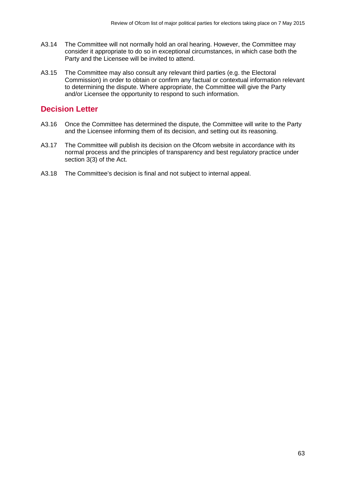- A3.14 The Committee will not normally hold an oral hearing. However, the Committee may consider it appropriate to do so in exceptional circumstances, in which case both the Party and the Licensee will be invited to attend.
- A3.15 The Committee may also consult any relevant third parties (e.g. the Electoral Commission) in order to obtain or confirm any factual or contextual information relevant to determining the dispute. Where appropriate, the Committee will give the Party and/or Licensee the opportunity to respond to such information.

# **Decision Letter**

- A3.16 Once the Committee has determined the dispute, the Committee will write to the Party and the Licensee informing them of its decision, and setting out its reasoning.
- A3.17 The Committee will publish its decision on the Ofcom website in accordance with its normal process and the principles of transparency and best regulatory practice under section 3(3) of the Act.
- A3.18 The Committee's decision is final and not subject to internal appeal.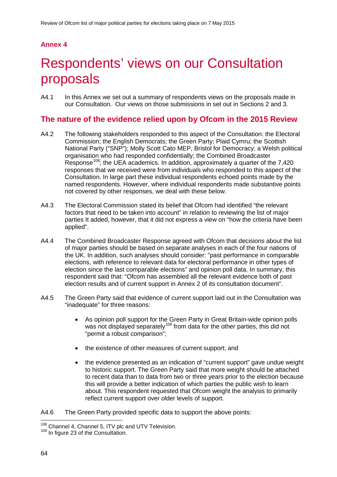# **Annex 4**

# **Respondents' views on our Consultation** proposals

A4.1 In this Annex we set out a summary of respondents views on the proposals made in our Consultation. Our views on those submissions in set out in Sections 2 and 3.

# **The nature of the evidence relied upon by Ofcom in the 2015 Review**

- A4.2 The following stakeholders responded to this aspect of the Consultation: the Electoral Commission; the English Democrats; the Green Party; Plaid Cymru; the Scottish National Party ("SNP"); Molly Scott Cato MEP, Bristol for Democracy; a Welsh political organisation who had responded confidentially; the Combined Broadcaster Response<sup>[108](#page-66-0)</sup>; the UEA academics. In addition, approximately a quarter of the 7,420 responses that we received were from individuals who responded to this aspect of the Consultation. In large part these individual respondents echoed points made by the named respondents. However, where individual respondents made substantive points not covered by other responses, we deal with these below.
- A4.3 The Electoral Commission stated its belief that Ofcom had identified "the relevant factors that need to be taken into account" in relation to reviewing the list of major parties It added, however, that it did not express a view on "how the criteria have been applied".
- A4.4 The Combined Broadcaster Response agreed with Ofcom that decisions about the list of major parties should be based on separate analyses in each of the four nations of the UK. In addition, such analyses should consider: "past performance in comparable elections, with reference to relevant data for electoral performance in other types of election since the last comparable elections" and opinion poll data. In summary, this respondent said that: "Ofcom has assembled all the relevant evidence both of past election results and of current support in Annex 2 of its consultation document".
- A4.5 The Green Party said that evidence of current support laid out in the Consultation was "inadequate" for three reasons:
	- As opinion poll support for the Green Party in Great Britain-wide opinion polls was not displayed separately<sup>[109](#page-66-1)</sup> from data for the other parties, this did not "permit a robust comparison";
	- the existence of other measures of current support; and
	- the evidence presented as an indication of "current support" gave undue weight to historic support. The Green Party said that more weight should be attached to recent data than to data from two or three years prior to the election because this will provide a better indication of which parties the public wish to learn about. This respondent requested that Ofcom weight the analysis to primarily reflect current support over older levels of support.

A4.6 The Green Party provided specific data to support the above points:

<span id="page-66-0"></span><sup>&</sup>lt;sup>108</sup> Channel 4, Channel 5, ITV plc and UTV Television.<br><sup>109</sup> In figure 23 of the Consultation.  $\overline{a}$ 

<span id="page-66-1"></span>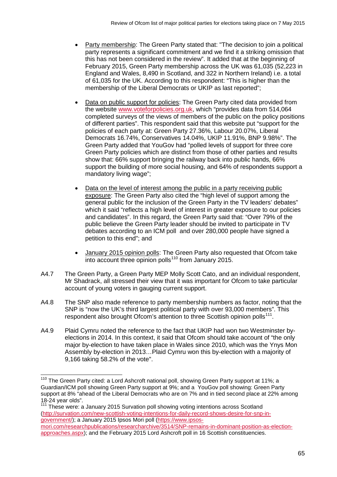- Party membership: The Green Party stated that: "The decision to join a political party represents a significant commitment and we find it a striking omission that this has not been considered in the review". It added that at the beginning of February 2015, Green Party membership across the UK was 61,035 (52,223 in England and Wales, 8,490 in Scotland, and 322 in Northern Ireland) i.e. a total of 61,035 for the UK. According to this respondent: "This is higher than the membership of the Liberal Democrats or UKIP as last reported";
- Data on public support for policies: The Green Party cited data provided from the website [www.voteforpolicies.org.uk,](http://www.voteforpolicies.org.uk/) which "provides data from 514,064 completed surveys of the views of members of the public on the policy positions of different parties". This respondent said that this website put "support for the policies of each party at: Green Party 27.36%, Labour 20.07%, Liberal Democrats 16.74%, Conservatives 14.04%, UKIP 11.91%, BNP 9.98%". The Green Party added that YouGov had "polled levels of support for three core Green Party policies which are distinct from those of other parties and results show that: 66% support bringing the railway back into public hands, 66% support the building of more social housing, and 64% of respondents support a mandatory living wage";
- Data on the level of interest among the public in a party receiving public exposure: The Green Party also cited the "high level of support among the general public for the inclusion of the Green Party in the TV leaders' debates" which it said "reflects a high level of interest in greater exposure to our policies and candidates". In this regard, the Green Party said that: "Over 79% of the public believe the Green Party leader should be invited to participate in TV debates according to an ICM poll and over 280,000 people have signed a petition to this end"; and
- January 2015 opinion polls: The Green Party also requested that Ofcom take into account three opinion polls<sup>[110](#page-67-0)</sup> from January 2015.
- A4.7 The Green Party, a Green Party MEP Molly Scott Cato, and an individual respondent, Mr Shadrack, all stressed their view that it was important for Ofcom to take particular account of young voters in gauging current support.
- A4.8 The SNP also made reference to party membership numbers as factor, noting that the SNP is "now the UK's third largest political party with over 93,000 members". This respondent also brought Ofcom's attention to three Scottish opinion polls<sup>111</sup>.
- A4.9 Plaid Cymru noted the reference to the fact that UKIP had won two Westminster byelections in 2014. In this context, it said that Ofcom should take account of "the only major by-election to have taken place in Wales since 2010, which was the Ynys Mon Assembly by-election in 2013…Plaid Cymru won this by-election with a majority of 9,166 taking 58.2% of the vote".

<span id="page-67-1"></span><sup>111</sup> These were: a January 2015 Survation poll showing voting intentions across Scotland [\(http://survation.com/new-scottish-voting-intentions-for-daily-record-shows-desire-for-snp-in](http://survation.com/new-scottish-voting-intentions-for-daily-record-shows-desire-for-snp-in-government/)[government/\)](http://survation.com/new-scottish-voting-intentions-for-daily-record-shows-desire-for-snp-in-government/); a January 2015 Ipsos Mori poll [\(https://www.ipsos](https://www.ipsos-mori.com/researchpublications/researcharchive/3514/SNP-remains-in-dominant-position-as-election-approaches.aspx)[mori.com/researchpublications/researcharchive/3514/SNP-remains-in-dominant-position-as-election](https://www.ipsos-mori.com/researchpublications/researcharchive/3514/SNP-remains-in-dominant-position-as-election-approaches.aspx)[approaches.aspx\)](https://www.ipsos-mori.com/researchpublications/researcharchive/3514/SNP-remains-in-dominant-position-as-election-approaches.aspx); and the February 2015 Lord Ashcroft poll in 16 Scottish constituencies.

<span id="page-67-0"></span><sup>&</sup>lt;sup>110</sup> The Green Party cited: a Lord Ashcroft national poll, showing Green Party support at 11%; a Guardian/ICM poll showing Green Party support at 9%; and a YouGov poll showing: Green Party support at 8% "ahead of the Liberal Democrats who are on 7% and in tied second place at 22% among<br>18-24 year olds".  $\overline{a}$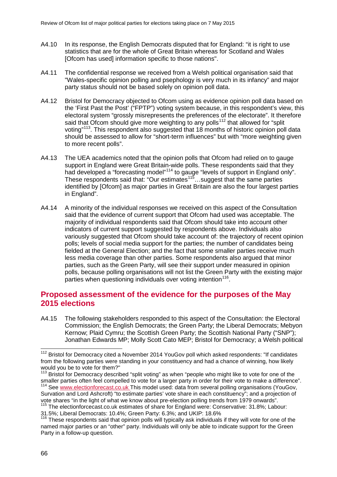- A4.10 In its response, the English Democrats disputed that for England: "it is right to use statistics that are for the whole of Great Britain whereas for Scotland and Wales [Ofcom has used] information specific to those nations".
- A4.11 The confidential response we received from a Welsh political organisation said that "Wales-specific opinion polling and psephology is very much in its infancy" and major party status should not be based solely on opinion poll data.
- A4.12 Bristol for Democracy objected to Ofcom using as evidence opinion poll data based on the 'First Past the Post' ("FPTP") voting system because, in this respondent's view, this electoral system "grossly misrepresents the preferences of the electorate". It therefore said that Ofcom should give more weighting to any polls<sup>[112](#page-68-0)</sup> that allowed for "split" voting"<sup>113</sup>. This respondent also suggested that 18 months of historic opinion poll data should be assessed to allow for "short-term influences" but with "more weighting given to more recent polls".
- A4.13 The UEA academics noted that the opinion polls that Ofcom had relied on to gauge support in England were Great Britain-wide polls. These respondents said that they had developed a "forecasting model"<sup>[114](#page-68-2)</sup> to gauge "levels of support in England only". These respondents said that: "Our estimates<sup>115</sup>... suggest that the same parties identified by [Ofcom] as major parties in Great Britain are also the four largest parties in England".
- A4.14 A minority of the individual responses we received on this aspect of the Consultation said that the evidence of current support that Ofcom had used was acceptable. The majority of individual respondents said that Ofcom should take into account other indicators of current support suggested by respondents above. Individuals also variously suggested that Ofcom should take account of: the trajectory of recent opinion polls; levels of social media support for the parties; the number of candidates being fielded at the General Election; and the fact that some smaller parties receive much less media coverage than other parties. Some respondents also argued that minor parties, such as the Green Party, will see their support under measured in opinion polls, because polling organisations will not list the Green Party with the existing major parties when questioning individuals over voting intention<sup>[116](#page-68-4)</sup>.

# **Proposed assessment of the evidence for the purposes of the May 2015 elections**

A4.15 The following stakeholders responded to this aspect of the Consultation: the Electoral Commission; the English Democrats; the Green Party; the Liberal Democrats; Mebyon Kernow; Plaid Cymru; the Scottish Green Party; the Scottish National Party ("SNP"); Jonathan Edwards MP; Molly Scott Cato MEP; Bristol for Democracy; a Welsh political

<span id="page-68-0"></span><sup>&</sup>lt;sup>112</sup> Bristol for Democracy cited a November 2014 YouGov poll which asked respondents: "If candidates from the following parties were standing in your constituency and had a chance of winning, how likely would you be to vote for them?"  $\overline{a}$ 

<span id="page-68-1"></span><sup>&</sup>lt;sup>113</sup> Bristol for Democracy described "split voting" as when "people who might like to vote for one of the smaller parties often feel compelled to vote for a larger party in order for their vote to make a difference". <sup>114</sup> See [www.electionforecast.co.uk](http://www.electionforecast.co.uk/) This model used: data from several polling organisations (YouGov,

<span id="page-68-2"></span>Survation and Lord Ashcroft) "to estimate parties' vote share in each constituency"; and a projection of vote shares "in the light of what we know about pre-election polling trends from 1979 onwards".  $115$  The electionforcecast.co.uk estimates of share for England were: Conservative: 31.8%; Labour:

<span id="page-68-3"></span><sup>31.5%;</sup> Liberal Democrats: 10.4%; Green Party: 6.3%; and UKIP: 18.6%

<span id="page-68-4"></span><sup>&</sup>lt;sup>116</sup> These respondents said that opinion polls will typically ask individuals if they will vote for one of the named major parties or an "other" party. Individuals will only be able to indicate support for the Green Party in a follow-up question.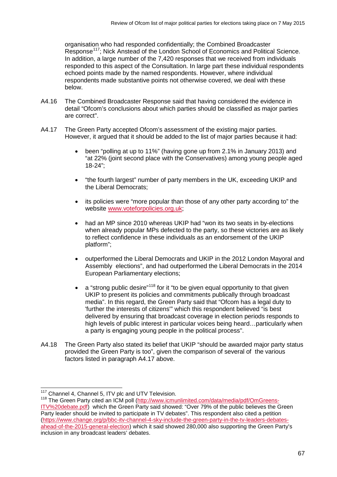organisation who had responded confidentially; the Combined Broadcaster Response<sup>[117](#page-69-0)</sup>; Nick Anstead of the London School of Economics and Political Science. In addition, a large number of the 7,420 responses that we received from individuals responded to this aspect of the Consultation. In large part these individual respondents echoed points made by the named respondents. However, where individual respondents made substantive points not otherwise covered, we deal with these below.

- A4.16 The Combined Broadcaster Response said that having considered the evidence in detail "Ofcom's conclusions about which parties should be classified as major parties are correct".
- A4.17 The Green Party accepted Ofcom's assessment of the existing major parties. However, it argued that it should be added to the list of major parties because it had:
	- been "polling at up to 11%" (having gone up from 2.1% in January 2013) and "at 22% (joint second place with the Conservatives) among young people aged 18-24";
	- "the fourth largest" number of party members in the UK, exceeding UKIP and the Liberal Democrats;
	- its policies were "more popular than those of any other party according to" the website [www.voteforpolicies.org.uk;](http://www.voteforpolicies.org.uk/)
	- had an MP since 2010 whereas UKIP had "won its two seats in by-elections when already popular MPs defected to the party, so these victories are as likely to reflect confidence in these individuals as an endorsement of the UKIP platform";
	- outperformed the Liberal Democrats and UKIP in the 2012 London Mayoral and Assembly elections", and had outperformed the Liberal Democrats in the 2014 European Parliamentary elections;
	- $\bullet$  a "strong public desire"<sup>[118](#page-69-1)</sup> for it "to be given equal opportunity to that given UKIP to present its policies and commitments publically through broadcast media". In this regard, the Green Party said that "Ofcom has a legal duty to 'further the interests of citizens'" which this respondent believed "is best delivered by ensuring that broadcast coverage in election periods responds to high levels of public interest in particular voices being heard…particularly when a party is engaging young people in the political process".
- A4.18 The Green Party also stated its belief that UKIP "should be awarded major party status provided the Green Party is too", given the comparison of several of the various factors listed in paragraph A4.17 above.

<sup>&</sup>lt;sup>117</sup> Channel 4, Channel 5, ITV plc and UTV Television.

<span id="page-69-1"></span><span id="page-69-0"></span><sup>118</sup> The Green Party cited an ICM poll [\(http://www.icmunlimited.com/data/media/pdf/OmGreens-](http://www.icmunlimited.com/data/media/pdf/OmGreens-ITV%20debate.pdf)[ITV%20debate.pdf\)](http://www.icmunlimited.com/data/media/pdf/OmGreens-ITV%20debate.pdf) which the Green Party said showed: "Over 79% of the public believes the Green Party leader should be invited to participate in TV debates". This respondent also cited a petition [\(https://www.change.org/p/bbc-itv-channel-4-sky-include-the-green-party-in-the-tv-leaders-debates](https://www.change.org/p/bbc-itv-channel-4-sky-include-the-green-party-in-the-tv-leaders-debates-ahead-of-the-2015-general-election)[ahead-of-the-2015-general-election\)](https://www.change.org/p/bbc-itv-channel-4-sky-include-the-green-party-in-the-tv-leaders-debates-ahead-of-the-2015-general-election) which it said showed 280,000 also supporting the Green Party's inclusion in any broadcast leaders' debates.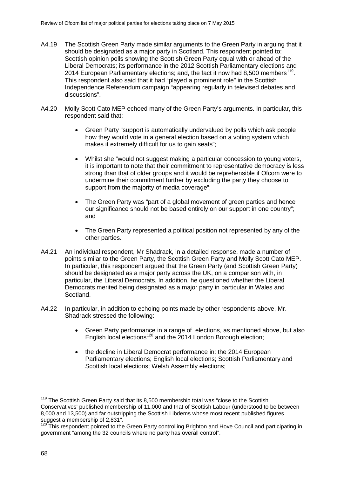- A4.19 The Scottish Green Party made similar arguments to the Green Party in arguing that it should be designated as a major party in Scotland. This respondent pointed to: Scottish opinion polls showing the Scottish Green Party equal with or ahead of the Liberal Democrats; its performance in the 2012 Scottish Parliamentary elections and 2014 European Parliamentary elections; and, the fact it now had 8,500 members<sup>119</sup>. This respondent also said that it had "played a prominent role" in the Scottish Independence Referendum campaign "appearing regularly in televised debates and discussions".
- A4.20 Molly Scott Cato MEP echoed many of the Green Party's arguments. In particular, this respondent said that:
	- Green Party "support is automatically undervalued by polls which ask people how they would vote in a general election based on a voting system which makes it extremely difficult for us to gain seats";
	- Whilst she "would not suggest making a particular concession to young voters, it is important to note that their commitment to representative democracy is less strong than that of older groups and it would be reprehensible if Ofcom were to undermine their commitment further by excluding the party they choose to support from the majority of media coverage";
	- The Green Party was "part of a global movement of green parties and hence our significance should not be based entirely on our support in one country"; and
	- The Green Party represented a political position not represented by any of the other parties.
- A4.21 An individual respondent, Mr Shadrack, in a detailed response, made a number of points similar to the Green Party, the Scottish Green Party and Molly Scott Cato MEP. In particular, this respondent argued that the Green Party (and Scottish Green Party) should be designated as a major party across the UK, on a comparison with, in particular, the Liberal Democrats. In addition, he questioned whether the Liberal Democrats merited being designated as a major party in particular in Wales and Scotland.
- A4.22 In particular, in addition to echoing points made by other respondents above, Mr. Shadrack stressed the following:
	- Green Party performance in a range of elections, as mentioned above, but also English local elections<sup>[120](#page-70-1)</sup> and the 2014 London Borough election;
	- the decline in Liberal Democrat performance in: the 2014 European Parliamentary elections; English local elections; Scottish Parliamentary and Scottish local elections; Welsh Assembly elections;

<span id="page-70-0"></span><sup>&</sup>lt;sup>119</sup> The Scottish Green Party said that its 8,500 membership total was "close to the Scottish Conservatives' published membership of 11,000 and that of Scottish Labour (understood to be between 8,000 and 13,500) and far outstripping the Scottish Libdems whose most recent published figures suggest a membership of 2,831".  $\overline{a}$ 

<span id="page-70-1"></span><sup>&</sup>lt;sup>120</sup> This respondent pointed to the Green Party controlling Brighton and Hove Council and participating in government "among the 32 councils where no party has overall control".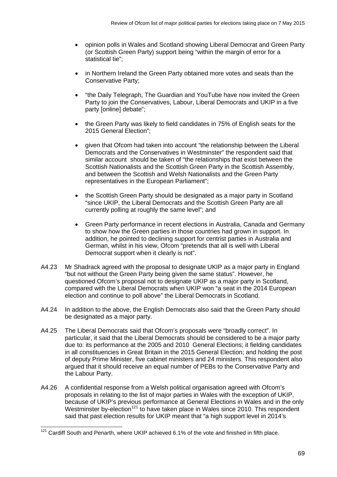- opinion polls in Wales and Scotland showing Liberal Democrat and Green Party (or Scottish Green Party) support being "within the margin of error for a statistical tie";
- in Northern Ireland the Green Party obtained more votes and seats than the Conservative Party;
- "the Daily Telegraph, The Guardian and YouTube have now invited the Green Party to join the Conservatives, Labour, Liberal Democrats and UKIP in a five party [online] debate";
- the Green Party was likely to field candidates in 75% of English seats for the 2015 General Election";
- given that Ofcom had taken into account "the relationship between the Liberal Democrats and the Conservatives in Westminster" the respondent said that similar account should be taken of "the relationships that exist between the Scottish Nationalists and the Scottish Green Party in the Scottish Assembly, and between the Scottish and Welsh Nationalists and the Green Party representatives in the European Parliament";
- the Scottish Green Party should be designated as a major party in Scotland "since UKIP, the Liberal Democrats and the Scottish Green Party are all currently polling at roughly the same level"; and
- Green Party performance in recent elections in Australia, Canada and Germany to show how the Green parties in those countries had grown in support. In addition, he pointed to declining support for centrist parties in Australia and German, whilst in his view, Ofcom "pretends that all is well with Liberal Democrat support when it clearly is not".
- A4.23 Mr Shadrack agreed with the proposal to designate UKIP as a major party in England "but not without the Green Party being given the same status". However, he questioned Ofcom's proposal not to designate UKIP as a major party in Scotland, compared with the Liberal Democrats when UKIP won "a seat in the 2014 European election and continue to poll above" the Liberal Democrats in Scotland.
- A4.24 In addition to the above, the English Democrats also said that the Green Party should be designated as a major party.
- A4.25 The Liberal Democrats said that Ofcom's proposals were "broadly correct". In particular, it said that the Liberal Democrats should be considered to be a major party due to: its performance at the 2005 and 2010 General Elections; it fielding candidates in all constituencies in Great Britain in the 2015 General Election; and holding the post of deputy Prime Minister, five cabinet ministers and 24 ministers. This respondent also argued that it should receive an equal number of PEBs to the Conservative Party and the Labour Party.
- A4.26 A confidential response from a Welsh political organisation agreed with Ofcom's proposals in relating to the list of major parties in Wales with the exception of UKIP, because of UKIP's previous performance at General Elections in Wales and in the only Westminster by-election<sup>[121](#page-71-0)</sup> to have taken place in Wales since 2010. This respondent said that past election results for UKIP meant that "a high support level in 2014's

<span id="page-71-0"></span> $121$  Cardiff South and Penarth, where UKIP achieved 6.1% of the vote and finished in fifth place.  $\overline{a}$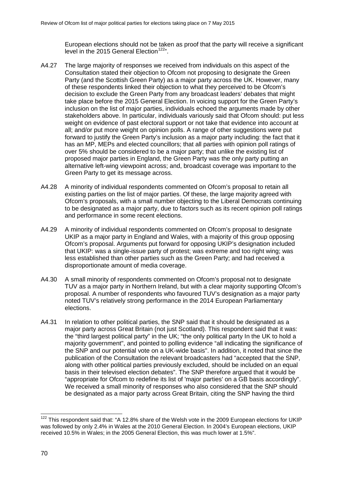European elections should not be taken as proof that the party will receive a significant level in the 2015 General Election<sup>[122](#page-72-0)</sup>".

- A4.27 The large majority of responses we received from individuals on this aspect of the Consultation stated their objection to Ofcom not proposing to designate the Green Party (and the Scottish Green Party) as a major party across the UK. However, many of these respondents linked their objection to what they perceived to be Ofcom's decision to exclude the Green Party from any broadcast leaders' debates that might take place before the 2015 General Election. In voicing support for the Green Party's inclusion on the list of major parties, individuals echoed the arguments made by other stakeholders above. In particular, individuals variously said that Ofcom should: put less weight on evidence of past electoral support or not take that evidence into account at all; and/or put more weight on opinion polls. A range of other suggestions were put forward to justify the Green Party's inclusion as a major party including: the fact that it has an MP, MEPs and elected councillors; that all parties with opinion poll ratings of over 5% should be considered to be a major party; that unlike the existing list of proposed major parties in England, the Green Party was the only party putting an alternative left-wing viewpoint across; and, broadcast coverage was important to the Green Party to get its message across.
- A4.28 A minority of individual respondents commented on Ofcom's proposal to retain all existing parties on the list of major parties. Of these, the large majority agreed with Ofcom's proposals, with a small number objecting to the Liberal Democrats continuing to be designated as a major party, due to factors such as its recent opinion poll ratings and performance in some recent elections.
- A4.29 A minority of individual respondents commented on Ofcom's proposal to designate UKIP as a major party in England and Wales, with a majority of this group opposing Ofcom's proposal. Arguments put forward for opposing UKIP's designation included that UKIP: was a single-issue party of protest; was extreme and too right wing; was less established than other parties such as the Green Party; and had received a disproportionate amount of media coverage.
- A4.30 A small minority of respondents commented on Ofcom's proposal not to designate TUV as a major party in Northern Ireland, but with a clear majority supporting Ofcom's proposal. A number of respondents who favoured TUV's designation as a major party noted TUV's relatively strong performance in the 2014 European Parliamentary elections.
- A4.31 In relation to other political parties, the SNP said that it should be designated as a major party across Great Britain (not just Scotland). This respondent said that it was: the "third largest political party" in the UK; "the only political party In the UK to hold a majority government", and pointed to polling evidence "all indicating the significance of the SNP and our potential vote on a UK-wide basis". In addition, it noted that since the publication of the Consultation the relevant broadcasters had "accepted that the SNP, along with other political parties previously excluded, should be included on an equal basis in their televised election debates". The SNP therefore argued that it would be "appropriate for Ofcom to redefine its list of 'major parties' on a GB basis accordingly". We received a small minority of responses who also considered that the SNP should be designated as a major party across Great Britain, citing the SNP having the third

<span id="page-72-0"></span><sup>&</sup>lt;sup>122</sup> This respondent said that: "A 12.8% share of the Welsh vote in the 2009 European elections for UKIP was followed by only 2.4% in Wales at the 2010 General Election. In 2004's European elections, UKIP received 10.5% in Wales; in the 2005 General Election, this was much lower at 1.5%".  $\overline{a}$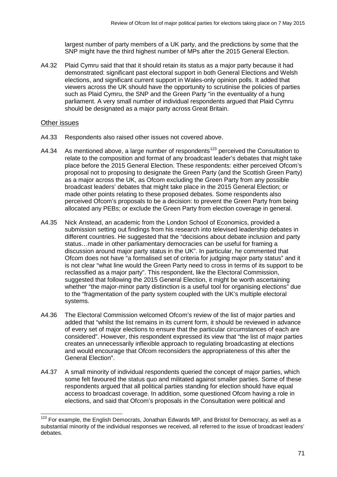largest number of party members of a UK party, and the predictions by some that the SNP might have the third highest number of MPs after the 2015 General Election.

A4.32 Plaid Cymru said that that it should retain its status as a major party because it had demonstrated: significant past electoral support in both General Elections and Welsh elections, and significant current support in Wales-only opinion polls. It added that viewers across the UK should have the opportunity to scrutinise the policies of parties such as Plaid Cymru, the SNP and the Green Party "in the eventuality of a hung parliament. A very small number of individual respondents argued that Plaid Cymru should be designated as a major party across Great Britain.

## Other issues

- A4.33 Respondents also raised other issues not covered above.
- A4.34 As mentioned above, a large number of respondents<sup>[123](#page-73-0)</sup> perceived the Consultation to relate to the composition and format of any broadcast leader's debates that might take place before the 2015 General Election. These respondents: either perceived Ofcom's proposal not to proposing to designate the Green Party (and the Scottish Green Party) as a major across the UK, as Ofcom excluding the Green Party from any possible broadcast leaders' debates that might take place in the 2015 General Election; or made other points relating to these proposed debates. Some respondents also perceived Ofcom's proposals to be a decision: to prevent the Green Party from being allocated any PEBs; or exclude the Green Party from election coverage in general.
- A4.35 Nick Anstead, an academic from the London School of Economics, provided a submission setting out findings from his research into televised leadership debates in different countries. He suggested that the "decisions about debate inclusion and party status…made in other parliamentary democracies can be useful for framing a discussion around major party status in the UK". In particular, he commented that Ofcom does not have "a formalised set of criteria for judging major party status" and it is not clear "what line would the Green Party need to cross in terms of its support to be reclassified as a major party". This respondent, like the Electoral Commission, suggested that following the 2015 General Election, it might be worth ascertaining whether "the major-minor party distinction is a useful tool for organising elections" due to the "fragmentation of the party system coupled with the UK's multiple electoral systems.
- A4.36 The Electoral Commission welcomed Ofcom's review of the list of major parties and added that "whilst the list remains in its current form, it should be reviewed in advance of every set of major elections to ensure that the particular circumstances of each are considered". However, this respondent expressed its view that "the list of major parties creates an unnecessarily inflexible approach to regulating broadcasting at elections and would encourage that Ofcom reconsiders the appropriateness of this after the General Election".
- A4.37 A small minority of individual respondents queried the concept of major parties, which some felt favoured the status quo and militated against smaller parties. Some of these respondents argued that all political parties standing for election should have equal access to broadcast coverage. In addition, some questioned Ofcom having a role in elections, and said that Ofcom's proposals in the Consultation were political and

<span id="page-73-0"></span><sup>&</sup>lt;sup>123</sup> For example, the English Democrats, Jonathan Edwards MP, and Bristol for Democracy, as well as a substantial minority of the individual responses we received, all referred to the issue of broadcast leaders' debates.  $\overline{a}$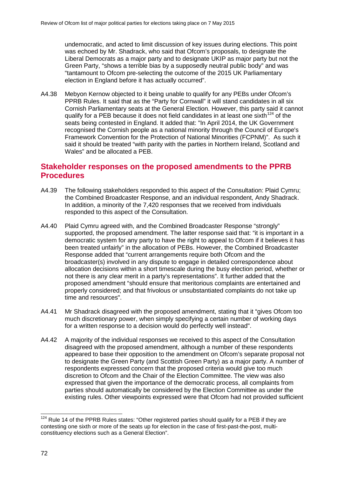undemocratic, and acted to limit discussion of key issues during elections. This point was echoed by Mr. Shadrack, who said that Ofcom's proposals, to designate the Liberal Democrats as a major party and to designate UKIP as major party but not the Green Party, "shows a terrible bias by a supposedly neutral public body" and was "tantamount to Ofcom pre-selecting the outcome of the 2015 UK Parliamentary election in England before it has actually occurred".

A4.38 Mebyon Kernow objected to it being unable to qualify for any PEBs under Ofcom's PPRB Rules. It said that as the "Party for Cornwall" it will stand candidates in all six Cornish Parliamentary seats at the General Election. However, this party said it cannot qualify for a PEB because it does not field candidates in at least one sixth  $124$  of the seats being contested in England. It added that: "In April 2014, the UK Government recognised the Cornish people as a national minority through the Council of Europe's Framework Convention for the Protection of National Minorities (FCPNM)". As such it said it should be treated "with parity with the parties in Northern Ireland, Scotland and Wales" and be allocated a PEB.

## **Stakeholder responses on the proposed amendments to the PPRB Procedures**

- A4.39 The following stakeholders responded to this aspect of the Consultation: Plaid Cymru; the Combined Broadcaster Response, and an individual respondent, Andy Shadrack. In addition, a minority of the 7,420 responses that we received from individuals responded to this aspect of the Consultation.
- A4.40 Plaid Cymru agreed with, and the Combined Broadcaster Response "strongly" supported, the proposed amendment. The latter response said that: "it is important in a democratic system for any party to have the right to appeal to Ofcom if it believes it has been treated unfairly" in the allocation of PEBs. However, the Combined Broadcaster Response added that "current arrangements require both Ofcom and the broadcaster(s) involved in any dispute to engage in detailed correspondence about allocation decisions within a short timescale during the busy election period, whether or not there is any clear merit in a party's representations". It further added that the proposed amendment "should ensure that meritorious complaints are entertained and properly considered; and that frivolous or unsubstantiated complaints do not take up time and resources".
- A4.41 Mr Shadrack disagreed with the proposed amendment, stating that it "gives Ofcom too much discretionary power, when simply specifying a certain number of working days for a written response to a decision would do perfectly well instead".
- A4.42 A majority of the individual responses we received to this aspect of the Consultation disagreed with the proposed amendment, although a number of these respondents appeared to base their opposition to the amendment on Ofcom's separate proposal not to designate the Green Party (and Scottish Green Party) as a major party. A number of respondents expressed concern that the proposed criteria would give too much discretion to Ofcom and the Chair of the Election Committee. The view was also expressed that given the importance of the democratic process, all complaints from parties should automatically be considered by the Election Committee as under the existing rules. Other viewpoints expressed were that Ofcom had not provided sufficient

<span id="page-74-0"></span> $124$  Rule 14 of the PPRB Rules states: "Other registered parties should qualify for a PEB if they are contesting one sixth or more of the seats up for election in the case of first-past-the-post, multiconstituency elections such as a General Election".  $\overline{a}$